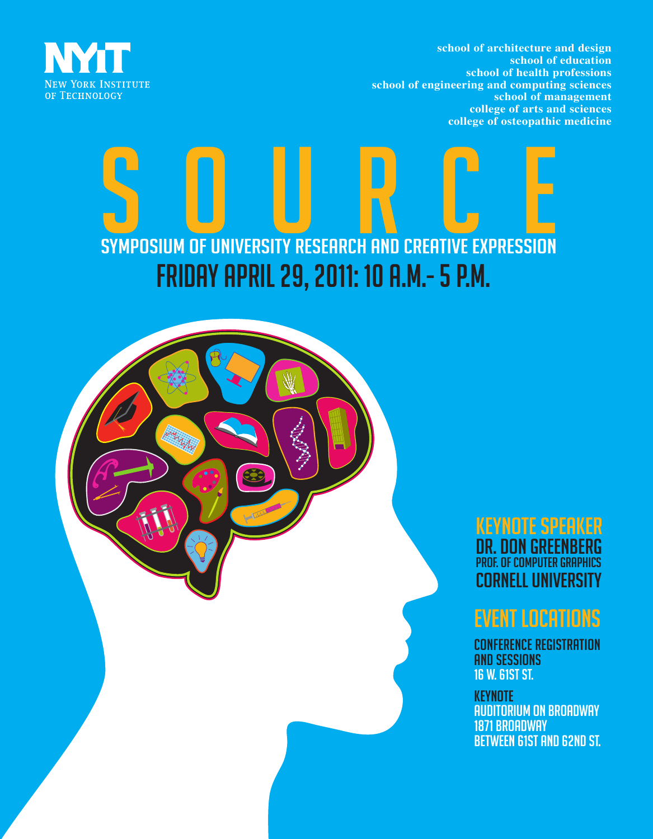



# SYMPOSIUM OF UNIVERSITY RESEARCH AND CREATIVE EXPRESSION Friday April 29, 2011: 10 a.m.- 5 p.m.



KEYNOTE SPEAKER DR. Don Greenberg PROF. OF COMPUTER GRAPHICS Cornell University

# EVENT LOCATIONS

CONFERENCE REGISTRATION AND SESSIONS 16 W. 61ST ST.

**KEYNOTE** AUDITORIUM ON BROADWAY 1871 BROADWAY BETWEEN 61ST AND 62ND ST.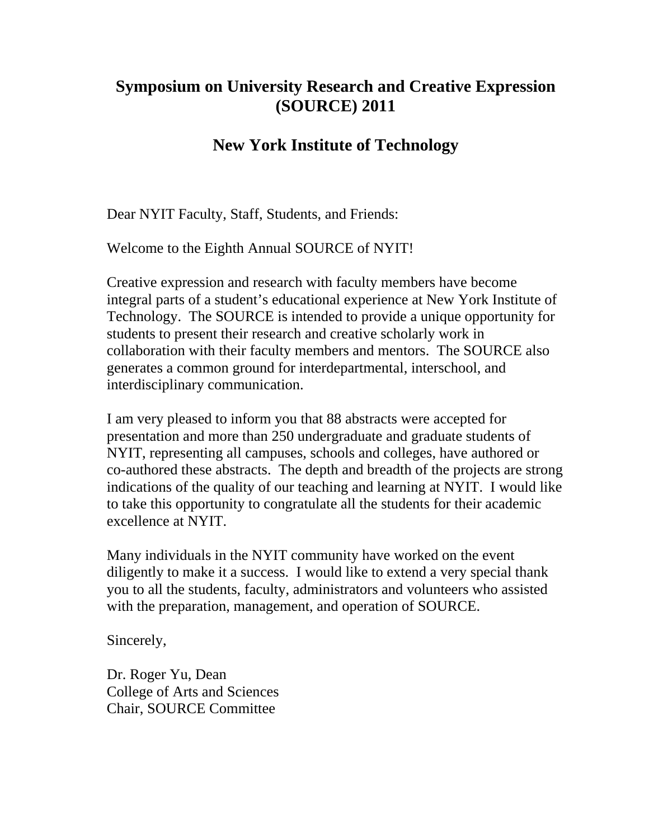# **Symposium on University Research and Creative Expression (SOURCE) 2011**

# **New York Institute of Technology**

Dear NYIT Faculty, Staff, Students, and Friends:

Welcome to the Eighth Annual SOURCE of NYIT!

Creative expression and research with faculty members have become integral parts of a student's educational experience at New York Institute of Technology. The SOURCE is intended to provide a unique opportunity for students to present their research and creative scholarly work in collaboration with their faculty members and mentors. The SOURCE also generates a common ground for interdepartmental, interschool, and interdisciplinary communication.

I am very pleased to inform you that 88 abstracts were accepted for presentation and more than 250 undergraduate and graduate students of NYIT, representing all campuses, schools and colleges, have authored or co-authored these abstracts. The depth and breadth of the projects are strong indications of the quality of our teaching and learning at NYIT. I would like to take this opportunity to congratulate all the students for their academic excellence at NYIT.

Many individuals in the NYIT community have worked on the event diligently to make it a success. I would like to extend a very special thank you to all the students, faculty, administrators and volunteers who assisted with the preparation, management, and operation of SOURCE.

Sincerely,

Dr. Roger Yu, Dean College of Arts and Sciences Chair, SOURCE Committee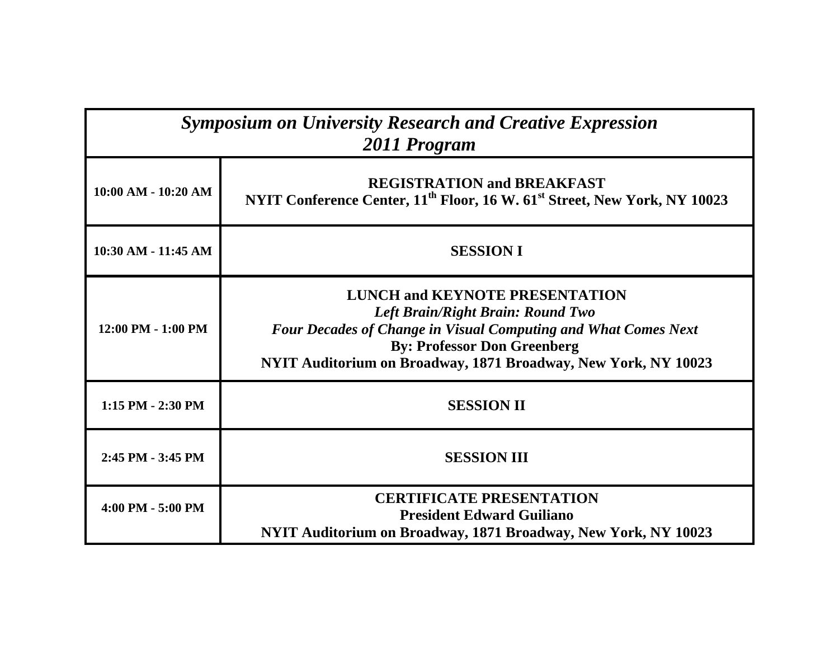| <b>Symposium on University Research and Creative Expression</b><br>2011 Program |                                                                                                                                                                                                                                                             |  |
|---------------------------------------------------------------------------------|-------------------------------------------------------------------------------------------------------------------------------------------------------------------------------------------------------------------------------------------------------------|--|
| $10:00$ AM - $10:20$ AM                                                         | <b>REGISTRATION and BREAKFAST</b><br>NYIT Conference Center, 11 <sup>th</sup> Floor, 16 W. 61 <sup>st</sup> Street, New York, NY 10023                                                                                                                      |  |
| 10:30 AM - 11:45 AM                                                             | <b>SESSION I</b>                                                                                                                                                                                                                                            |  |
| 12:00 PM - 1:00 PM                                                              | <b>LUNCH and KEYNOTE PRESENTATION</b><br>Left Brain/Right Brain: Round Two<br><b>Four Decades of Change in Visual Computing and What Comes Next</b><br><b>By: Professor Don Greenberg</b><br>NYIT Auditorium on Broadway, 1871 Broadway, New York, NY 10023 |  |
| 1:15 PM - 2:30 PM                                                               | <b>SESSION II</b>                                                                                                                                                                                                                                           |  |
| 2:45 PM - 3:45 PM                                                               | <b>SESSION III</b>                                                                                                                                                                                                                                          |  |
| 4:00 PM - 5:00 PM                                                               | <b>CERTIFICATE PRESENTATION</b><br><b>President Edward Guiliano</b><br>NYIT Auditorium on Broadway, 1871 Broadway, New York, NY 10023                                                                                                                       |  |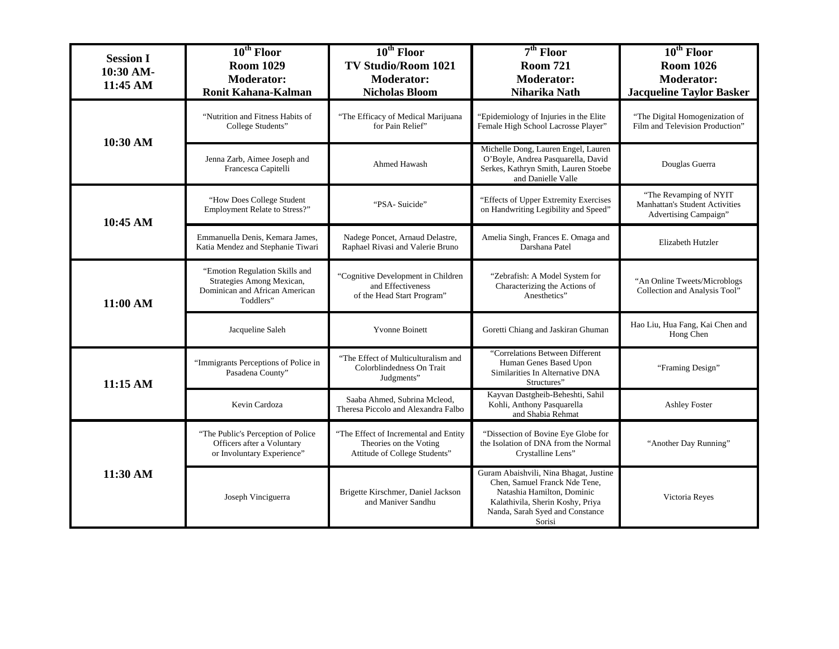| <b>Session I</b><br>10:30 AM-<br>11:45 AM | $10^{th}$ Floor<br><b>Room 1029</b><br><b>Moderator:</b><br><b>Ronit Kahana-Kalman</b>                     | $10th$ Floor<br><b>TV Studio/Room 1021</b><br><b>Moderator:</b><br><b>Nicholas Bloom</b>         | $7th$ Floor<br><b>Room 721</b><br><b>Moderator:</b><br>Niharika Nath                                                                                                                   | $10^{\text{th}}$ Floor<br><b>Room 1026</b><br><b>Moderator:</b><br><b>Jacqueline Taylor Basker</b> |
|-------------------------------------------|------------------------------------------------------------------------------------------------------------|--------------------------------------------------------------------------------------------------|----------------------------------------------------------------------------------------------------------------------------------------------------------------------------------------|----------------------------------------------------------------------------------------------------|
| 10:30 AM                                  | "Nutrition and Fitness Habits of<br>College Students"                                                      | "The Efficacy of Medical Marijuana<br>for Pain Relief"                                           | "Epidemiology of Injuries in the Elite<br>Female High School Lacrosse Player"                                                                                                          | "The Digital Homogenization of<br>Film and Television Production"                                  |
|                                           | Jenna Zarb, Aimee Joseph and<br>Francesca Capitelli                                                        | Ahmed Hawash                                                                                     | Michelle Dong, Lauren Engel, Lauren<br>O'Boyle, Andrea Pasquarella, David<br>Serkes, Kathryn Smith, Lauren Stoebe<br>and Danielle Valle                                                | Douglas Guerra                                                                                     |
| 10:45 AM                                  | "How Does College Student<br>Employment Relate to Stress?"                                                 | "PSA-Suicide"                                                                                    | "Effects of Upper Extremity Exercises<br>on Handwriting Legibility and Speed"                                                                                                          | "The Revamping of NYIT<br>Manhattan's Student Activities<br>Advertising Campaign"                  |
|                                           | Emmanuella Denis, Kemara James,<br>Katia Mendez and Stephanie Tiwari                                       | Nadege Poncet, Arnaud Delastre,<br>Raphael Rivasi and Valerie Bruno                              | Amelia Singh, Frances E. Omaga and<br>Darshana Patel                                                                                                                                   | Elizabeth Hutzler                                                                                  |
| 11:00 AM                                  | "Emotion Regulation Skills and<br>Strategies Among Mexican,<br>Dominican and African American<br>Toddlers" | "Cognitive Development in Children<br>and Effectiveness<br>of the Head Start Program"            | "Zebrafish: A Model System for<br>Characterizing the Actions of<br>Anesthetics"                                                                                                        | "An Online Tweets/Microblogs<br>Collection and Analysis Tool"                                      |
|                                           | Jacqueline Saleh                                                                                           | Yvonne Boinett                                                                                   | Goretti Chiang and Jaskiran Ghuman                                                                                                                                                     | Hao Liu, Hua Fang, Kai Chen and<br>Hong Chen                                                       |
| 11:15 AM                                  | "Immigrants Perceptions of Police in<br>Pasadena County"                                                   | "The Effect of Multiculturalism and<br>Colorblindedness On Trait<br>Judgments"                   | "Correlations Between Different<br>Human Genes Based Upon<br>Similarities In Alternative DNA<br>Structures"                                                                            | "Framing Design"                                                                                   |
|                                           | Kevin Cardoza                                                                                              | Saaba Ahmed, Subrina Mcleod,<br>Theresa Piccolo and Alexandra Falbo                              | Kayvan Dastgheib-Beheshti, Sahil<br>Kohli, Anthony Pasquarella<br>and Shabia Rehmat                                                                                                    | <b>Ashley Foster</b>                                                                               |
|                                           | "The Public's Perception of Police<br>Officers after a Voluntary<br>or Involuntary Experience"             | "The Effect of Incremental and Entity<br>Theories on the Voting<br>Attitude of College Students" | "Dissection of Bovine Eye Globe for<br>the Isolation of DNA from the Normal<br>Crystalline Lens"                                                                                       | "Another Day Running"                                                                              |
| 11:30 AM                                  | Joseph Vinciguerra                                                                                         | Brigette Kirschmer, Daniel Jackson<br>and Maniver Sandhu                                         | Guram Abaishvili, Nina Bhagat, Justine<br>Chen, Samuel Franck Nde Tene,<br>Natashia Hamilton, Dominic<br>Kalathivila, Sherin Koshy, Priya<br>Nanda, Sarah Syed and Constance<br>Sorisi | Victoria Reyes                                                                                     |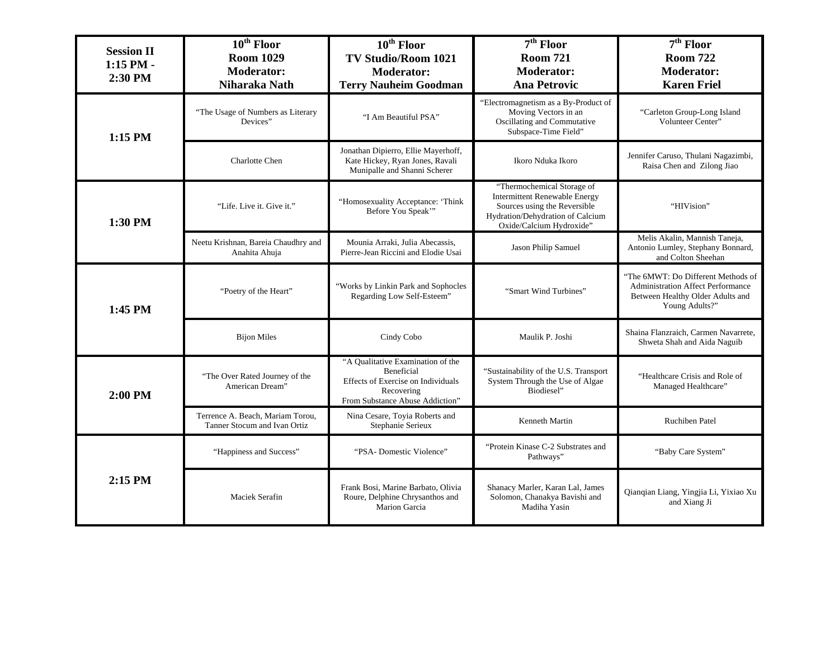| <b>Session II</b><br>$1:15$ PM -<br>2:30 PM                      | $10th$ Floor<br><b>Room 1029</b><br><b>Moderator:</b><br>Niharaka Nath | $10th$ Floor<br><b>TV Studio/Room 1021</b><br><b>Moderator:</b><br><b>Terry Nauheim Goodman</b>                                        | $7th$ Floor<br><b>Room 721</b><br><b>Moderator:</b><br><b>Ana Petrovic</b>                                                                                         | $7th$ Floor<br><b>Room 722</b><br><b>Moderator:</b><br><b>Karen Friel</b>                                                            |
|------------------------------------------------------------------|------------------------------------------------------------------------|----------------------------------------------------------------------------------------------------------------------------------------|--------------------------------------------------------------------------------------------------------------------------------------------------------------------|--------------------------------------------------------------------------------------------------------------------------------------|
| 1:15 PM                                                          | "The Usage of Numbers as Literary<br>Devices"                          | "I Am Beautiful PSA"                                                                                                                   | "Electromagnetism as a By-Product of<br>Moving Vectors in an<br>Oscillating and Commutative<br>Subspace-Time Field"                                                | "Carleton Group-Long Island<br>Volunteer Center"                                                                                     |
|                                                                  | <b>Charlotte Chen</b>                                                  | Jonathan Dipierro, Ellie Mayerhoff,<br>Kate Hickey, Ryan Jones, Ravali<br>Munipalle and Shanni Scherer                                 | Ikoro Nduka Ikoro                                                                                                                                                  | Jennifer Caruso, Thulani Nagazimbi,<br>Raisa Chen and Zilong Jiao                                                                    |
| 1:30 PM                                                          | "Life. Live it. Give it."                                              | "Homosexuality Acceptance: 'Think<br>Before You Speak"                                                                                 | "Thermochemical Storage of<br><b>Intermittent Renewable Energy</b><br>Sources using the Reversible<br>Hydration/Dehydration of Calcium<br>Oxide/Calcium Hydroxide" | "HIVision"                                                                                                                           |
|                                                                  | Neetu Krishnan, Bareia Chaudhry and<br>Anahita Ahuja                   | Mounia Arraki, Julia Abecassis,<br>Pierre-Jean Riccini and Elodie Usai                                                                 | Jason Philip Samuel                                                                                                                                                | Melis Akalin, Mannish Taneja,<br>Antonio Lumley, Stephany Bonnard,<br>and Colton Sheehan                                             |
| 1:45 PM                                                          | "Poetry of the Heart"                                                  | "Works by Linkin Park and Sophocles<br>Regarding Low Self-Esteem"                                                                      | "Smart Wind Turbines"                                                                                                                                              | "The 6MWT: Do Different Methods of<br><b>Administration Affect Performance</b><br>Between Healthy Older Adults and<br>Young Adults?" |
|                                                                  | <b>Bijon Miles</b>                                                     | Cindy Cobo                                                                                                                             | Maulik P. Joshi                                                                                                                                                    | Shaina Flanzraich, Carmen Navarrete,<br>Shweta Shah and Aida Naguib                                                                  |
| 2:00 PM                                                          | "The Over Rated Journey of the<br>American Dream"                      | "A Qualitative Examination of the<br>Beneficial<br>Effects of Exercise on Individuals<br>Recovering<br>From Substance Abuse Addiction" | "Sustainability of the U.S. Transport<br>System Through the Use of Algae<br>Biodiesel"                                                                             | "Healthcare Crisis and Role of<br>Managed Healthcare"                                                                                |
| Terrence A. Beach, Mariam Torou,<br>Tanner Stocum and Ivan Ortiz |                                                                        | Nina Cesare, Toyia Roberts and<br>Stephanie Serieux                                                                                    | Kenneth Martin                                                                                                                                                     | <b>Ruchiben Patel</b>                                                                                                                |
| $2:15$ PM                                                        | "Happiness and Success"                                                | "PSA- Domestic Violence"                                                                                                               | "Protein Kinase C-2 Substrates and<br>Pathways"                                                                                                                    | "Baby Care System"                                                                                                                   |
|                                                                  | Maciek Serafin                                                         | Frank Bosi, Marine Barbato, Olivia<br>Roure, Delphine Chrysanthos and<br>Marion Garcia                                                 | Shanacy Marler, Karan Lal, James<br>Solomon, Chanakya Bavishi and<br>Madiha Yasin                                                                                  | Qianqian Liang, Yingjia Li, Yixiao Xu<br>and Xiang Ji                                                                                |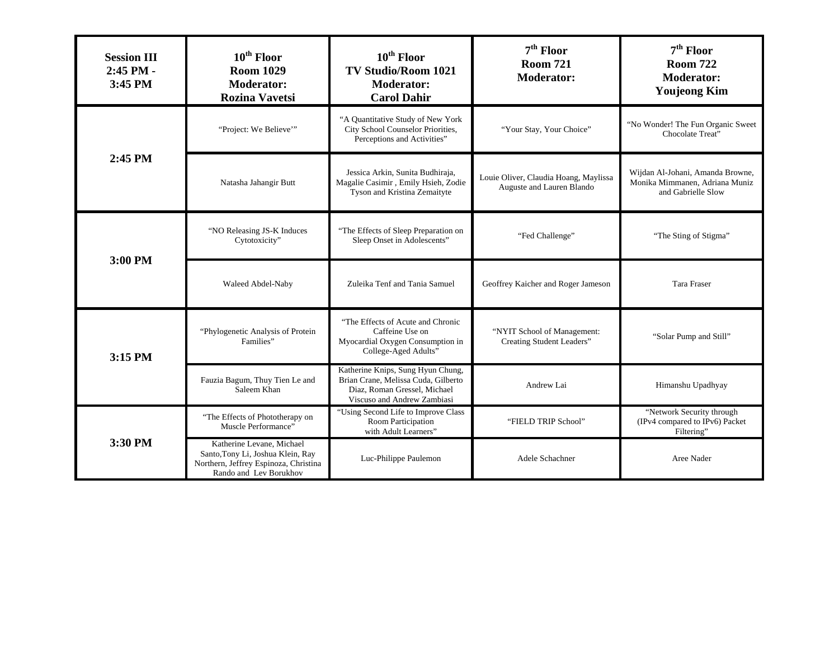| <b>Session III</b><br>2:45 PM -<br>3:45 PM                | $10^{\text{th}}$ Floor<br><b>Room 1029</b><br><b>Moderator:</b><br><b>Rozina Vavetsi</b>                                          | 10 <sup>th</sup> Floor<br><b>TV Studio/Room 1021</b><br><b>Moderator:</b><br><b>Carol Dahir</b>                                         | $7th$ Floor<br><b>Room 721</b><br><b>Moderator:</b>                | $7th$ Floor<br><b>Room 722</b><br><b>Moderator:</b><br><b>Youjeong Kim</b>               |
|-----------------------------------------------------------|-----------------------------------------------------------------------------------------------------------------------------------|-----------------------------------------------------------------------------------------------------------------------------------------|--------------------------------------------------------------------|------------------------------------------------------------------------------------------|
|                                                           | "Project: We Believe"                                                                                                             | "A Quantitative Study of New York<br>City School Counselor Priorities,<br>Perceptions and Activities"                                   | "Your Stay, Your Choice"                                           | "No Wonder! The Fun Organic Sweet<br>Chocolate Treat"                                    |
| 2:45 PM                                                   | Natasha Jahangir Butt                                                                                                             | Jessica Arkin, Sunita Budhiraja,<br>Magalie Casimir, Emily Hsieh, Zodie<br>Tyson and Kristina Zemaityte                                 | Louie Oliver, Claudia Hoang, Maylissa<br>Auguste and Lauren Blando | Wijdan Al-Johani, Amanda Browne,<br>Monika Mimmanen, Adriana Muniz<br>and Gabrielle Slow |
|                                                           | "NO Releasing JS-K Induces<br>Cytotoxicity"                                                                                       | "The Effects of Sleep Preparation on<br>Sleep Onset in Adolescents"                                                                     | "Fed Challenge"                                                    | "The Sting of Stigma"                                                                    |
| 3:00 PM                                                   | Waleed Abdel-Naby                                                                                                                 | Zuleika Tenf and Tania Samuel                                                                                                           | Geoffrey Kaicher and Roger Jameson                                 | <b>Tara Fraser</b>                                                                       |
| "Phylogenetic Analysis of Protein<br>Families"<br>3:15 PM |                                                                                                                                   | "The Effects of Acute and Chronic<br>Caffeine Use on<br>Myocardial Oxygen Consumption in<br>College-Aged Adults"                        | "NYIT School of Management:<br>Creating Student Leaders"           | "Solar Pump and Still"                                                                   |
|                                                           | Fauzia Bagum, Thuy Tien Le and<br>Saleem Khan                                                                                     | Katherine Knips, Sung Hyun Chung,<br>Brian Crane, Melissa Cuda, Gilberto<br>Diaz, Roman Gressel, Michael<br>Viscuso and Andrew Zambiasi | Andrew Lai                                                         | Himanshu Upadhyay                                                                        |
| 3:30 PM                                                   | "The Effects of Phototherapy on<br>Muscle Performance"                                                                            | "Using Second Life to Improve Class<br>Room Participation<br>with Adult Learners"                                                       | "FIELD TRIP School"                                                | "Network Security through<br>(IPv4 compared to IPv6) Packet<br>Filtering"                |
|                                                           | Katherine Levane, Michael<br>Santo, Tony Li, Joshua Klein, Ray<br>Northern, Jeffrey Espinoza, Christina<br>Rando and Lev Borukhov | Luc-Philippe Paulemon                                                                                                                   | Adele Schachner                                                    | Aree Nader                                                                               |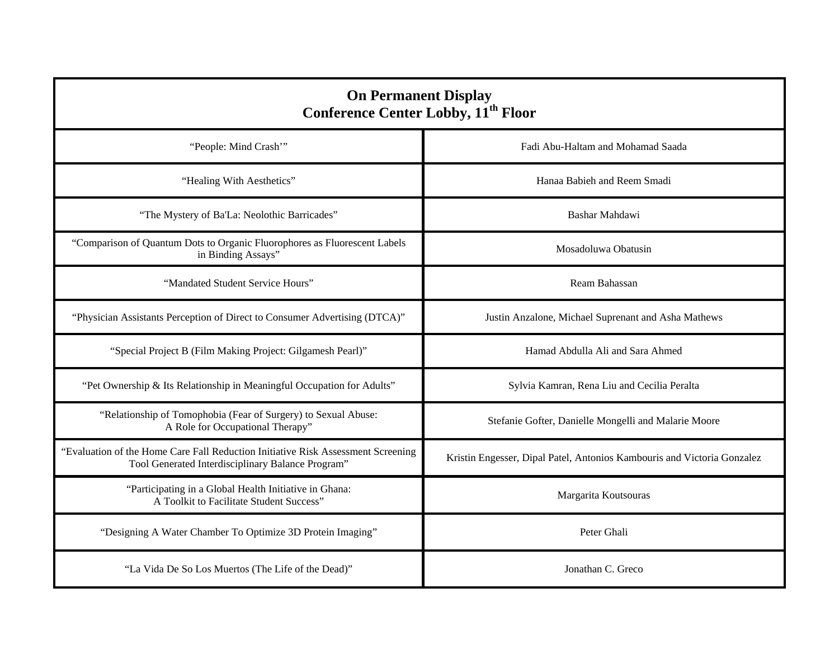| <b>On Permanent Display</b><br><b>Conference Center Lobby, 11<sup>th</sup> Floor</b>                                                  |                                                                         |  |
|---------------------------------------------------------------------------------------------------------------------------------------|-------------------------------------------------------------------------|--|
| "People: Mind Crash"                                                                                                                  | Fadi Abu-Haltam and Mohamad Saada                                       |  |
| "Healing With Aesthetics"                                                                                                             | Hanaa Babieh and Reem Smadi                                             |  |
| "The Mystery of Ba'La: Neolothic Barricades"                                                                                          | Bashar Mahdawi                                                          |  |
| "Comparison of Quantum Dots to Organic Fluorophores as Fluorescent Labels<br>in Binding Assays"                                       | Mosadoluwa Obatusin                                                     |  |
| "Mandated Student Service Hours"                                                                                                      | Ream Bahassan                                                           |  |
| "Physician Assistants Perception of Direct to Consumer Advertising (DTCA)"                                                            | Justin Anzalone, Michael Suprenant and Asha Mathews                     |  |
| "Special Project B (Film Making Project: Gilgamesh Pearl)"                                                                            | Hamad Abdulla Ali and Sara Ahmed                                        |  |
| "Pet Ownership & Its Relationship in Meaningful Occupation for Adults"                                                                | Sylvia Kamran, Rena Liu and Cecilia Peralta                             |  |
| "Relationship of Tomophobia (Fear of Surgery) to Sexual Abuse:<br>A Role for Occupational Therapy"                                    | Stefanie Gofter, Danielle Mongelli and Malarie Moore                    |  |
| "Evaluation of the Home Care Fall Reduction Initiative Risk Assessment Screening<br>Tool Generated Interdisciplinary Balance Program" | Kristin Engesser, Dipal Patel, Antonios Kambouris and Victoria Gonzalez |  |
| "Participating in a Global Health Initiative in Ghana:<br>A Toolkit to Facilitate Student Success"                                    | Margarita Koutsouras                                                    |  |
| "Designing A Water Chamber To Optimize 3D Protein Imaging"                                                                            | Peter Ghali                                                             |  |
| "La Vida De So Los Muertos (The Life of the Dead)"                                                                                    | Jonathan C. Greco                                                       |  |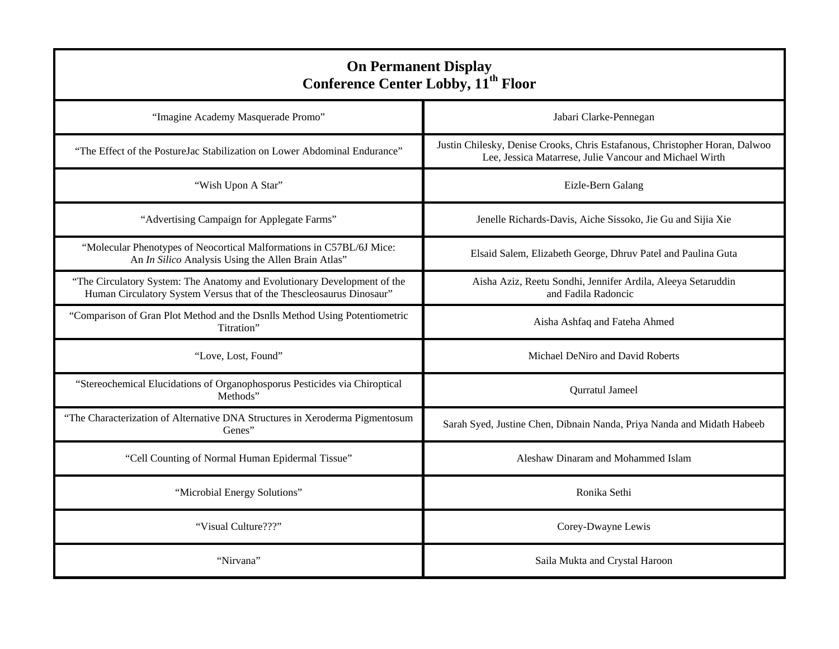| <b>On Permanent Display</b><br><b>Conference Center Lobby, 11<sup>th</sup> Floor</b>                                                             |                                                                                                                                        |  |
|--------------------------------------------------------------------------------------------------------------------------------------------------|----------------------------------------------------------------------------------------------------------------------------------------|--|
| "Imagine Academy Masquerade Promo"                                                                                                               | Jabari Clarke-Pennegan                                                                                                                 |  |
| "The Effect of the PostureJac Stabilization on Lower Abdominal Endurance"                                                                        | Justin Chilesky, Denise Crooks, Chris Estafanous, Christopher Horan, Dalwoo<br>Lee, Jessica Matarrese, Julie Vancour and Michael Wirth |  |
| "Wish Upon A Star"                                                                                                                               | Eizle-Bern Galang                                                                                                                      |  |
| "Advertising Campaign for Applegate Farms"                                                                                                       | Jenelle Richards-Davis, Aiche Sissoko, Jie Gu and Sijia Xie                                                                            |  |
| "Molecular Phenotypes of Neocortical Malformations in C57BL/6J Mice:<br>An In Silico Analysis Using the Allen Brain Atlas"                       | Elsaid Salem, Elizabeth George, Dhruv Patel and Paulina Guta                                                                           |  |
| "The Circulatory System: The Anatomy and Evolutionary Development of the<br>Human Circulatory System Versus that of the Thescleosaurus Dinosaur" | Aisha Aziz, Reetu Sondhi, Jennifer Ardila, Aleeya Setaruddin<br>and Fadila Radoncic                                                    |  |
| "Comparison of Gran Plot Method and the Dsnlls Method Using Potentiometric<br>Titration"                                                         | Aisha Ashfaq and Fateha Ahmed                                                                                                          |  |
| "Love, Lost, Found"                                                                                                                              | Michael DeNiro and David Roberts                                                                                                       |  |
| "Stereochemical Elucidations of Organophosporus Pesticides via Chiroptical<br>Methods"                                                           | Qurratul Jameel                                                                                                                        |  |
| "The Characterization of Alternative DNA Structures in Xeroderma Pigmentosum<br>Genes"                                                           | Sarah Syed, Justine Chen, Dibnain Nanda, Priya Nanda and Midath Habeeb                                                                 |  |
| "Cell Counting of Normal Human Epidermal Tissue"                                                                                                 | Aleshaw Dinaram and Mohammed Islam                                                                                                     |  |
| "Microbial Energy Solutions"                                                                                                                     | Ronika Sethi                                                                                                                           |  |
| "Visual Culture???"                                                                                                                              | Corey-Dwayne Lewis                                                                                                                     |  |
| "Nirvana"                                                                                                                                        | Saila Mukta and Crystal Haroon                                                                                                         |  |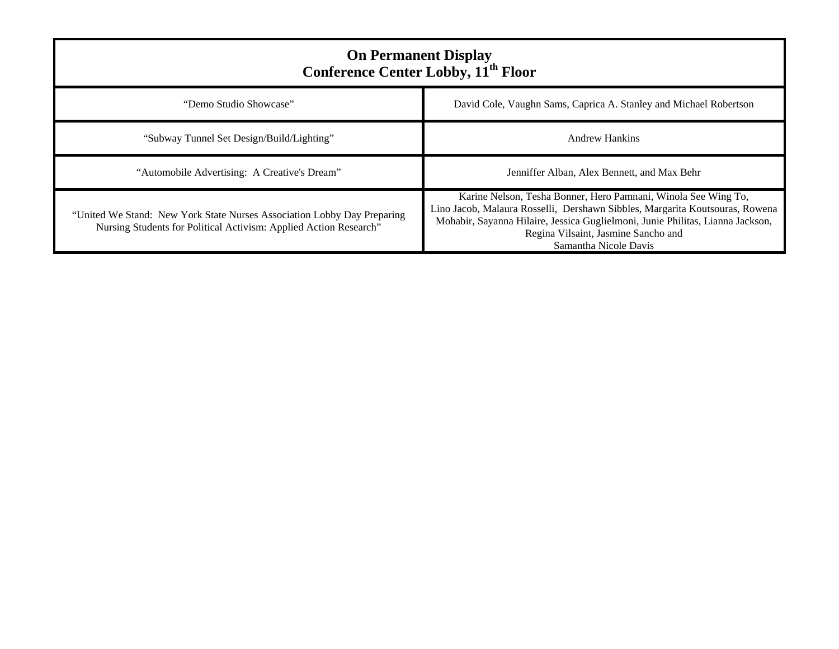| <b>On Permanent Display</b><br><b>Conference Center Lobby, 11<sup>th</sup> Floor</b>                                                         |                                                                                                                                                                                                                                                                                                  |  |
|----------------------------------------------------------------------------------------------------------------------------------------------|--------------------------------------------------------------------------------------------------------------------------------------------------------------------------------------------------------------------------------------------------------------------------------------------------|--|
| "Demo Studio Showcase"                                                                                                                       | David Cole, Vaughn Sams, Caprica A. Stanley and Michael Robertson                                                                                                                                                                                                                                |  |
| "Subway Tunnel Set Design/Build/Lighting"                                                                                                    | Andrew Hankins                                                                                                                                                                                                                                                                                   |  |
| "Automobile Advertising: A Creative's Dream"                                                                                                 | Jenniffer Alban, Alex Bennett, and Max Behr                                                                                                                                                                                                                                                      |  |
| "United We Stand: New York State Nurses Association Lobby Day Preparing<br>Nursing Students for Political Activism: Applied Action Research" | Karine Nelson, Tesha Bonner, Hero Pamnani, Winola See Wing To,<br>Lino Jacob, Malaura Rosselli, Dershawn Sibbles, Margarita Koutsouras, Rowena<br>Mohabir, Sayanna Hilaire, Jessica Guglielmoni, Junie Philitas, Lianna Jackson,<br>Regina Vilsaint, Jasmine Sancho and<br>Samantha Nicole Davis |  |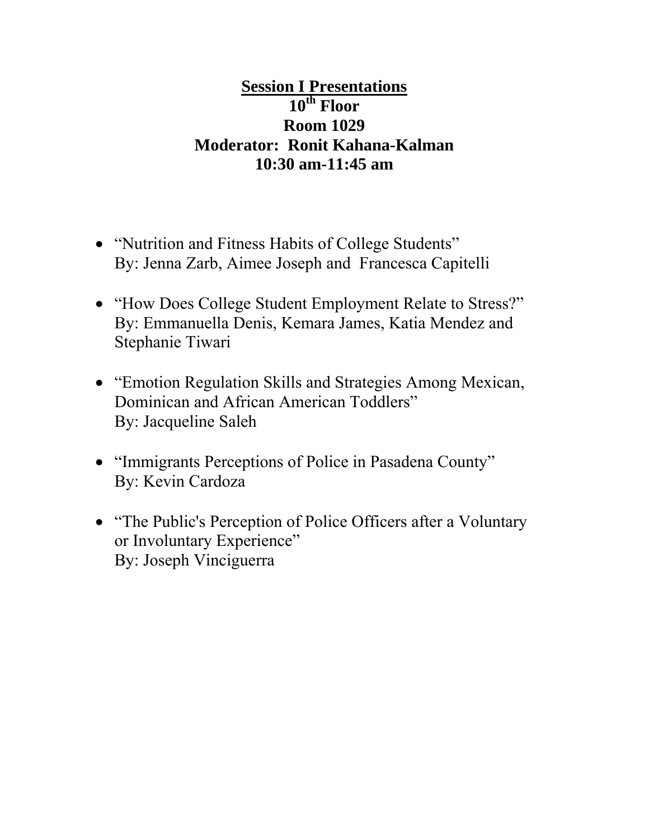# **Session I Presentations 10th Floor Room 1029 Moderator: Ronit Kahana-Kalman 10:30 am-11:45 am**

- "Nutrition and Fitness Habits of College Students" By: Jenna Zarb, Aimee Joseph and Francesca Capitelli
- "How Does College Student Employment Relate to Stress?" By: Emmanuella Denis, Kemara James, Katia Mendez and Stephanie Tiwari
- "Emotion Regulation Skills and Strategies Among Mexican, Dominican and African American Toddlers" By: Jacqueline Saleh
- "Immigrants Perceptions of Police in Pasadena County" By: Kevin Cardoza
- "The Public's Perception of Police Officers after a Voluntary or Involuntary Experience" By: Joseph Vinciguerra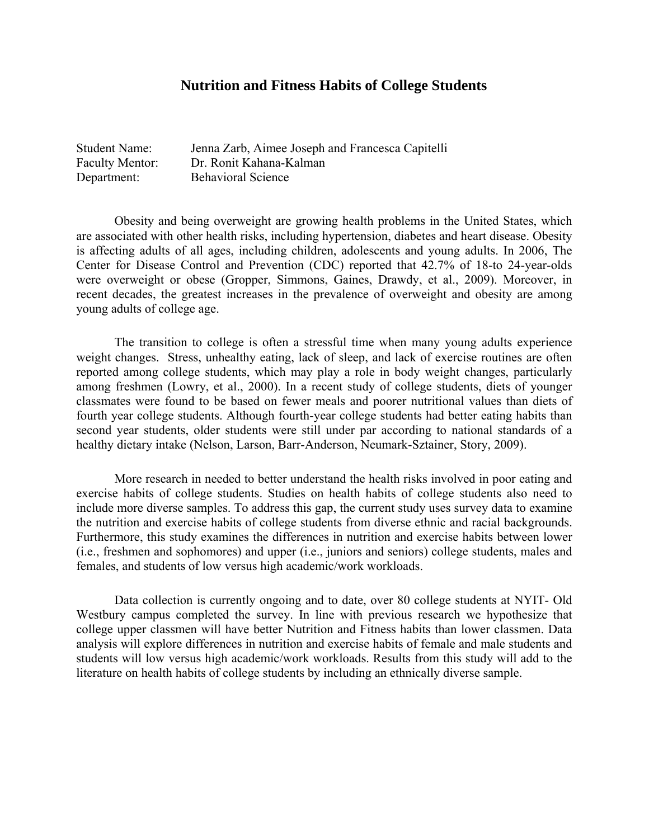### **Nutrition and Fitness Habits of College Students**

| <b>Student Name:</b>   | Jenna Zarb, Aimee Joseph and Francesca Capitelli |
|------------------------|--------------------------------------------------|
| <b>Faculty Mentor:</b> | Dr. Ronit Kahana-Kalman                          |
| Department:            | <b>Behavioral Science</b>                        |

 Obesity and being overweight are growing health problems in the United States, which are associated with other health risks, including hypertension, diabetes and heart disease. Obesity is affecting adults of all ages, including children, adolescents and young adults. In 2006, The Center for Disease Control and Prevention (CDC) reported that 42.7% of 18-to 24-year-olds were overweight or obese (Gropper, Simmons, Gaines, Drawdy, et al., 2009). Moreover, in recent decades, the greatest increases in the prevalence of overweight and obesity are among young adults of college age.

 The transition to college is often a stressful time when many young adults experience weight changes. Stress, unhealthy eating, lack of sleep, and lack of exercise routines are often reported among college students, which may play a role in body weight changes, particularly among freshmen (Lowry, et al., 2000). In a recent study of college students, diets of younger classmates were found to be based on fewer meals and poorer nutritional values than diets of fourth year college students. Although fourth-year college students had better eating habits than second year students, older students were still under par according to national standards of a healthy dietary intake (Nelson, Larson, Barr-Anderson, Neumark-Sztainer, Story, 2009).

 More research in needed to better understand the health risks involved in poor eating and exercise habits of college students. Studies on health habits of college students also need to include more diverse samples. To address this gap, the current study uses survey data to examine the nutrition and exercise habits of college students from diverse ethnic and racial backgrounds. Furthermore, this study examines the differences in nutrition and exercise habits between lower (i.e., freshmen and sophomores) and upper (i.e., juniors and seniors) college students, males and females, and students of low versus high academic/work workloads.

 Data collection is currently ongoing and to date, over 80 college students at NYIT- Old Westbury campus completed the survey. In line with previous research we hypothesize that college upper classmen will have better Nutrition and Fitness habits than lower classmen. Data analysis will explore differences in nutrition and exercise habits of female and male students and students will low versus high academic/work workloads. Results from this study will add to the literature on health habits of college students by including an ethnically diverse sample.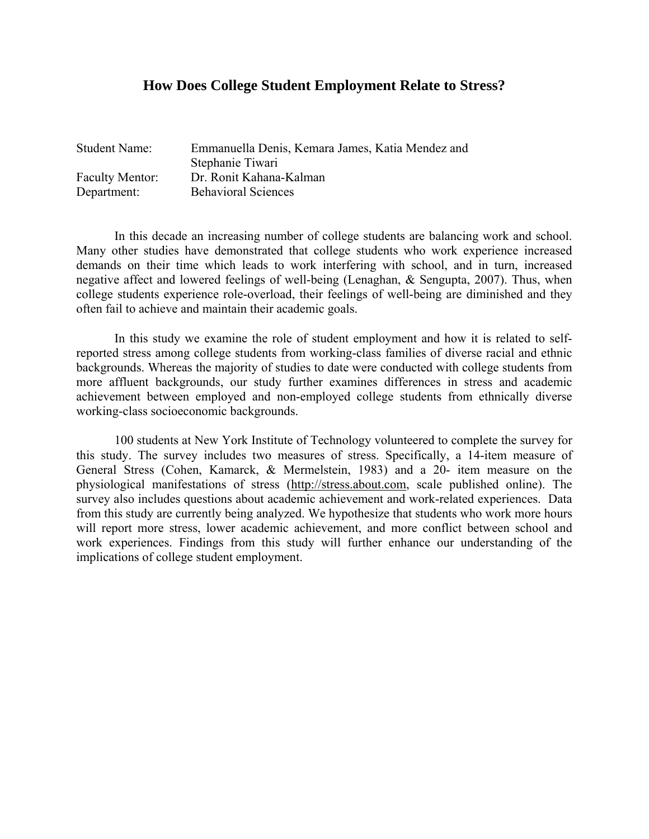### **How Does College Student Employment Relate to Stress?**

| <b>Student Name:</b>   | Emmanuella Denis, Kemara James, Katia Mendez and |
|------------------------|--------------------------------------------------|
|                        | Stephanie Tiwari                                 |
| <b>Faculty Mentor:</b> | Dr. Ronit Kahana-Kalman                          |
| Department:            | <b>Behavioral Sciences</b>                       |

In this decade an increasing number of college students are balancing work and school. Many other studies have demonstrated that college students who work experience increased demands on their time which leads to work interfering with school, and in turn, increased negative affect and lowered feelings of well-being (Lenaghan, & Sengupta, 2007). Thus, when college students experience role-overload, their feelings of well-being are diminished and they often fail to achieve and maintain their academic goals.

In this study we examine the role of student employment and how it is related to selfreported stress among college students from working-class families of diverse racial and ethnic backgrounds. Whereas the majority of studies to date were conducted with college students from more affluent backgrounds, our study further examines differences in stress and academic achievement between employed and non-employed college students from ethnically diverse working-class socioeconomic backgrounds.

100 students at New York Institute of Technology volunteered to complete the survey for this study. The survey includes two measures of stress. Specifically, a 14-item measure of General Stress (Cohen, Kamarck, & Mermelstein, 1983) and a 20- item measure on the physiological manifestations of stress (http://stress.about.com, scale published online). The survey also includes questions about academic achievement and work-related experiences. Data from this study are currently being analyzed. We hypothesize that students who work more hours will report more stress, lower academic achievement, and more conflict between school and work experiences. Findings from this study will further enhance our understanding of the implications of college student employment.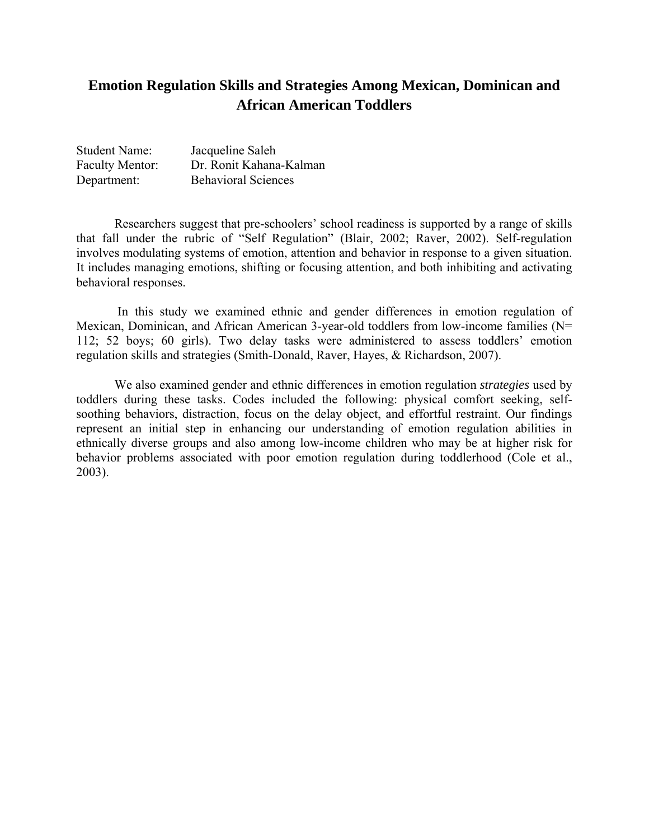# **Emotion Regulation Skills and Strategies Among Mexican, Dominican and African American Toddlers**

| <b>Student Name:</b>   | Jacqueline Saleh           |
|------------------------|----------------------------|
| <b>Faculty Mentor:</b> | Dr. Ronit Kahana-Kalman    |
| Department:            | <b>Behavioral Sciences</b> |

Researchers suggest that pre-schoolers' school readiness is supported by a range of skills that fall under the rubric of "Self Regulation" (Blair, 2002; Raver, 2002). Self-regulation involves modulating systems of emotion, attention and behavior in response to a given situation. It includes managing emotions, shifting or focusing attention, and both inhibiting and activating behavioral responses.

 In this study we examined ethnic and gender differences in emotion regulation of Mexican, Dominican, and African American 3-year-old toddlers from low-income families (N= 112; 52 boys; 60 girls). Two delay tasks were administered to assess toddlers' emotion regulation skills and strategies (Smith-Donald, Raver, Hayes, & Richardson, 2007).

We also examined gender and ethnic differences in emotion regulation *strategies* used by toddlers during these tasks. Codes included the following: physical comfort seeking, selfsoothing behaviors, distraction, focus on the delay object, and effortful restraint. Our findings represent an initial step in enhancing our understanding of emotion regulation abilities in ethnically diverse groups and also among low-income children who may be at higher risk for behavior problems associated with poor emotion regulation during toddlerhood (Cole et al., 2003).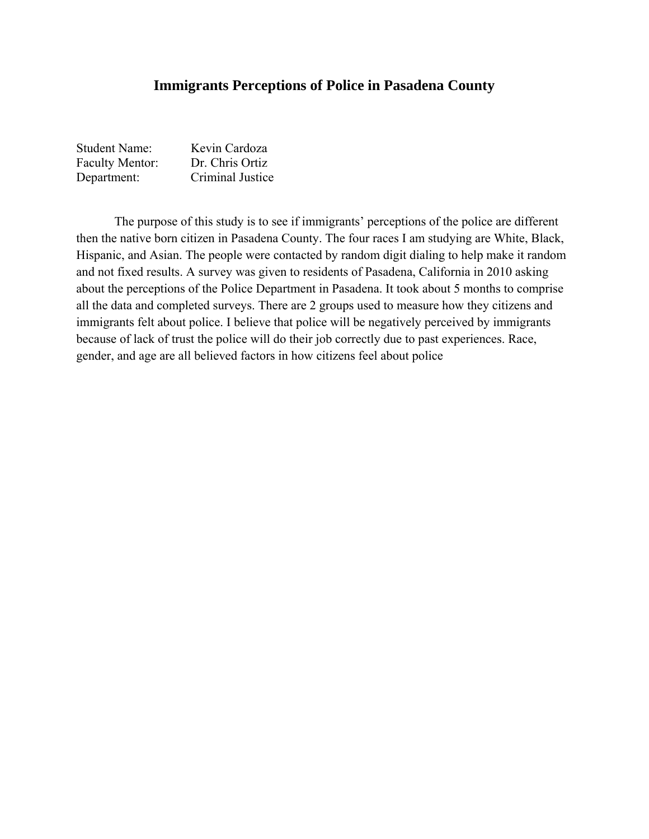### **Immigrants Perceptions of Police in Pasadena County**

| <b>Student Name:</b>   | Kevin Cardoza    |
|------------------------|------------------|
| <b>Faculty Mentor:</b> | Dr. Chris Ortiz  |
| Department:            | Criminal Justice |

 The purpose of this study is to see if immigrants' perceptions of the police are different then the native born citizen in Pasadena County. The four races I am studying are White, Black, Hispanic, and Asian. The people were contacted by random digit dialing to help make it random and not fixed results. A survey was given to residents of Pasadena, California in 2010 asking about the perceptions of the Police Department in Pasadena. It took about 5 months to comprise all the data and completed surveys. There are 2 groups used to measure how they citizens and immigrants felt about police. I believe that police will be negatively perceived by immigrants because of lack of trust the police will do their job correctly due to past experiences. Race, gender, and age are all believed factors in how citizens feel about police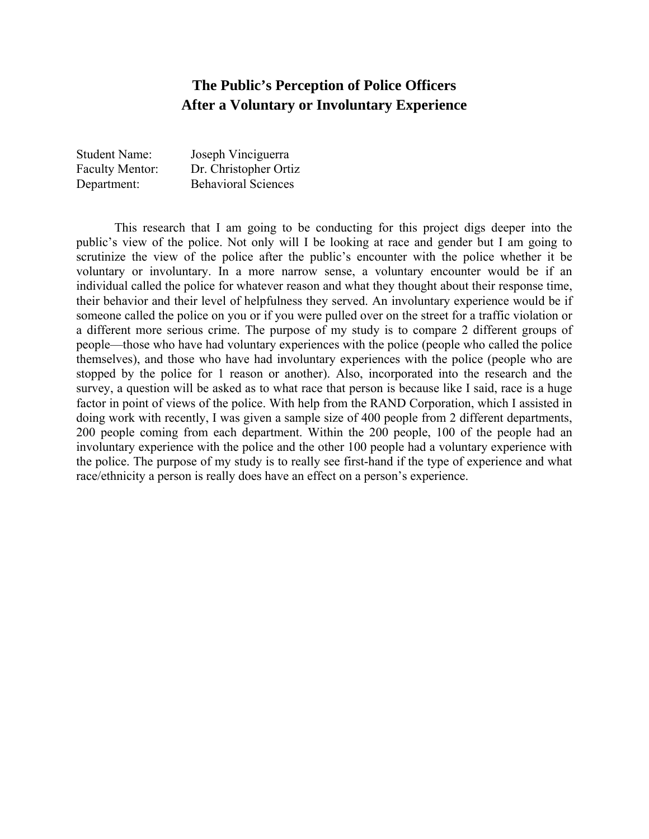# **The Public's Perception of Police Officers After a Voluntary or Involuntary Experience**

| <b>Student Name:</b>   | Joseph Vinciguerra         |
|------------------------|----------------------------|
| <b>Faculty Mentor:</b> | Dr. Christopher Ortiz      |
| Department:            | <b>Behavioral Sciences</b> |

 This research that I am going to be conducting for this project digs deeper into the public's view of the police. Not only will I be looking at race and gender but I am going to scrutinize the view of the police after the public's encounter with the police whether it be voluntary or involuntary. In a more narrow sense, a voluntary encounter would be if an individual called the police for whatever reason and what they thought about their response time, their behavior and their level of helpfulness they served. An involuntary experience would be if someone called the police on you or if you were pulled over on the street for a traffic violation or a different more serious crime. The purpose of my study is to compare 2 different groups of people—those who have had voluntary experiences with the police (people who called the police themselves), and those who have had involuntary experiences with the police (people who are stopped by the police for 1 reason or another). Also, incorporated into the research and the survey, a question will be asked as to what race that person is because like I said, race is a huge factor in point of views of the police. With help from the RAND Corporation, which I assisted in doing work with recently, I was given a sample size of 400 people from 2 different departments, 200 people coming from each department. Within the 200 people, 100 of the people had an involuntary experience with the police and the other 100 people had a voluntary experience with the police. The purpose of my study is to really see first-hand if the type of experience and what race/ethnicity a person is really does have an effect on a person's experience.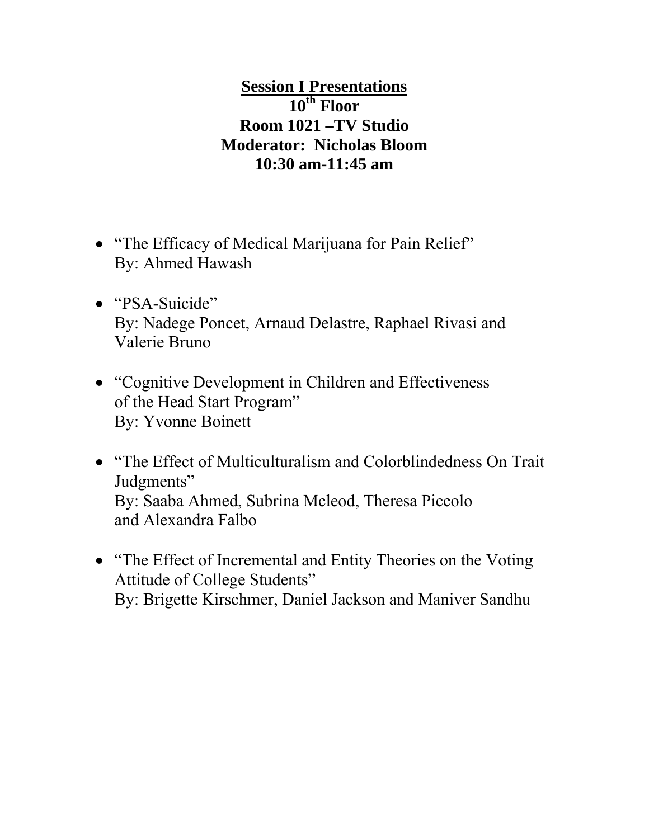# **Session I Presentations 10th Floor Room 1021 –TV Studio Moderator: Nicholas Bloom 10:30 am-11:45 am**

- "The Efficacy of Medical Marijuana for Pain Relief" By: Ahmed Hawash
- "PSA-Suicide" By: Nadege Poncet, Arnaud Delastre, Raphael Rivasi and Valerie Bruno
- "Cognitive Development in Children and Effectiveness of the Head Start Program" By: Yvonne Boinett
- "The Effect of Multiculturalism and Colorblindedness On Trait Judgments" By: Saaba Ahmed, Subrina Mcleod, Theresa Piccolo and Alexandra Falbo
- "The Effect of Incremental and Entity Theories on the Voting Attitude of College Students" By: Brigette Kirschmer, Daniel Jackson and Maniver Sandhu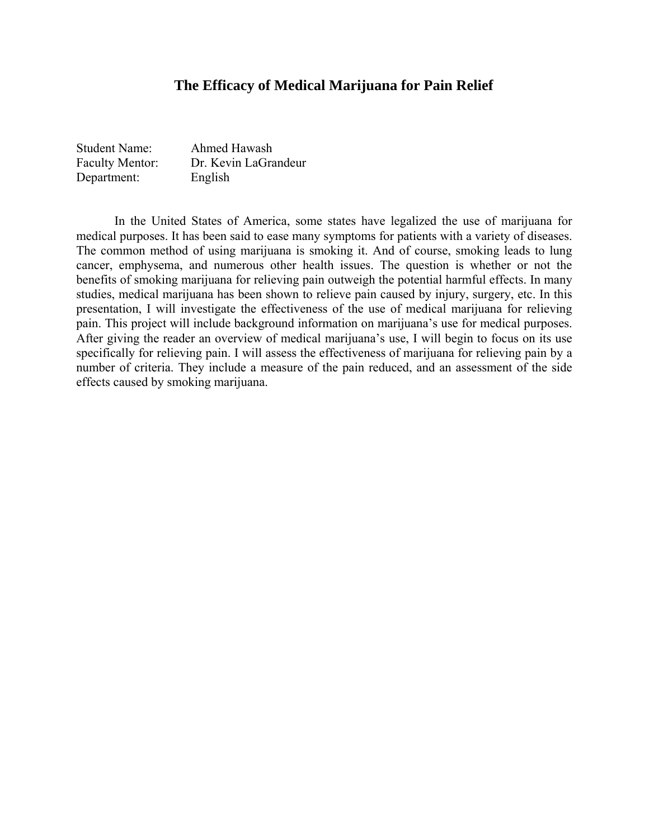### **The Efficacy of Medical Marijuana for Pain Relief**

| <b>Student Name:</b>   | Ahmed Hawash         |
|------------------------|----------------------|
| <b>Faculty Mentor:</b> | Dr. Kevin LaGrandeur |
| Department:            | English              |

In the United States of America, some states have legalized the use of marijuana for medical purposes. It has been said to ease many symptoms for patients with a variety of diseases. The common method of using marijuana is smoking it. And of course, smoking leads to lung cancer, emphysema, and numerous other health issues. The question is whether or not the benefits of smoking marijuana for relieving pain outweigh the potential harmful effects. In many studies, medical marijuana has been shown to relieve pain caused by injury, surgery, etc. In this presentation, I will investigate the effectiveness of the use of medical marijuana for relieving pain. This project will include background information on marijuana's use for medical purposes. After giving the reader an overview of medical marijuana's use, I will begin to focus on its use specifically for relieving pain. I will assess the effectiveness of marijuana for relieving pain by a number of criteria. They include a measure of the pain reduced, and an assessment of the side effects caused by smoking marijuana.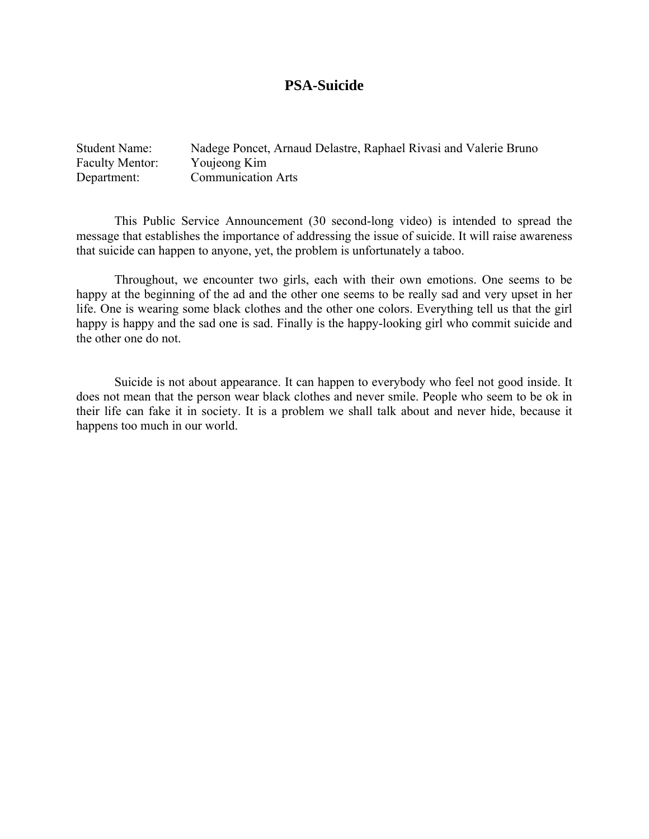### **PSA-Suicide**

| <b>Student Name:</b>   | Nadege Poncet, Arnaud Delastre, Raphael Rivasi and Valerie Bruno |
|------------------------|------------------------------------------------------------------|
| <b>Faculty Mentor:</b> | Youjeong Kim                                                     |
| Department:            | <b>Communication Arts</b>                                        |

This Public Service Announcement (30 second-long video) is intended to spread the message that establishes the importance of addressing the issue of suicide. It will raise awareness that suicide can happen to anyone, yet, the problem is unfortunately a taboo.

Throughout, we encounter two girls, each with their own emotions. One seems to be happy at the beginning of the ad and the other one seems to be really sad and very upset in her life. One is wearing some black clothes and the other one colors. Everything tell us that the girl happy is happy and the sad one is sad. Finally is the happy-looking girl who commit suicide and the other one do not.

Suicide is not about appearance. It can happen to everybody who feel not good inside. It does not mean that the person wear black clothes and never smile. People who seem to be ok in their life can fake it in society. It is a problem we shall talk about and never hide, because it happens too much in our world.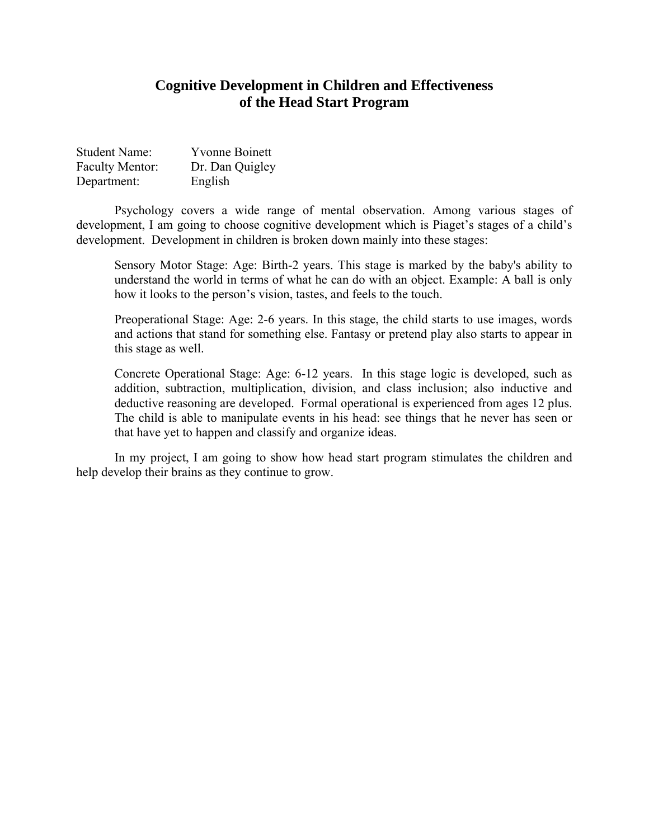### **Cognitive Development in Children and Effectiveness of the Head Start Program**

| <b>Student Name:</b>   | <b>Yvonne Boinett</b> |
|------------------------|-----------------------|
| <b>Faculty Mentor:</b> | Dr. Dan Quigley       |
| Department:            | English               |

Psychology covers a wide range of mental observation. Among various stages of development, I am going to choose cognitive development which is Piaget's stages of a child's development. Development in children is broken down mainly into these stages:

Sensory Motor Stage: Age: Birth-2 years. This stage is marked by the baby's ability to understand the world in terms of what he can do with an object. Example: A ball is only how it looks to the person's vision, tastes, and feels to the touch.

Preoperational Stage: Age: 2-6 years. In this stage, the child starts to use images, words and actions that stand for something else. Fantasy or pretend play also starts to appear in this stage as well.

Concrete Operational Stage: Age: 6-12 years. In this stage logic is developed, such as addition, subtraction, multiplication, division, and class inclusion; also inductive and deductive reasoning are developed. Formal operational is experienced from ages 12 plus. The child is able to manipulate events in his head: see things that he never has seen or that have yet to happen and classify and organize ideas.

In my project, I am going to show how head start program stimulates the children and help develop their brains as they continue to grow.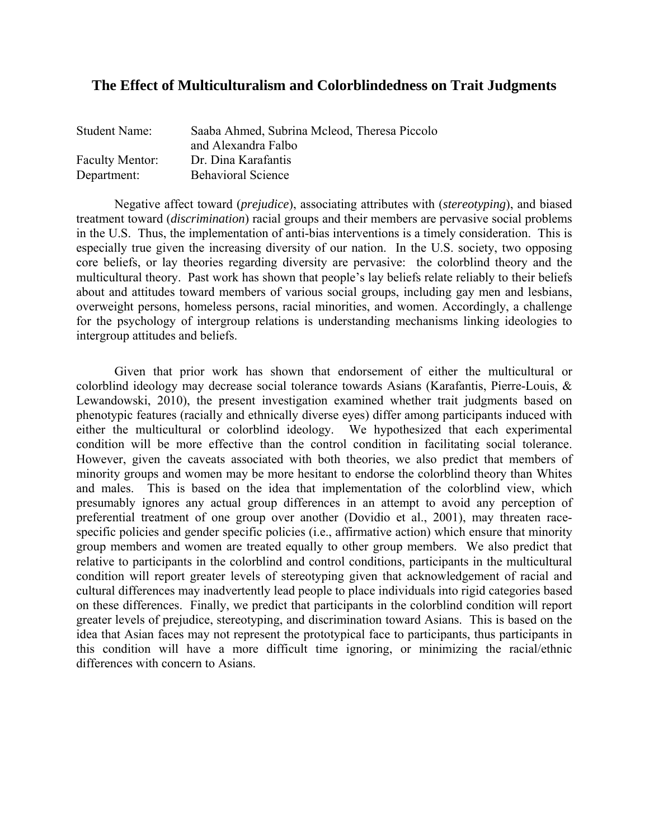### **The Effect of Multiculturalism and Colorblindedness on Trait Judgments**

| <b>Student Name:</b>   | Saaba Ahmed, Subrina Mcleod, Theresa Piccolo |
|------------------------|----------------------------------------------|
|                        | and Alexandra Falbo                          |
| <b>Faculty Mentor:</b> | Dr. Dina Karafantis                          |
| Department:            | <b>Behavioral Science</b>                    |

Negative affect toward (*prejudice*), associating attributes with (*stereotyping*), and biased treatment toward (*discrimination*) racial groups and their members are pervasive social problems in the U.S. Thus, the implementation of anti-bias interventions is a timely consideration. This is especially true given the increasing diversity of our nation. In the U.S. society, two opposing core beliefs, or lay theories regarding diversity are pervasive: the colorblind theory and the multicultural theory. Past work has shown that people's lay beliefs relate reliably to their beliefs about and attitudes toward members of various social groups, including gay men and lesbians, overweight persons, homeless persons, racial minorities, and women. Accordingly, a challenge for the psychology of intergroup relations is understanding mechanisms linking ideologies to intergroup attitudes and beliefs.

Given that prior work has shown that endorsement of either the multicultural or colorblind ideology may decrease social tolerance towards Asians (Karafantis, Pierre-Louis, & Lewandowski, 2010), the present investigation examined whether trait judgments based on phenotypic features (racially and ethnically diverse eyes) differ among participants induced with either the multicultural or colorblind ideology. We hypothesized that each experimental condition will be more effective than the control condition in facilitating social tolerance. However, given the caveats associated with both theories, we also predict that members of minority groups and women may be more hesitant to endorse the colorblind theory than Whites and males. This is based on the idea that implementation of the colorblind view, which presumably ignores any actual group differences in an attempt to avoid any perception of preferential treatment of one group over another (Dovidio et al., 2001), may threaten racespecific policies and gender specific policies (i.e., affirmative action) which ensure that minority group members and women are treated equally to other group members. We also predict that relative to participants in the colorblind and control conditions, participants in the multicultural condition will report greater levels of stereotyping given that acknowledgement of racial and cultural differences may inadvertently lead people to place individuals into rigid categories based on these differences. Finally, we predict that participants in the colorblind condition will report greater levels of prejudice, stereotyping, and discrimination toward Asians. This is based on the idea that Asian faces may not represent the prototypical face to participants, thus participants in this condition will have a more difficult time ignoring, or minimizing the racial/ethnic differences with concern to Asians.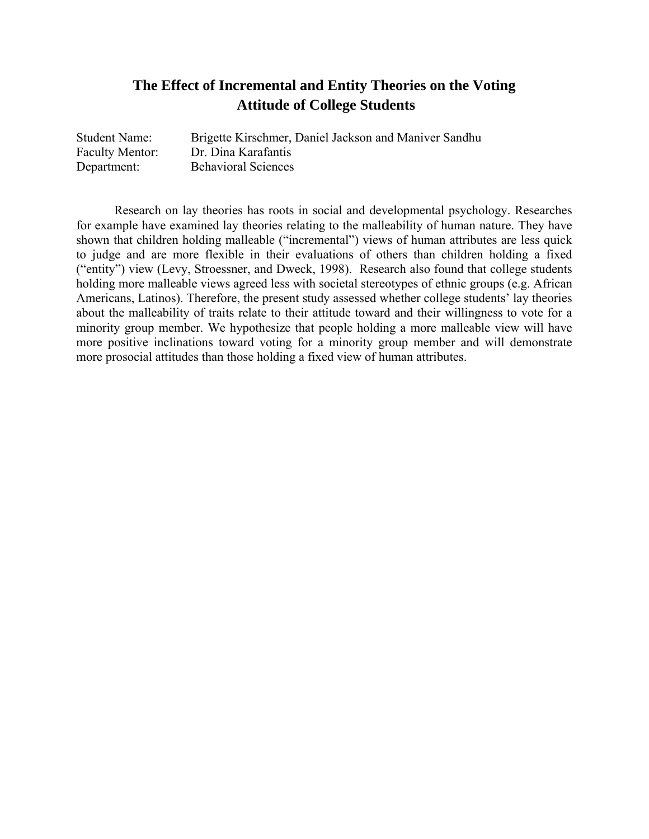# **The Effect of Incremental and Entity Theories on the Voting Attitude of College Students**

| <b>Student Name:</b>   | Brigette Kirschmer, Daniel Jackson and Maniver Sandhu |
|------------------------|-------------------------------------------------------|
| <b>Faculty Mentor:</b> | Dr. Dina Karafantis                                   |
| Department:            | <b>Behavioral Sciences</b>                            |

 Research on lay theories has roots in social and developmental psychology. Researches for example have examined lay theories relating to the malleability of human nature. They have shown that children holding malleable ("incremental") views of human attributes are less quick to judge and are more flexible in their evaluations of others than children holding a fixed ("entity") view (Levy, Stroessner, and Dweck, 1998). Research also found that college students holding more malleable views agreed less with societal stereotypes of ethnic groups (e.g. African Americans, Latinos). Therefore, the present study assessed whether college students' lay theories about the malleability of traits relate to their attitude toward and their willingness to vote for a minority group member. We hypothesize that people holding a more malleable view will have more positive inclinations toward voting for a minority group member and will demonstrate more prosocial attitudes than those holding a fixed view of human attributes.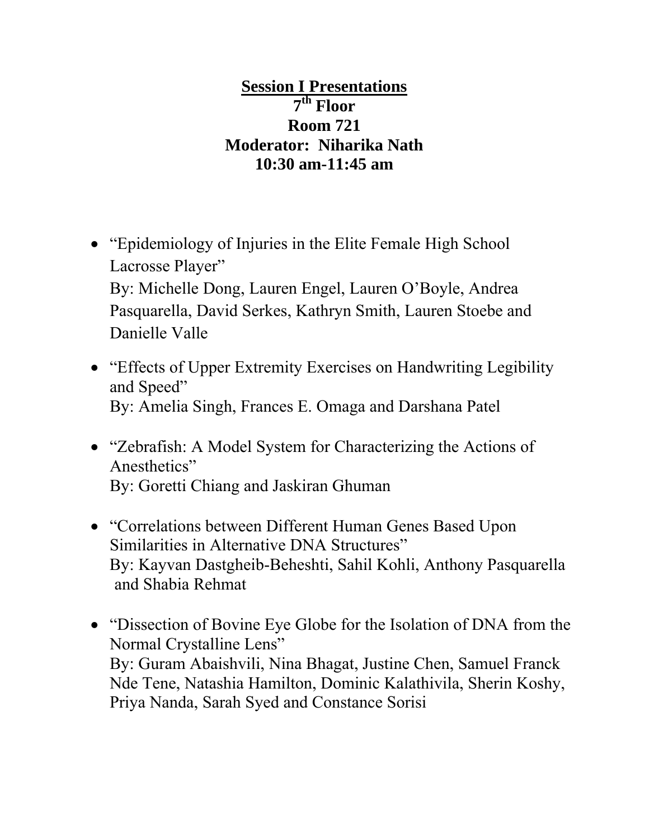# **Session I Presentations 7th Floor Room 721 Moderator: Niharika Nath 10:30 am-11:45 am**

- "Epidemiology of Injuries in the Elite Female High School Lacrosse Player" By: Michelle Dong, Lauren Engel, Lauren O'Boyle, Andrea Pasquarella, David Serkes, Kathryn Smith, Lauren Stoebe and Danielle Valle
- "Effects of Upper Extremity Exercises on Handwriting Legibility and Speed" By: Amelia Singh, Frances E. Omaga and Darshana Patel
- "Zebrafish: A Model System for Characterizing the Actions of Anesthetics" By: Goretti Chiang and Jaskiran Ghuman
- "Correlations between Different Human Genes Based Upon Similarities in Alternative DNA Structures" By: Kayvan Dastgheib-Beheshti, Sahil Kohli, Anthony Pasquarella and Shabia Rehmat
- "Dissection of Bovine Eye Globe for the Isolation of DNA from the Normal Crystalline Lens" By: Guram Abaishvili, Nina Bhagat, Justine Chen, Samuel Franck Nde Tene, Natashia Hamilton, Dominic Kalathivila, Sherin Koshy, Priya Nanda, Sarah Syed and Constance Sorisi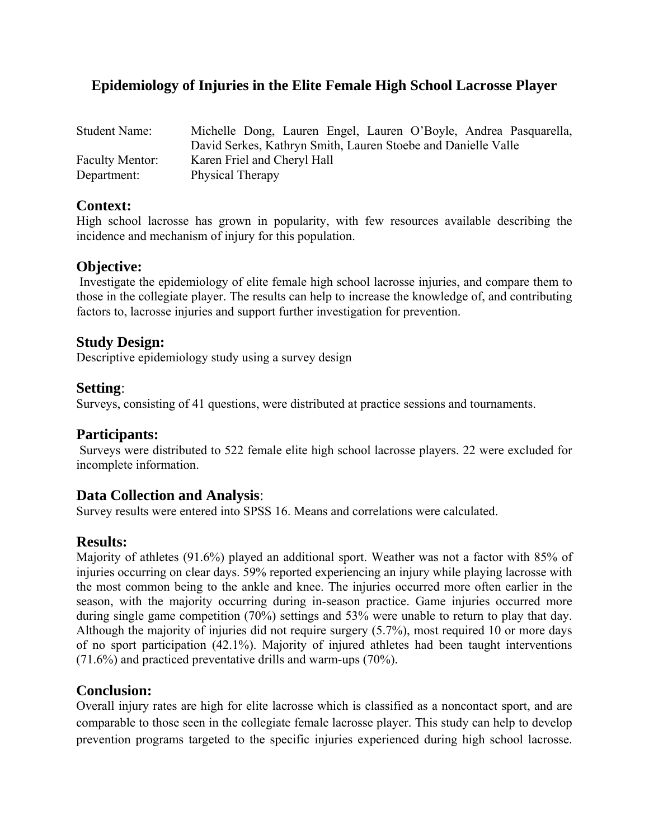### **Epidemiology of Injuries in the Elite Female High School Lacrosse Player**

| <b>Student Name:</b>   | Michelle Dong, Lauren Engel, Lauren O'Boyle, Andrea Pasquarella, |
|------------------------|------------------------------------------------------------------|
|                        | David Serkes, Kathryn Smith, Lauren Stoebe and Danielle Valle    |
| <b>Faculty Mentor:</b> | Karen Friel and Cheryl Hall                                      |
| Department:            | Physical Therapy                                                 |

### **Context:**

High school lacrosse has grown in popularity, with few resources available describing the incidence and mechanism of injury for this population.

### **Objective:**

 Investigate the epidemiology of elite female high school lacrosse injuries, and compare them to those in the collegiate player. The results can help to increase the knowledge of, and contributing factors to, lacrosse injuries and support further investigation for prevention.

### **Study Design:**

Descriptive epidemiology study using a survey design

### **Setting**:

Surveys, consisting of 41 questions, were distributed at practice sessions and tournaments.

### **Participants:**

 Surveys were distributed to 522 female elite high school lacrosse players. 22 were excluded for incomplete information.

### **Data Collection and Analysis**:

Survey results were entered into SPSS 16. Means and correlations were calculated.

### **Results:**

Majority of athletes (91.6%) played an additional sport. Weather was not a factor with 85% of injuries occurring on clear days. 59% reported experiencing an injury while playing lacrosse with the most common being to the ankle and knee. The injuries occurred more often earlier in the season, with the majority occurring during in-season practice. Game injuries occurred more during single game competition (70%) settings and 53% were unable to return to play that day. Although the majority of injuries did not require surgery (5.7%), most required 10 or more days of no sport participation (42.1%). Majority of injured athletes had been taught interventions (71.6%) and practiced preventative drills and warm-ups (70%).

### **Conclusion:**

Overall injury rates are high for elite lacrosse which is classified as a noncontact sport, and are comparable to those seen in the collegiate female lacrosse player. This study can help to develop prevention programs targeted to the specific injuries experienced during high school lacrosse.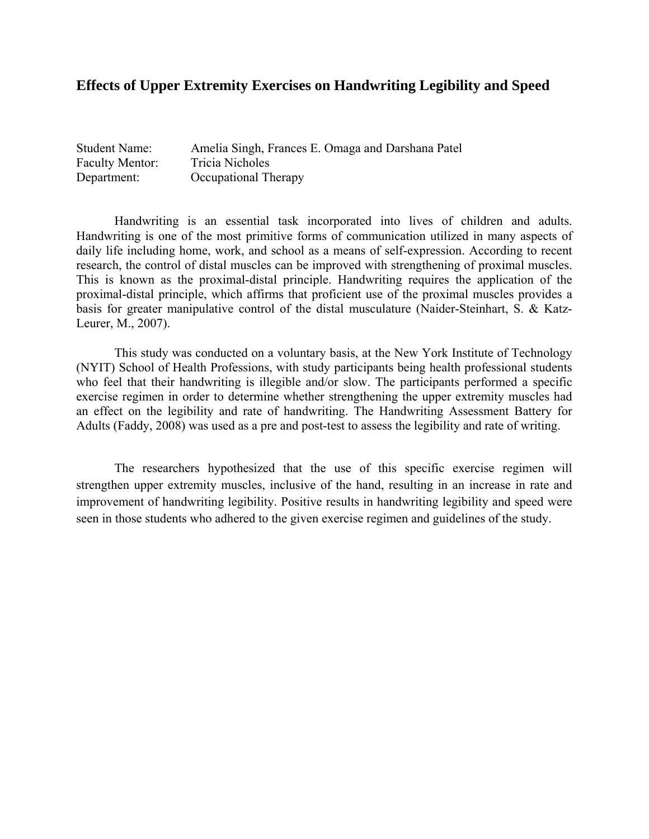### **Effects of Upper Extremity Exercises on Handwriting Legibility and Speed**

| <b>Student Name:</b>   | Amelia Singh, Frances E. Omaga and Darshana Patel |
|------------------------|---------------------------------------------------|
| <b>Faculty Mentor:</b> | Tricia Nicholes                                   |
| Department:            | Occupational Therapy                              |

 Handwriting is an essential task incorporated into lives of children and adults. Handwriting is one of the most primitive forms of communication utilized in many aspects of daily life including home, work, and school as a means of self-expression. According to recent research, the control of distal muscles can be improved with strengthening of proximal muscles. This is known as the proximal-distal principle. Handwriting requires the application of the proximal-distal principle, which affirms that proficient use of the proximal muscles provides a basis for greater manipulative control of the distal musculature (Naider-Steinhart, S. & Katz-Leurer, M., 2007).

 This study was conducted on a voluntary basis, at the New York Institute of Technology (NYIT) School of Health Professions, with study participants being health professional students who feel that their handwriting is illegible and/or slow. The participants performed a specific exercise regimen in order to determine whether strengthening the upper extremity muscles had an effect on the legibility and rate of handwriting. The Handwriting Assessment Battery for Adults (Faddy, 2008) was used as a pre and post-test to assess the legibility and rate of writing.

 The researchers hypothesized that the use of this specific exercise regimen will strengthen upper extremity muscles, inclusive of the hand, resulting in an increase in rate and improvement of handwriting legibility. Positive results in handwriting legibility and speed were seen in those students who adhered to the given exercise regimen and guidelines of the study.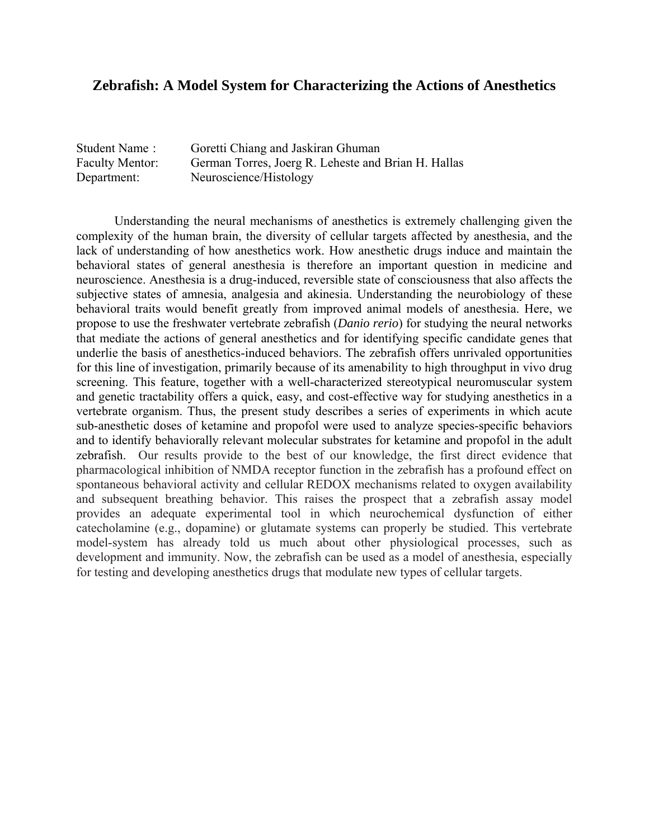### **Zebrafish: A Model System for Characterizing the Actions of Anesthetics**

Student Name : Goretti Chiang and Jaskiran Ghuman Faculty Mentor: German Torres, Joerg R. Leheste and Brian H. Hallas Department: Neuroscience/Histology

Understanding the neural mechanisms of anesthetics is extremely challenging given the complexity of the human brain, the diversity of cellular targets affected by anesthesia, and the lack of understanding of how anesthetics work. How anesthetic drugs induce and maintain the behavioral states of general anesthesia is therefore an important question in medicine and neuroscience. Anesthesia is a drug-induced, reversible state of consciousness that also affects the subjective states of amnesia, analgesia and akinesia. Understanding the neurobiology of these behavioral traits would benefit greatly from improved animal models of anesthesia. Here, we propose to use the freshwater vertebrate zebrafish (*Danio rerio*) for studying the neural networks that mediate the actions of general anesthetics and for identifying specific candidate genes that underlie the basis of anesthetics-induced behaviors. The zebrafish offers unrivaled opportunities for this line of investigation, primarily because of its amenability to high throughput in vivo drug screening. This feature, together with a well-characterized stereotypical neuromuscular system and genetic tractability offers a quick, easy, and cost-effective way for studying anesthetics in a vertebrate organism. Thus, the present study describes a series of experiments in which acute sub-anesthetic doses of ketamine and propofol were used to analyze species-specific behaviors and to identify behaviorally relevant molecular substrates for ketamine and propofol in the adult zebrafish. Our results provide to the best of our knowledge, the first direct evidence that pharmacological inhibition of NMDA receptor function in the zebrafish has a profound effect on spontaneous behavioral activity and cellular REDOX mechanisms related to oxygen availability and subsequent breathing behavior. This raises the prospect that a zebrafish assay model provides an adequate experimental tool in which neurochemical dysfunction of either catecholamine (e.g., dopamine) or glutamate systems can properly be studied. This vertebrate model-system has already told us much about other physiological processes, such as development and immunity. Now, the zebrafish can be used as a model of anesthesia, especially for testing and developing anesthetics drugs that modulate new types of cellular targets.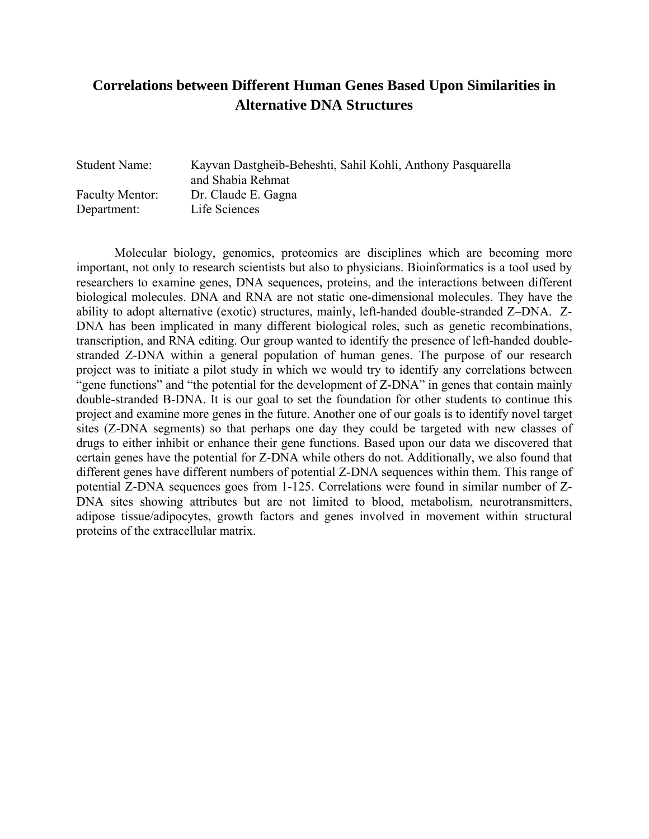# **Correlations between Different Human Genes Based Upon Similarities in Alternative DNA Structures**

Student Name: Kayvan Dastgheib-Beheshti, Sahil Kohli, Anthony Pasquarella and Shabia Rehmat Faculty Mentor: Dr. Claude E. Gagna Department: Life Sciences

Molecular biology, genomics, proteomics are disciplines which are becoming more important, not only to research scientists but also to physicians. Bioinformatics is a tool used by researchers to examine genes, DNA sequences, proteins, and the interactions between different biological molecules. DNA and RNA are not static one-dimensional molecules. They have the ability to adopt alternative (exotic) structures, mainly, left-handed double-stranded Z–DNA. Z-DNA has been implicated in many different biological roles, such as genetic recombinations, transcription, and RNA editing. Our group wanted to identify the presence of left-handed doublestranded Z-DNA within a general population of human genes. The purpose of our research project was to initiate a pilot study in which we would try to identify any correlations between "gene functions" and "the potential for the development of Z-DNA" in genes that contain mainly double-stranded B-DNA. It is our goal to set the foundation for other students to continue this project and examine more genes in the future. Another one of our goals is to identify novel target sites (Z-DNA segments) so that perhaps one day they could be targeted with new classes of drugs to either inhibit or enhance their gene functions. Based upon our data we discovered that certain genes have the potential for Z-DNA while others do not. Additionally, we also found that different genes have different numbers of potential Z-DNA sequences within them. This range of potential Z-DNA sequences goes from 1-125. Correlations were found in similar number of Z-DNA sites showing attributes but are not limited to blood, metabolism, neurotransmitters, adipose tissue/adipocytes, growth factors and genes involved in movement within structural proteins of the extracellular matrix.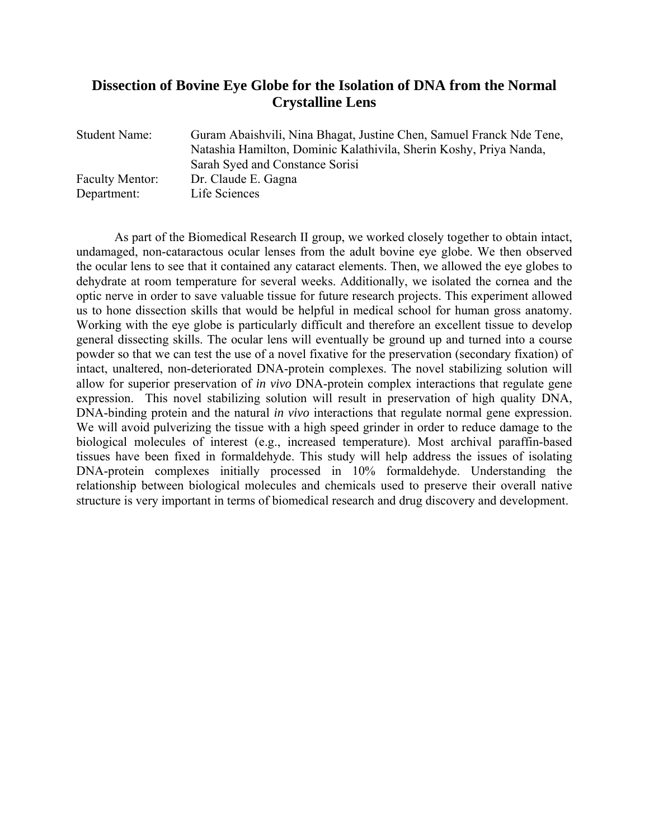### **Dissection of Bovine Eye Globe for the Isolation of DNA from the Normal Crystalline Lens**

| Guram Abaishvili, Nina Bhagat, Justine Chen, Samuel Franck Nde Tene,<br>Natashia Hamilton, Dominic Kalathivila, Sherin Koshy, Priya Nanda, |
|--------------------------------------------------------------------------------------------------------------------------------------------|
| Sarah Syed and Constance Sorisi                                                                                                            |
| Dr. Claude E. Gagna<br>Life Sciences                                                                                                       |
|                                                                                                                                            |

As part of the Biomedical Research II group, we worked closely together to obtain intact, undamaged, non-cataractous ocular lenses from the adult bovine eye globe. We then observed the ocular lens to see that it contained any cataract elements. Then, we allowed the eye globes to dehydrate at room temperature for several weeks. Additionally, we isolated the cornea and the optic nerve in order to save valuable tissue for future research projects. This experiment allowed us to hone dissection skills that would be helpful in medical school for human gross anatomy. Working with the eye globe is particularly difficult and therefore an excellent tissue to develop general dissecting skills. The ocular lens will eventually be ground up and turned into a course powder so that we can test the use of a novel fixative for the preservation (secondary fixation) of intact, unaltered, non-deteriorated DNA-protein complexes. The novel stabilizing solution will allow for superior preservation of *in vivo* DNA-protein complex interactions that regulate gene expression. This novel stabilizing solution will result in preservation of high quality DNA, DNA-binding protein and the natural *in vivo* interactions that regulate normal gene expression. We will avoid pulverizing the tissue with a high speed grinder in order to reduce damage to the biological molecules of interest (e.g., increased temperature). Most archival paraffin-based tissues have been fixed in formaldehyde. This study will help address the issues of isolating DNA-protein complexes initially processed in 10% formaldehyde. Understanding the relationship between biological molecules and chemicals used to preserve their overall native structure is very important in terms of biomedical research and drug discovery and development.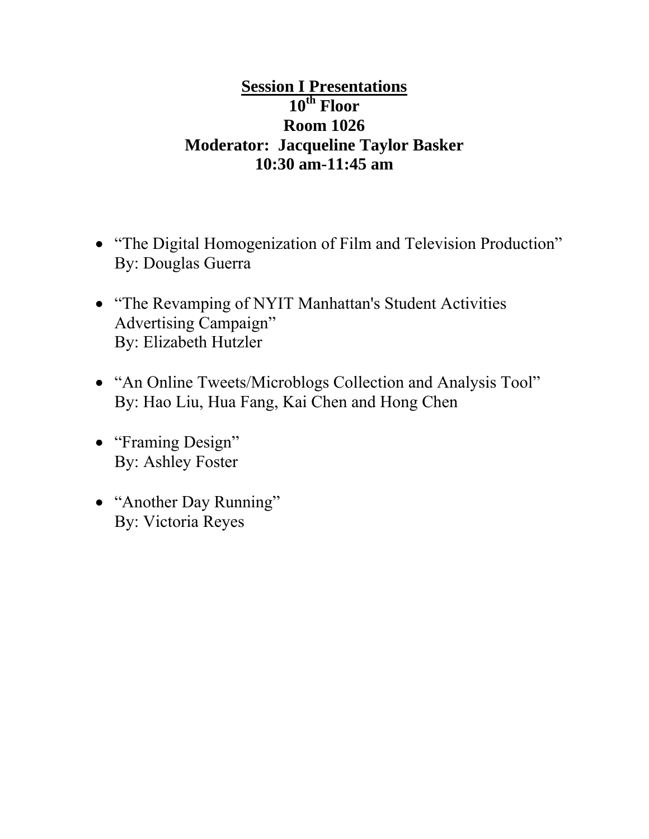# **Session I Presentations 10th Floor Room 1026 Moderator: Jacqueline Taylor Basker 10:30 am-11:45 am**

- "The Digital Homogenization of Film and Television Production" By: Douglas Guerra
- "The Revamping of NYIT Manhattan's Student Activities Advertising Campaign" By: Elizabeth Hutzler
- "An Online Tweets/Microblogs Collection and Analysis Tool" By: Hao Liu, Hua Fang, Kai Chen and Hong Chen
- "Framing Design" By: Ashley Foster
- "Another Day Running" By: Victoria Reyes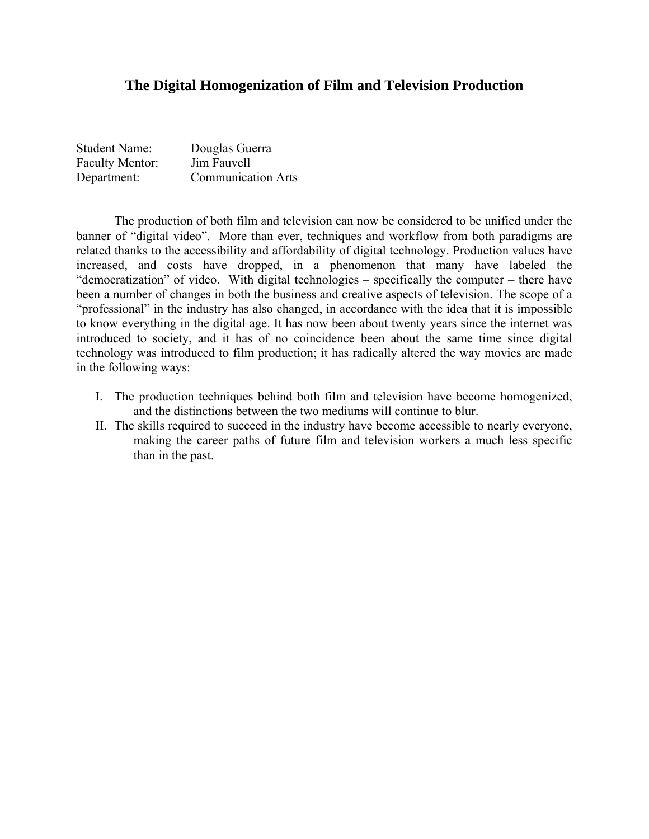### **The Digital Homogenization of Film and Television Production**

| <b>Student Name:</b>   | Douglas Guerra            |
|------------------------|---------------------------|
| <b>Faculty Mentor:</b> | Jim Fauvell               |
| Department:            | <b>Communication Arts</b> |

The production of both film and television can now be considered to be unified under the banner of "digital video". More than ever, techniques and workflow from both paradigms are related thanks to the accessibility and affordability of digital technology. Production values have increased, and costs have dropped, in a phenomenon that many have labeled the "democratization" of video. With digital technologies – specifically the computer – there have been a number of changes in both the business and creative aspects of television. The scope of a "professional" in the industry has also changed, in accordance with the idea that it is impossible to know everything in the digital age. It has now been about twenty years since the internet was introduced to society, and it has of no coincidence been about the same time since digital technology was introduced to film production; it has radically altered the way movies are made in the following ways:

- I. The production techniques behind both film and television have become homogenized, and the distinctions between the two mediums will continue to blur.
- II. The skills required to succeed in the industry have become accessible to nearly everyone, making the career paths of future film and television workers a much less specific than in the past.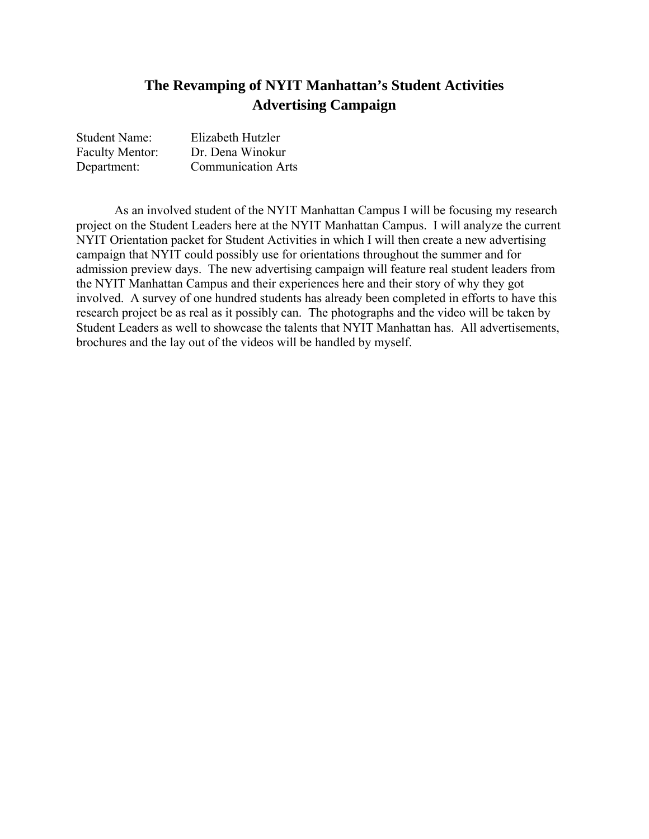# **The Revamping of NYIT Manhattan's Student Activities Advertising Campaign**

| <b>Student Name:</b>   | Elizabeth Hutzler         |
|------------------------|---------------------------|
| <b>Faculty Mentor:</b> | Dr. Dena Winokur          |
| Department:            | <b>Communication Arts</b> |

As an involved student of the NYIT Manhattan Campus I will be focusing my research project on the Student Leaders here at the NYIT Manhattan Campus. I will analyze the current NYIT Orientation packet for Student Activities in which I will then create a new advertising campaign that NYIT could possibly use for orientations throughout the summer and for admission preview days. The new advertising campaign will feature real student leaders from the NYIT Manhattan Campus and their experiences here and their story of why they got involved. A survey of one hundred students has already been completed in efforts to have this research project be as real as it possibly can. The photographs and the video will be taken by Student Leaders as well to showcase the talents that NYIT Manhattan has. All advertisements, brochures and the lay out of the videos will be handled by myself.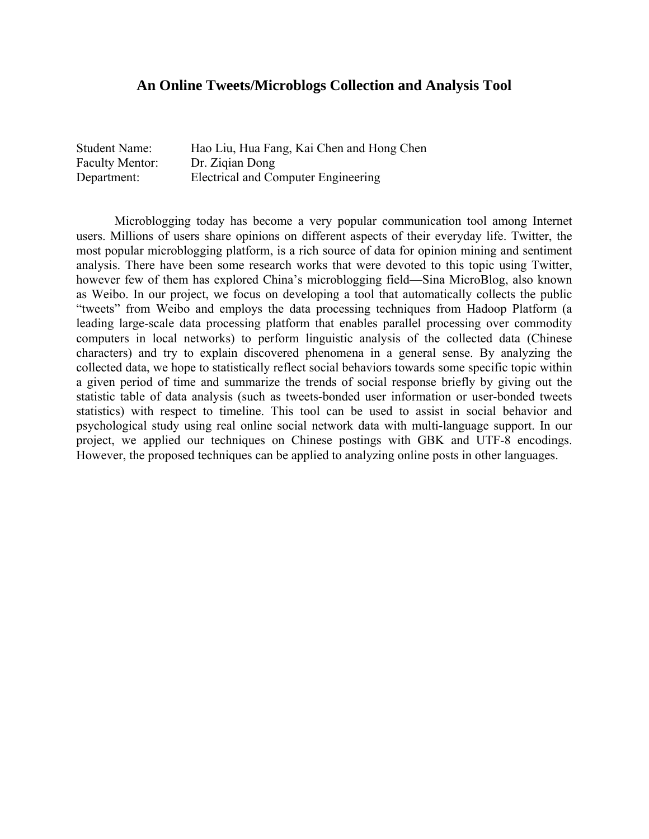### **An Online Tweets/Microblogs Collection and Analysis Tool**

| <b>Student Name:</b>   | Hao Liu, Hua Fang, Kai Chen and Hong Chen |
|------------------------|-------------------------------------------|
| <b>Faculty Mentor:</b> | Dr. Zigian Dong                           |
| Department:            | Electrical and Computer Engineering       |

 Microblogging today has become a very popular communication tool among Internet users. Millions of users share opinions on different aspects of their everyday life. Twitter, the most popular microblogging platform, is a rich source of data for opinion mining and sentiment analysis. There have been some research works that were devoted to this topic using Twitter, however few of them has explored China's microblogging field—Sina MicroBlog, also known as Weibo. In our project, we focus on developing a tool that automatically collects the public "tweets" from Weibo and employs the data processing techniques from Hadoop Platform (a leading large-scale data processing platform that enables parallel processing over commodity computers in local networks) to perform linguistic analysis of the collected data (Chinese characters) and try to explain discovered phenomena in a general sense. By analyzing the collected data, we hope to statistically reflect social behaviors towards some specific topic within a given period of time and summarize the trends of social response briefly by giving out the statistic table of data analysis (such as tweets-bonded user information or user-bonded tweets statistics) with respect to timeline. This tool can be used to assist in social behavior and psychological study using real online social network data with multi-language support. In our project, we applied our techniques on Chinese postings with GBK and UTF-8 encodings. However, the proposed techniques can be applied to analyzing online posts in other languages.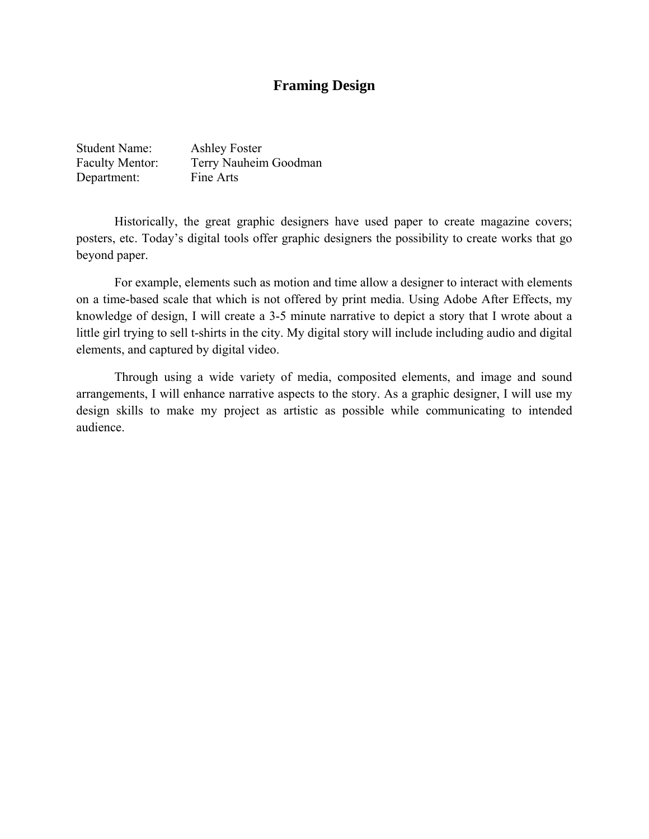### **Framing Design**

| <b>Student Name:</b>   | <b>Ashley Foster</b>  |
|------------------------|-----------------------|
| <b>Faculty Mentor:</b> | Terry Nauheim Goodman |
| Department:            | Fine Arts             |

Historically, the great graphic designers have used paper to create magazine covers; posters, etc. Today's digital tools offer graphic designers the possibility to create works that go beyond paper.

For example, elements such as motion and time allow a designer to interact with elements on a time-based scale that which is not offered by print media. Using Adobe After Effects, my knowledge of design, I will create a 3-5 minute narrative to depict a story that I wrote about a little girl trying to sell t-shirts in the city. My digital story will include including audio and digital elements, and captured by digital video.

Through using a wide variety of media, composited elements, and image and sound arrangements, I will enhance narrative aspects to the story. As a graphic designer, I will use my design skills to make my project as artistic as possible while communicating to intended audience.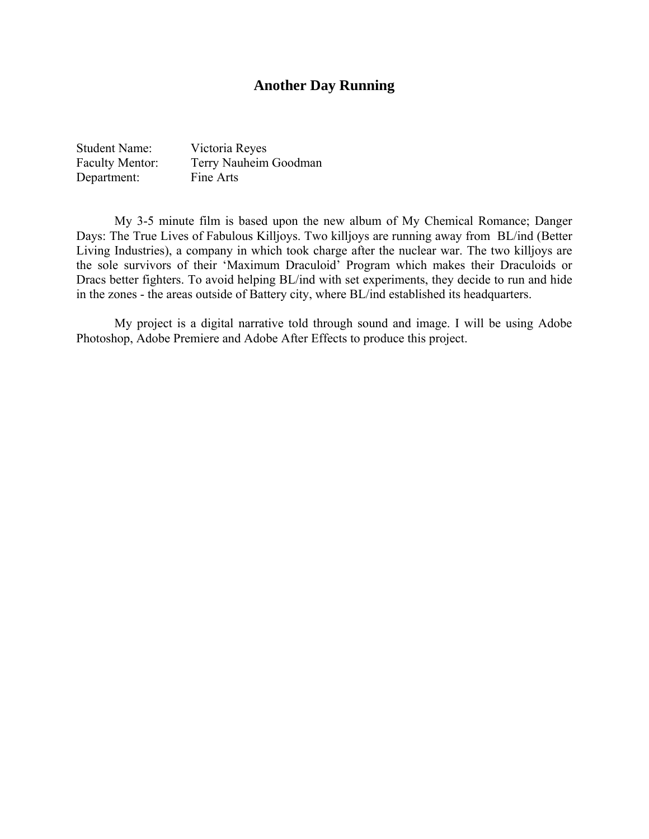### **Another Day Running**

Student Name: Victoria Reyes Faculty Mentor: Terry Nauheim Goodman Department: Fine Arts

My 3-5 minute film is based upon the new album of My Chemical Romance; Danger Days: The True Lives of Fabulous Killjoys. Two killjoys are running away from BL/ind (Better Living Industries), a company in which took charge after the nuclear war. The two killjoys are the sole survivors of their 'Maximum Draculoid' Program which makes their Draculoids or Dracs better fighters. To avoid helping BL/ind with set experiments, they decide to run and hide in the zones - the areas outside of Battery city, where BL/ind established its headquarters.

My project is a digital narrative told through sound and image. I will be using Adobe Photoshop, Adobe Premiere and Adobe After Effects to produce this project.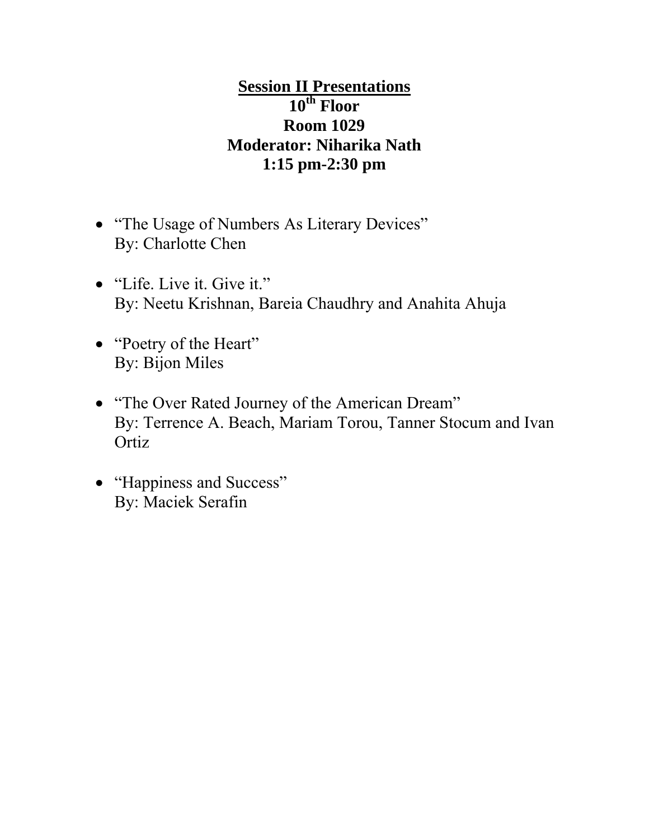# **Session II Presentations 10th Floor Room 1029 Moderator: Niharika Nath 1:15 pm-2:30 pm**

- "The Usage of Numbers As Literary Devices" By: Charlotte Chen
- "Life. Live it. Give it." By: Neetu Krishnan, Bareia Chaudhry and Anahita Ahuja
- "Poetry of the Heart" By: Bijon Miles
- "The Over Rated Journey of the American Dream" By: Terrence A. Beach, Mariam Torou, Tanner Stocum and Ivan **Ortiz**
- "Happiness and Success" By: Maciek Serafin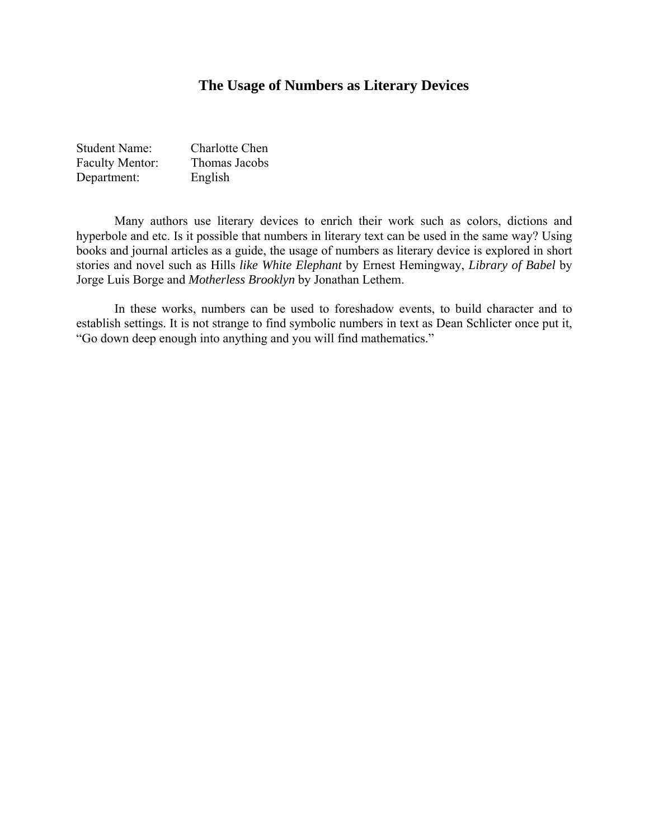### **The Usage of Numbers as Literary Devices**

| <b>Student Name:</b>   | Charlotte Chen |
|------------------------|----------------|
| <b>Faculty Mentor:</b> | Thomas Jacobs  |
| Department:            | English        |

Many authors use literary devices to enrich their work such as colors, dictions and hyperbole and etc. Is it possible that numbers in literary text can be used in the same way? Using books and journal articles as a guide, the usage of numbers as literary device is explored in short stories and novel such as Hills *like White Elephant* by Ernest Hemingway, *Library of Babel* by Jorge Luis Borge and *Motherless Brooklyn* by Jonathan Lethem.

In these works, numbers can be used to foreshadow events, to build character and to establish settings. It is not strange to find symbolic numbers in text as Dean Schlicter once put it, "Go down deep enough into anything and you will find mathematics."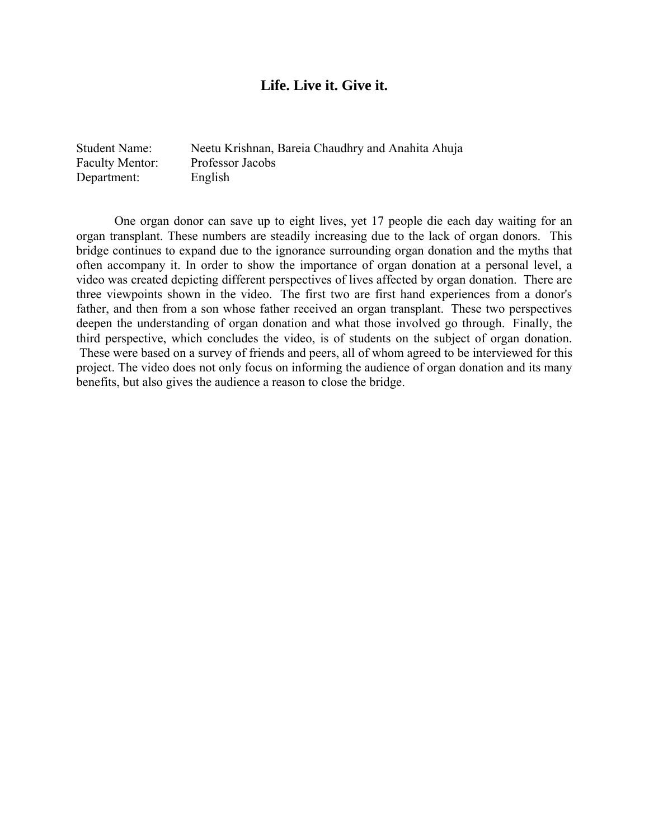### **Life. Live it. Give it.**

Student Name: Neetu Krishnan, Bareia Chaudhry and Anahita Ahuja Faculty Mentor: Professor Jacobs Department: English

One organ donor can save up to eight lives, yet 17 people die each day waiting for an organ transplant. These numbers are steadily increasing due to the lack of organ donors. This bridge continues to expand due to the ignorance surrounding organ donation and the myths that often accompany it. In order to show the importance of organ donation at a personal level, a video was created depicting different perspectives of lives affected by organ donation. There are three viewpoints shown in the video. The first two are first hand experiences from a donor's father, and then from a son whose father received an organ transplant. These two perspectives deepen the understanding of organ donation and what those involved go through. Finally, the third perspective, which concludes the video, is of students on the subject of organ donation. These were based on a survey of friends and peers, all of whom agreed to be interviewed for this project. The video does not only focus on informing the audience of organ donation and its many benefits, but also gives the audience a reason to close the bridge.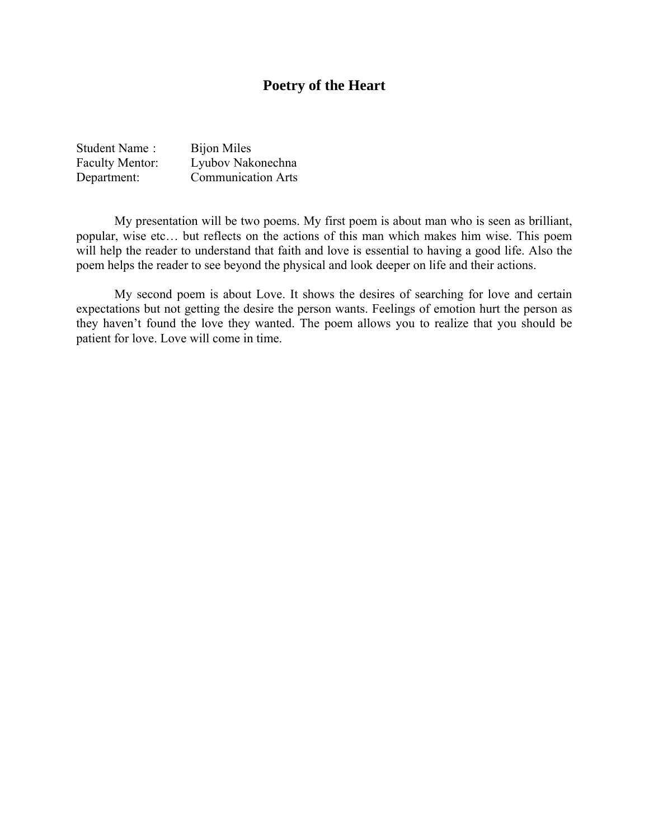## **Poetry of the Heart**

| Student Name:          | <b>Bijon Miles</b>        |
|------------------------|---------------------------|
| <b>Faculty Mentor:</b> | Lyubov Nakonechna         |
| Department:            | <b>Communication Arts</b> |

 My presentation will be two poems. My first poem is about man who is seen as brilliant, popular, wise etc… but reflects on the actions of this man which makes him wise. This poem will help the reader to understand that faith and love is essential to having a good life. Also the poem helps the reader to see beyond the physical and look deeper on life and their actions.

 My second poem is about Love. It shows the desires of searching for love and certain expectations but not getting the desire the person wants. Feelings of emotion hurt the person as they haven't found the love they wanted. The poem allows you to realize that you should be patient for love. Love will come in time.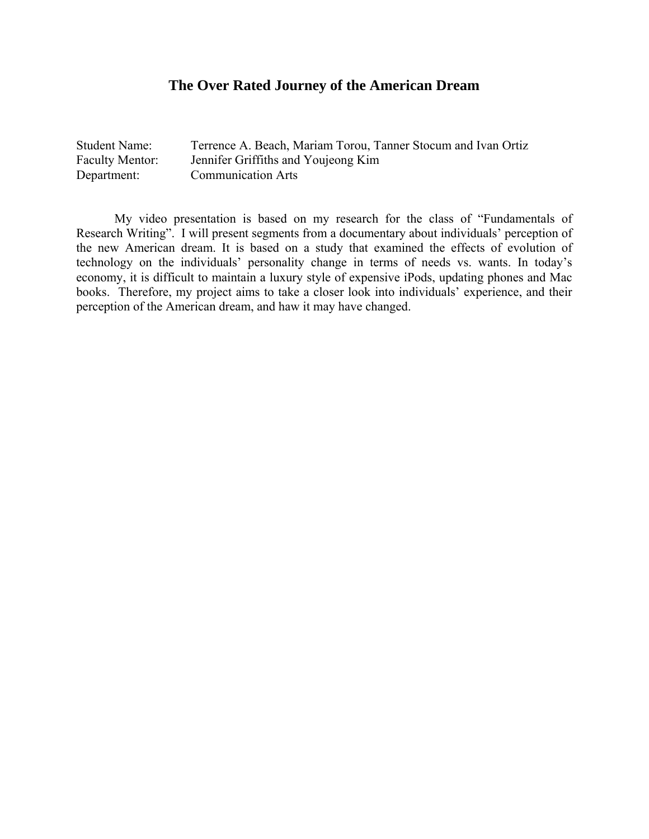## **The Over Rated Journey of the American Dream**

| <b>Student Name:</b>   | Terrence A. Beach, Mariam Torou, Tanner Stocum and Ivan Ortiz |
|------------------------|---------------------------------------------------------------|
| <b>Faculty Mentor:</b> | Jennifer Griffiths and Youjeong Kim                           |
| Department:            | <b>Communication Arts</b>                                     |

My video presentation is based on my research for the class of "Fundamentals of Research Writing". I will present segments from a documentary about individuals' perception of the new American dream. It is based on a study that examined the effects of evolution of technology on the individuals' personality change in terms of needs vs. wants. In today's economy, it is difficult to maintain a luxury style of expensive iPods, updating phones and Mac books. Therefore, my project aims to take a closer look into individuals' experience, and their perception of the American dream, and haw it may have changed.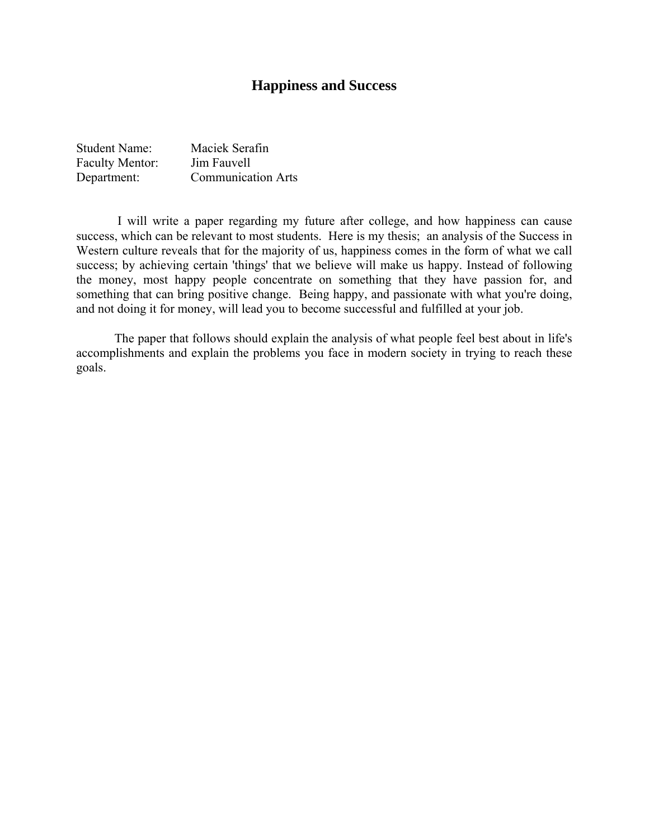## **Happiness and Success**

| <b>Student Name:</b>   | Maciek Serafin            |
|------------------------|---------------------------|
| <b>Faculty Mentor:</b> | Jim Fauvell               |
| Department:            | <b>Communication Arts</b> |

 I will write a paper regarding my future after college, and how happiness can cause success, which can be relevant to most students. Here is my thesis; an analysis of the Success in Western culture reveals that for the majority of us, happiness comes in the form of what we call success; by achieving certain 'things' that we believe will make us happy. Instead of following the money, most happy people concentrate on something that they have passion for, and something that can bring positive change. Being happy, and passionate with what you're doing, and not doing it for money, will lead you to become successful and fulfilled at your job.

The paper that follows should explain the analysis of what people feel best about in life's accomplishments and explain the problems you face in modern society in trying to reach these goals.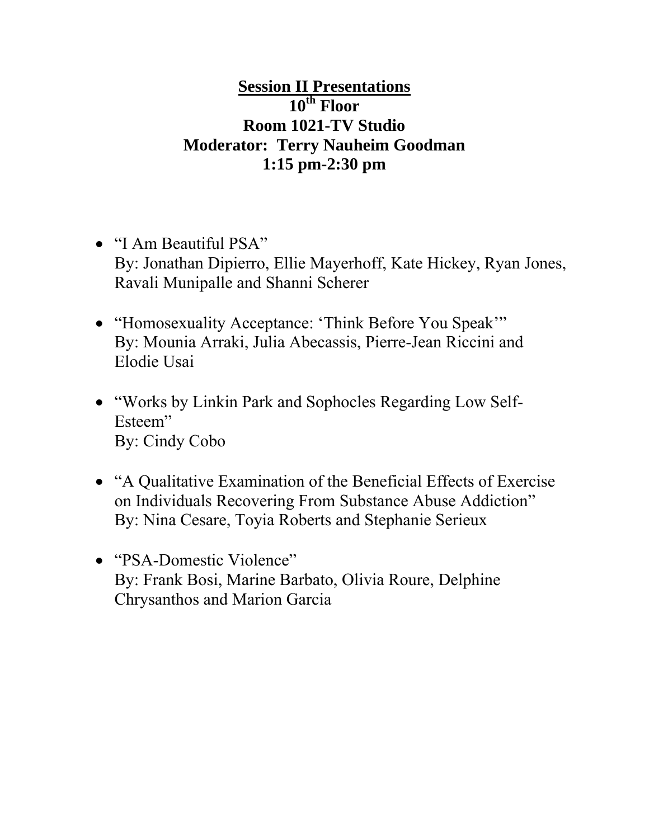# **Session II Presentations 10th Floor Room 1021-TV Studio Moderator: Terry Nauheim Goodman 1:15 pm-2:30 pm**

- "I Am Beautiful PSA" By: Jonathan Dipierro, Ellie Mayerhoff, Kate Hickey, Ryan Jones, Ravali Munipalle and Shanni Scherer
- "Homosexuality Acceptance: 'Think Before You Speak'" By: Mounia Arraki, Julia Abecassis, Pierre-Jean Riccini and Elodie Usai
- "Works by Linkin Park and Sophocles Regarding Low Self-Esteem" By: Cindy Cobo
- "A Qualitative Examination of the Beneficial Effects of Exercise on Individuals Recovering From Substance Abuse Addiction" By: Nina Cesare, Toyia Roberts and Stephanie Serieux
- "PSA-Domestic Violence" By: Frank Bosi, Marine Barbato, Olivia Roure, Delphine Chrysanthos and Marion Garcia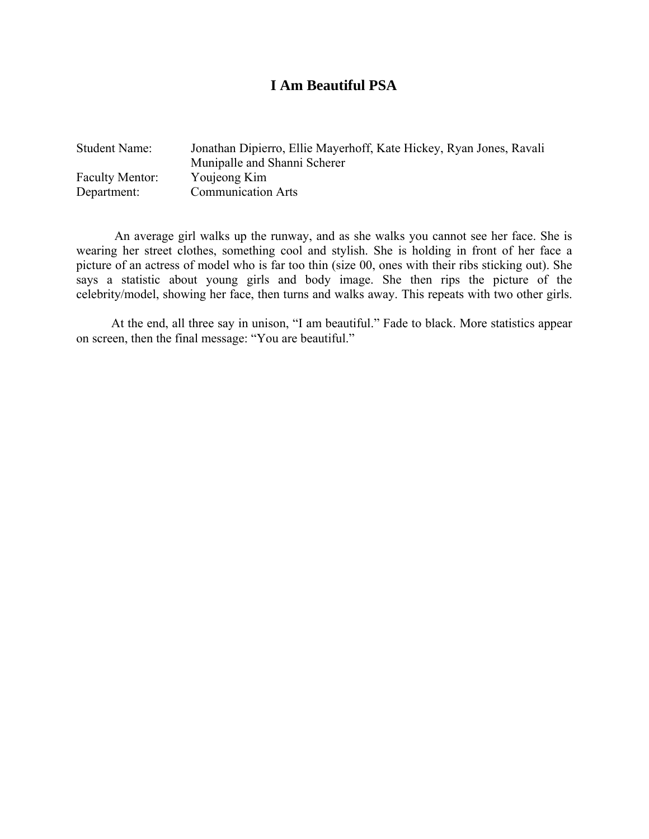## **I Am Beautiful PSA**

| <b>Student Name:</b>   | Jonathan Dipierro, Ellie Mayerhoff, Kate Hickey, Ryan Jones, Ravali<br>Munipalle and Shanni Scherer |
|------------------------|-----------------------------------------------------------------------------------------------------|
| <b>Faculty Mentor:</b> | Youjeong Kim                                                                                        |
| Department:            | <b>Communication Arts</b>                                                                           |

An average girl walks up the runway, and as she walks you cannot see her face. She is wearing her street clothes, something cool and stylish. She is holding in front of her face a picture of an actress of model who is far too thin (size 00, ones with their ribs sticking out). She says a statistic about young girls and body image. She then rips the picture of the celebrity/model, showing her face, then turns and walks away. This repeats with two other girls.

 At the end, all three say in unison, "I am beautiful." Fade to black. More statistics appear on screen, then the final message: "You are beautiful."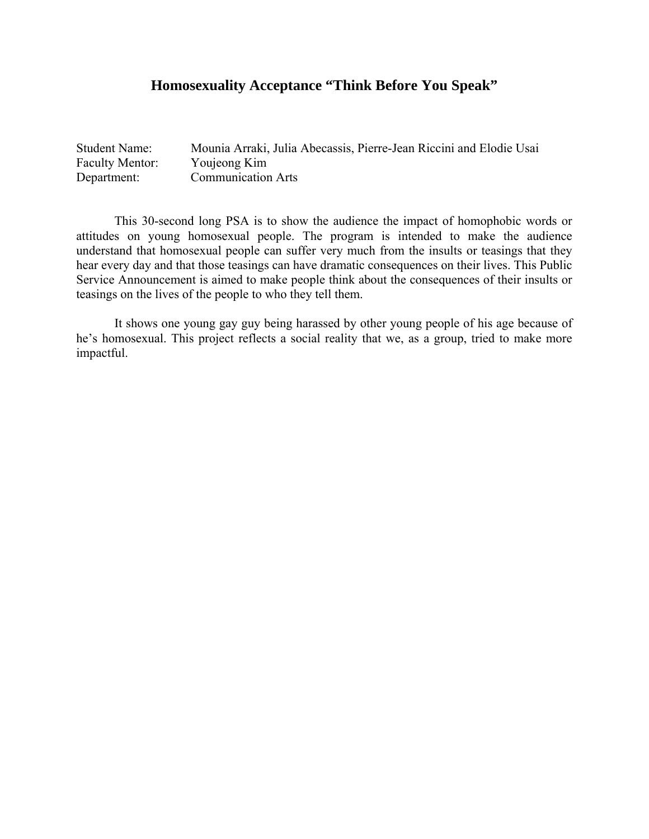## **Homosexuality Acceptance "Think Before You Speak"**

| <b>Student Name:</b>   | Mounia Arraki, Julia Abecassis, Pierre-Jean Riccini and Elodie Usai |
|------------------------|---------------------------------------------------------------------|
| <b>Faculty Mentor:</b> | Youjeong Kim                                                        |
| Department:            | <b>Communication Arts</b>                                           |

 This 30-second long PSA is to show the audience the impact of homophobic words or attitudes on young homosexual people. The program is intended to make the audience understand that homosexual people can suffer very much from the insults or teasings that they hear every day and that those teasings can have dramatic consequences on their lives. This Public Service Announcement is aimed to make people think about the consequences of their insults or teasings on the lives of the people to who they tell them.

It shows one young gay guy being harassed by other young people of his age because of he's homosexual. This project reflects a social reality that we, as a group, tried to make more impactful.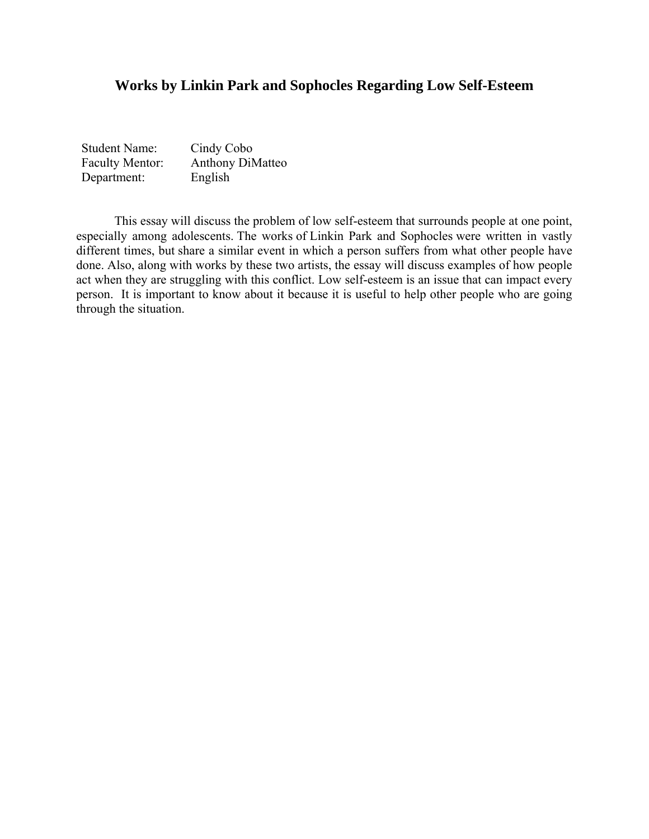## **Works by Linkin Park and Sophocles Regarding Low Self-Esteem**

| <b>Student Name:</b>   | Cindy Cobo              |
|------------------------|-------------------------|
| <b>Faculty Mentor:</b> | <b>Anthony DiMatteo</b> |
| Department:            | English                 |

This essay will discuss the problem of low self-esteem that surrounds people at one point, especially among adolescents. The works of Linkin Park and Sophocles were written in vastly different times, but share a similar event in which a person suffers from what other people have done. Also, along with works by these two artists, the essay will discuss examples of how people act when they are struggling with this conflict. Low self-esteem is an issue that can impact every person. It is important to know about it because it is useful to help other people who are going through the situation.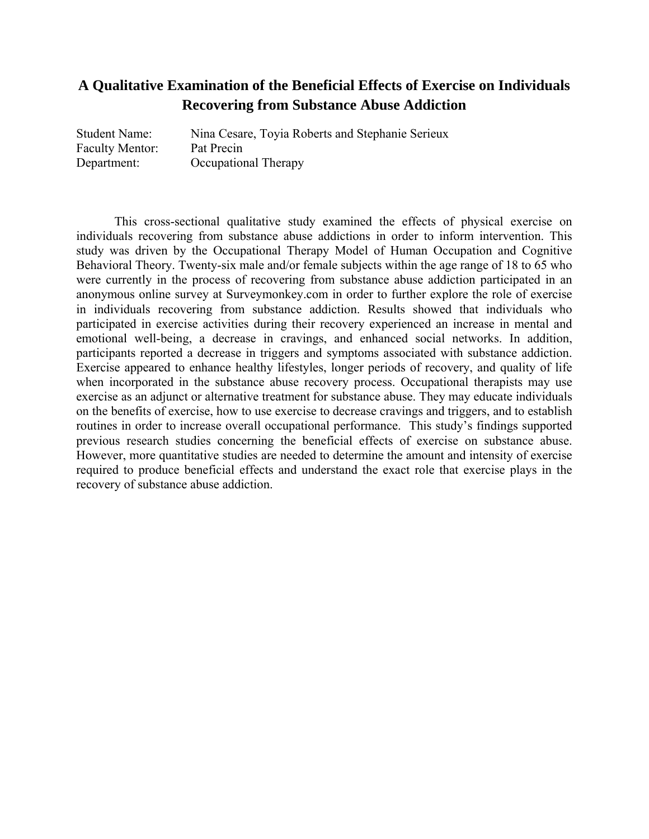## **A Qualitative Examination of the Beneficial Effects of Exercise on Individuals Recovering from Substance Abuse Addiction**

| <b>Student Name:</b>   | Nina Cesare, Toyia Roberts and Stephanie Serieux |
|------------------------|--------------------------------------------------|
| <b>Faculty Mentor:</b> | Pat Precin                                       |
| Department:            | <b>Occupational Therapy</b>                      |

This cross-sectional qualitative study examined the effects of physical exercise on individuals recovering from substance abuse addictions in order to inform intervention. This study was driven by the Occupational Therapy Model of Human Occupation and Cognitive Behavioral Theory. Twenty-six male and/or female subjects within the age range of 18 to 65 who were currently in the process of recovering from substance abuse addiction participated in an anonymous online survey at Surveymonkey.com in order to further explore the role of exercise in individuals recovering from substance addiction. Results showed that individuals who participated in exercise activities during their recovery experienced an increase in mental and emotional well-being, a decrease in cravings, and enhanced social networks. In addition, participants reported a decrease in triggers and symptoms associated with substance addiction. Exercise appeared to enhance healthy lifestyles, longer periods of recovery, and quality of life when incorporated in the substance abuse recovery process. Occupational therapists may use exercise as an adjunct or alternative treatment for substance abuse. They may educate individuals on the benefits of exercise, how to use exercise to decrease cravings and triggers, and to establish routines in order to increase overall occupational performance. This study's findings supported previous research studies concerning the beneficial effects of exercise on substance abuse. However, more quantitative studies are needed to determine the amount and intensity of exercise required to produce beneficial effects and understand the exact role that exercise plays in the recovery of substance abuse addiction.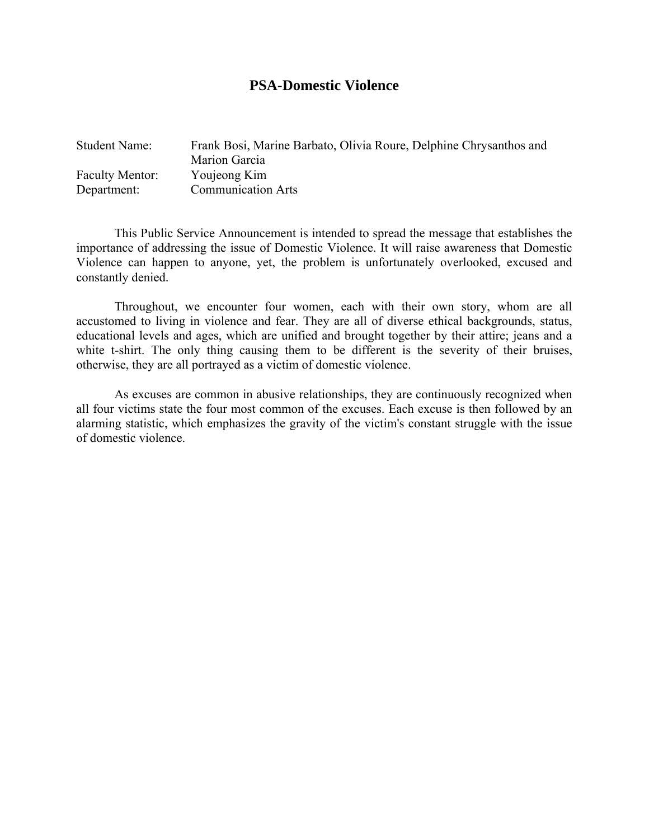#### **PSA-Domestic Violence**

| <b>Student Name:</b>   | Frank Bosi, Marine Barbato, Olivia Roure, Delphine Chrysanthos and<br>Marion Garcia |
|------------------------|-------------------------------------------------------------------------------------|
| <b>Faculty Mentor:</b> | Youjeong Kim                                                                        |
| Department:            | <b>Communication Arts</b>                                                           |

This Public Service Announcement is intended to spread the message that establishes the importance of addressing the issue of Domestic Violence. It will raise awareness that Domestic Violence can happen to anyone, yet, the problem is unfortunately overlooked, excused and constantly denied.

Throughout, we encounter four women, each with their own story, whom are all accustomed to living in violence and fear. They are all of diverse ethical backgrounds, status, educational levels and ages, which are unified and brought together by their attire; jeans and a white t-shirt. The only thing causing them to be different is the severity of their bruises, otherwise, they are all portrayed as a victim of domestic violence.

As excuses are common in abusive relationships, they are continuously recognized when all four victims state the four most common of the excuses. Each excuse is then followed by an alarming statistic, which emphasizes the gravity of the victim's constant struggle with the issue of domestic violence.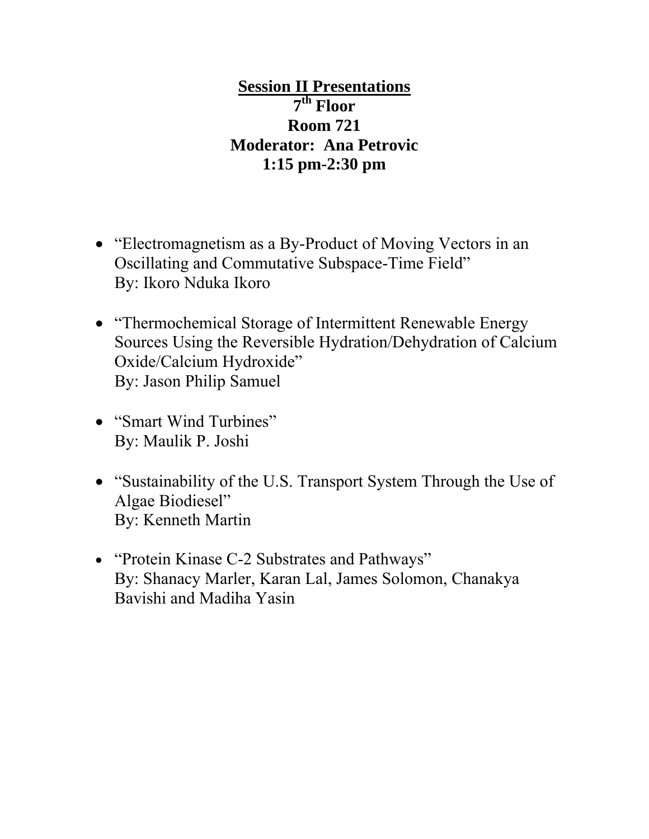**Session II Presentations 7th Floor Room 721 Moderator: Ana Petrovic 1:15 pm-2:30 pm** 

- "Electromagnetism as a By-Product of Moving Vectors in an Oscillating and Commutative Subspace-Time Field" By: Ikoro Nduka Ikoro
- "Thermochemical Storage of Intermittent Renewable Energy Sources Using the Reversible Hydration/Dehydration of Calcium Oxide/Calcium Hydroxide" By: Jason Philip Samuel
- "Smart Wind Turbines" By: Maulik P. Joshi
- "Sustainability of the U.S. Transport System Through the Use of Algae Biodiesel" By: Kenneth Martin
- "Protein Kinase C-2 Substrates and Pathways" By: Shanacy Marler, Karan Lal, James Solomon, Chanakya Bavishi and Madiha Yasin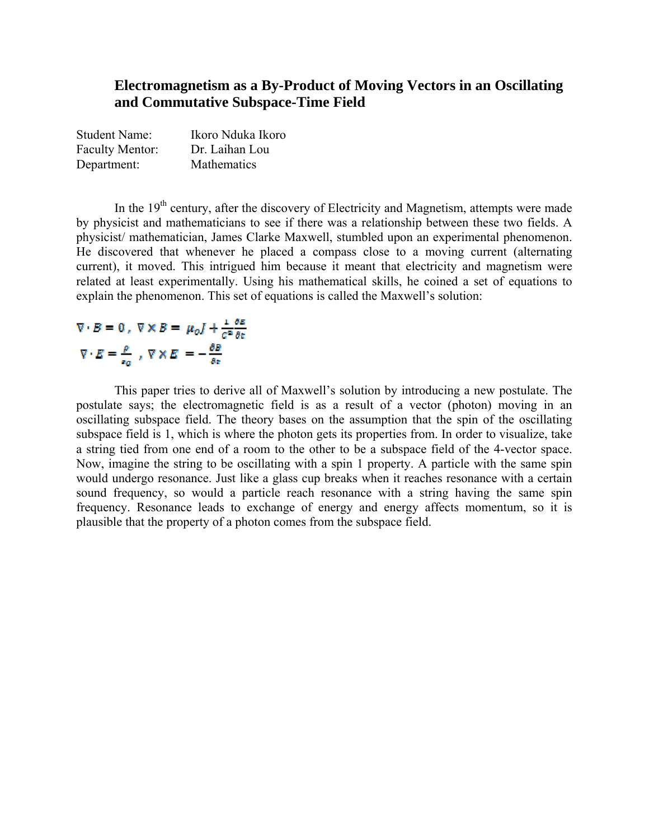## **Electromagnetism as a By-Product of Moving Vectors in an Oscillating and Commutative Subspace-Time Field**

| <b>Student Name:</b>   | Ikoro Nduka Ikoro |
|------------------------|-------------------|
| <b>Faculty Mentor:</b> | Dr. Laihan Lou    |
| Department:            | Mathematics       |

In the 19<sup>th</sup> century, after the discovery of Electricity and Magnetism, attempts were made by physicist and mathematicians to see if there was a relationship between these two fields. A physicist/ mathematician, James Clarke Maxwell, stumbled upon an experimental phenomenon. He discovered that whenever he placed a compass close to a moving current (alternating current), it moved. This intrigued him because it meant that electricity and magnetism were related at least experimentally. Using his mathematical skills, he coined a set of equations to explain the phenomenon. This set of equations is called the Maxwell's solution:

# $\nabla \cdot B = 0$ ,  $\nabla \times B = \mu_0 I + \frac{1}{c^2} \frac{\partial E}{\partial t}$  $\nabla \cdot E = \frac{\rho}{\epsilon_0}$ ,  $\nabla \times E = -\frac{\partial B}{\partial z}$

This paper tries to derive all of Maxwell's solution by introducing a new postulate. The postulate says; the electromagnetic field is as a result of a vector (photon) moving in an oscillating subspace field. The theory bases on the assumption that the spin of the oscillating subspace field is 1, which is where the photon gets its properties from. In order to visualize, take a string tied from one end of a room to the other to be a subspace field of the 4-vector space. Now, imagine the string to be oscillating with a spin 1 property. A particle with the same spin would undergo resonance. Just like a glass cup breaks when it reaches resonance with a certain sound frequency, so would a particle reach resonance with a string having the same spin frequency. Resonance leads to exchange of energy and energy affects momentum, so it is plausible that the property of a photon comes from the subspace field.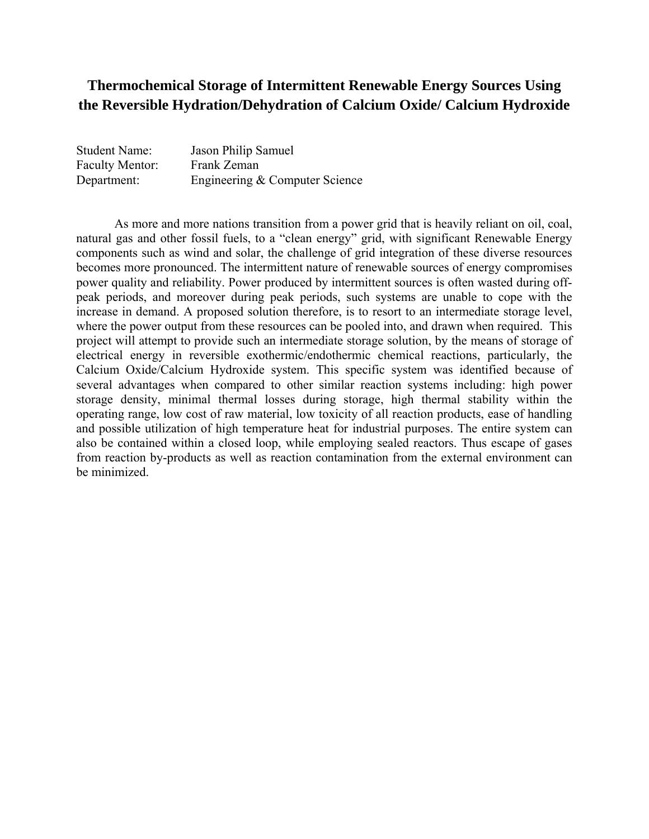## **Thermochemical Storage of Intermittent Renewable Energy Sources Using the Reversible Hydration/Dehydration of Calcium Oxide/ Calcium Hydroxide**

| <b>Student Name:</b>   | Jason Philip Samuel            |
|------------------------|--------------------------------|
| <b>Faculty Mentor:</b> | Frank Zeman                    |
| Department:            | Engineering & Computer Science |

 As more and more nations transition from a power grid that is heavily reliant on oil, coal, natural gas and other fossil fuels, to a "clean energy" grid, with significant Renewable Energy components such as wind and solar, the challenge of grid integration of these diverse resources becomes more pronounced. The intermittent nature of renewable sources of energy compromises power quality and reliability. Power produced by intermittent sources is often wasted during offpeak periods, and moreover during peak periods, such systems are unable to cope with the increase in demand. A proposed solution therefore, is to resort to an intermediate storage level, where the power output from these resources can be pooled into, and drawn when required. This project will attempt to provide such an intermediate storage solution, by the means of storage of electrical energy in reversible exothermic/endothermic chemical reactions, particularly, the Calcium Oxide/Calcium Hydroxide system. This specific system was identified because of several advantages when compared to other similar reaction systems including: high power storage density, minimal thermal losses during storage, high thermal stability within the operating range, low cost of raw material, low toxicity of all reaction products, ease of handling and possible utilization of high temperature heat for industrial purposes. The entire system can also be contained within a closed loop, while employing sealed reactors. Thus escape of gases from reaction by-products as well as reaction contamination from the external environment can be minimized.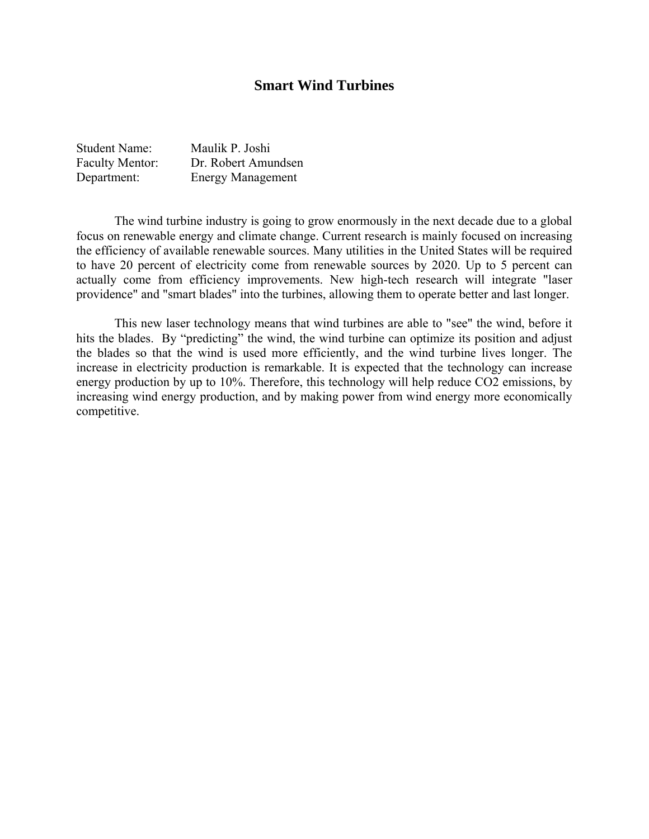## **Smart Wind Turbines**

| <b>Student Name:</b>   | Maulik P. Joshi          |
|------------------------|--------------------------|
| <b>Faculty Mentor:</b> | Dr. Robert Amundsen      |
| Department:            | <b>Energy Management</b> |

 The wind turbine industry is going to grow enormously in the next decade due to a global focus on renewable energy and climate change. Current research is mainly focused on increasing the efficiency of available renewable sources. Many utilities in the United States will be required to have 20 percent of electricity come from renewable sources by 2020. Up to 5 percent can actually come from efficiency improvements. New high-tech research will integrate "laser providence" and "smart blades" into the turbines, allowing them to operate better and last longer.

 This new laser technology means that wind turbines are able to "see" the wind, before it hits the blades. By "predicting" the wind, the wind turbine can optimize its position and adjust the blades so that the wind is used more efficiently, and the wind turbine lives longer. The increase in electricity production is remarkable. It is expected that the technology can increase energy production by up to 10%. Therefore, this technology will help reduce CO2 emissions, by increasing wind energy production, and by making power from wind energy more economically competitive.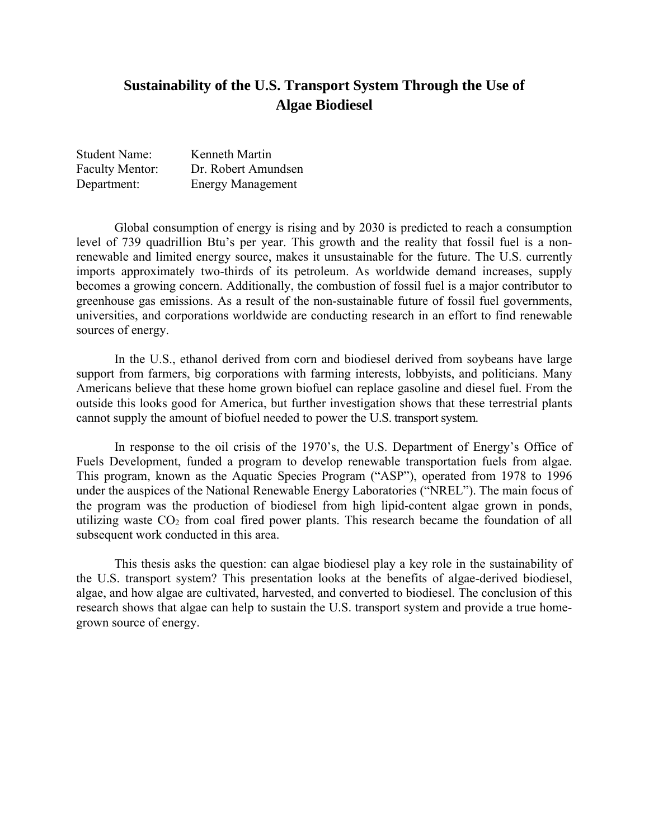## **Sustainability of the U.S. Transport System Through the Use of Algae Biodiesel**

| <b>Student Name:</b>   | Kenneth Martin           |
|------------------------|--------------------------|
| <b>Faculty Mentor:</b> | Dr. Robert Amundsen      |
| Department:            | <b>Energy Management</b> |

Global consumption of energy is rising and by 2030 is predicted to reach a consumption level of 739 quadrillion Btu's per year. This growth and the reality that fossil fuel is a nonrenewable and limited energy source, makes it unsustainable for the future. The U.S. currently imports approximately two-thirds of its petroleum. As worldwide demand increases, supply becomes a growing concern. Additionally, the combustion of fossil fuel is a major contributor to greenhouse gas emissions. As a result of the non-sustainable future of fossil fuel governments, universities, and corporations worldwide are conducting research in an effort to find renewable sources of energy.

In the U.S., ethanol derived from corn and biodiesel derived from soybeans have large support from farmers, big corporations with farming interests, lobbyists, and politicians. Many Americans believe that these home grown biofuel can replace gasoline and diesel fuel. From the outside this looks good for America, but further investigation shows that these terrestrial plants cannot supply the amount of biofuel needed to power the U.S. transport system.

In response to the oil crisis of the 1970's, the U.S. Department of Energy's Office of Fuels Development, funded a program to develop renewable transportation fuels from algae. This program, known as the Aquatic Species Program ("ASP"), operated from 1978 to 1996 under the auspices of the National Renewable Energy Laboratories ("NREL"). The main focus of the program was the production of biodiesel from high lipid-content algae grown in ponds, utilizing waste  $CO<sub>2</sub>$  from coal fired power plants. This research became the foundation of all subsequent work conducted in this area.

This thesis asks the question: can algae biodiesel play a key role in the sustainability of the U.S. transport system? This presentation looks at the benefits of algae-derived biodiesel, algae, and how algae are cultivated, harvested, and converted to biodiesel. The conclusion of this research shows that algae can help to sustain the U.S. transport system and provide a true homegrown source of energy.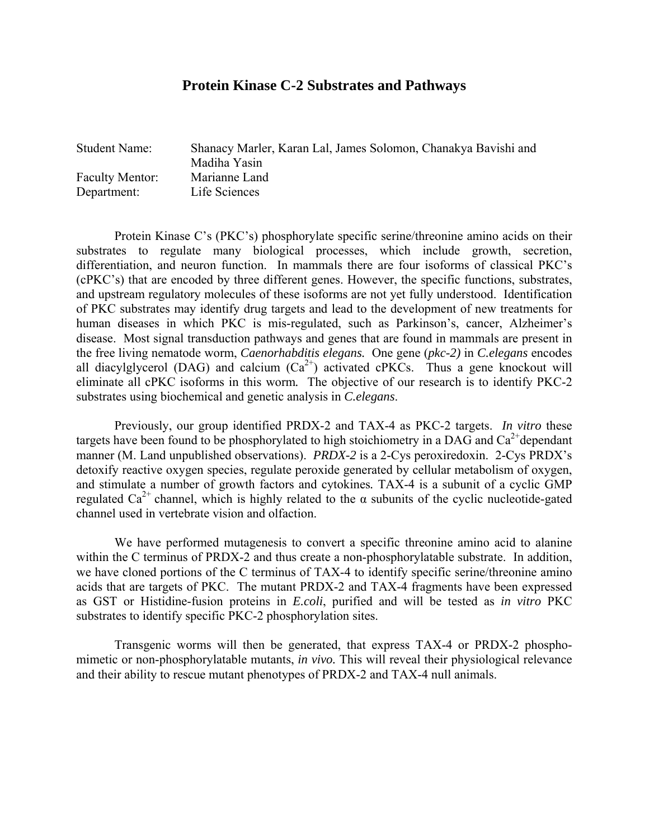#### **Protein Kinase C-2 Substrates and Pathways**

| <b>Student Name:</b>   | Shanacy Marler, Karan Lal, James Solomon, Chanakya Bavishi and<br>Madiha Yasin |
|------------------------|--------------------------------------------------------------------------------|
| <b>Faculty Mentor:</b> | Marianne Land                                                                  |
| Department:            | Life Sciences                                                                  |

 Protein Kinase C's (PKC's) phosphorylate specific serine/threonine amino acids on their substrates to regulate many biological processes, which include growth, secretion, differentiation, and neuron function. In mammals there are four isoforms of classical PKC's (cPKC's) that are encoded by three different genes. However, the specific functions, substrates, and upstream regulatory molecules of these isoforms are not yet fully understood. Identification of PKC substrates may identify drug targets and lead to the development of new treatments for human diseases in which PKC is mis-regulated, such as Parkinson's, cancer, Alzheimer's disease. Most signal transduction pathways and genes that are found in mammals are present in the free living nematode worm, *Caenorhabditis elegans.* One gene (*pkc-2)* in *C.elegans* encodes all diacylglycerol (DAG) and calcium  $(Ca^{2+})$  activated cPKCs. Thus a gene knockout will eliminate all cPKC isoforms in this worm*.* The objective of our research is to identify PKC-2 substrates using biochemical and genetic analysis in *C.elegans*.

 Previously, our group identified PRDX-2 and TAX-4 as PKC-2 targets. *In vitro* these targets have been found to be phosphorylated to high stoichiometry in a DAG and  $Ca^{2+}$ dependant manner (M. Land unpublished observations). *PRDX-2* is a 2-Cys peroxiredoxin. 2-Cys PRDX's detoxify reactive oxygen species, regulate peroxide generated by cellular metabolism of oxygen, and stimulate a number of growth factors and cytokines*.* TAX-4 is a subunit of a cyclic GMP regulated Ca<sup>2+</sup> channel, which is highly related to the  $\alpha$  subunits of the cyclic nucleotide-gated channel used in vertebrate vision and olfaction.

 We have performed mutagenesis to convert a specific threonine amino acid to alanine within the C terminus of PRDX-2 and thus create a non-phosphorylatable substrate. In addition, we have cloned portions of the C terminus of TAX-4 to identify specific serine/threonine amino acids that are targets of PKC. The mutant PRDX-2 and TAX-4 fragments have been expressed as GST or Histidine-fusion proteins in *E.coli*, purified and will be tested as *in vitro* PKC substrates to identify specific PKC-2 phosphorylation sites.

 Transgenic worms will then be generated, that express TAX-4 or PRDX-2 phosphomimetic or non-phosphorylatable mutants, *in vivo.* This will reveal their physiological relevance and their ability to rescue mutant phenotypes of PRDX-2 and TAX-4 null animals.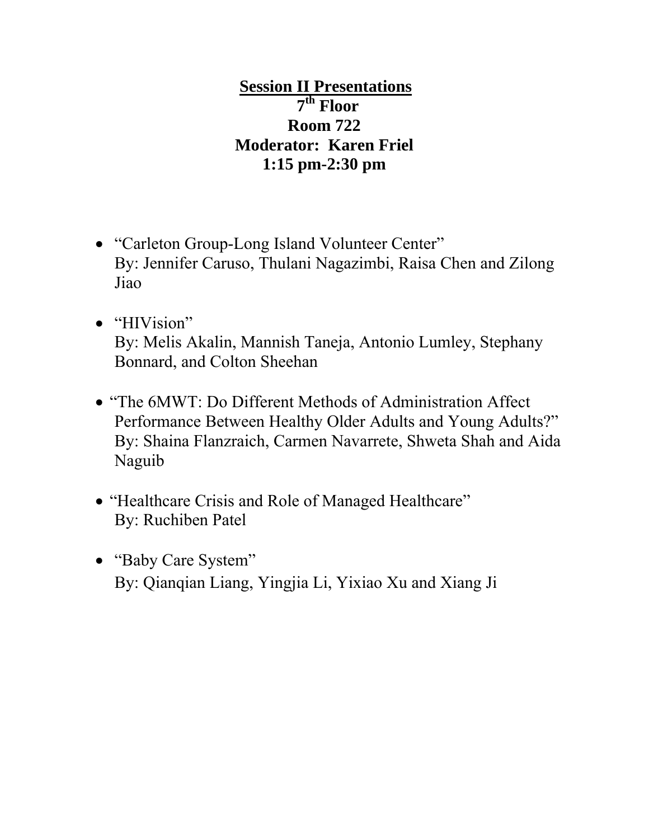**Session II Presentations 7th Floor Room 722 Moderator: Karen Friel 1:15 pm-2:30 pm** 

- "Carleton Group-Long Island Volunteer Center" By: Jennifer Caruso, Thulani Nagazimbi, Raisa Chen and Zilong Jiao
- "HIVision" By: Melis Akalin, Mannish Taneja, Antonio Lumley, Stephany Bonnard, and Colton Sheehan
- "The 6MWT: Do Different Methods of Administration Affect Performance Between Healthy Older Adults and Young Adults?" By: Shaina Flanzraich, Carmen Navarrete, Shweta Shah and Aida Naguib
- "Healthcare Crisis and Role of Managed Healthcare" By: Ruchiben Patel
- "Baby Care System" By: Qianqian Liang, Yingjia Li, Yixiao Xu and Xiang Ji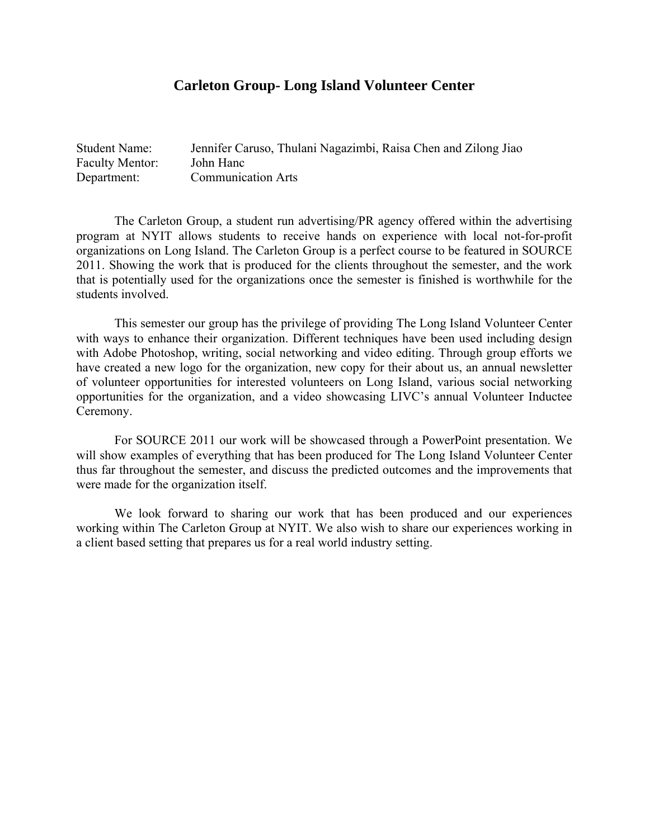## **Carleton Group- Long Island Volunteer Center**

| <b>Student Name:</b>   | Jennifer Caruso, Thulani Nagazimbi, Raisa Chen and Zilong Jiao |
|------------------------|----------------------------------------------------------------|
| <b>Faculty Mentor:</b> | John Hanc                                                      |
| Department:            | <b>Communication Arts</b>                                      |

The Carleton Group, a student run advertising/PR agency offered within the advertising program at NYIT allows students to receive hands on experience with local not-for-profit organizations on Long Island. The Carleton Group is a perfect course to be featured in SOURCE 2011. Showing the work that is produced for the clients throughout the semester, and the work that is potentially used for the organizations once the semester is finished is worthwhile for the students involved.

 This semester our group has the privilege of providing The Long Island Volunteer Center with ways to enhance their organization. Different techniques have been used including design with Adobe Photoshop, writing, social networking and video editing. Through group efforts we have created a new logo for the organization, new copy for their about us, an annual newsletter of volunteer opportunities for interested volunteers on Long Island, various social networking opportunities for the organization, and a video showcasing LIVC's annual Volunteer Inductee Ceremony.

 For SOURCE 2011 our work will be showcased through a PowerPoint presentation. We will show examples of everything that has been produced for The Long Island Volunteer Center thus far throughout the semester, and discuss the predicted outcomes and the improvements that were made for the organization itself.

 We look forward to sharing our work that has been produced and our experiences working within The Carleton Group at NYIT. We also wish to share our experiences working in a client based setting that prepares us for a real world industry setting.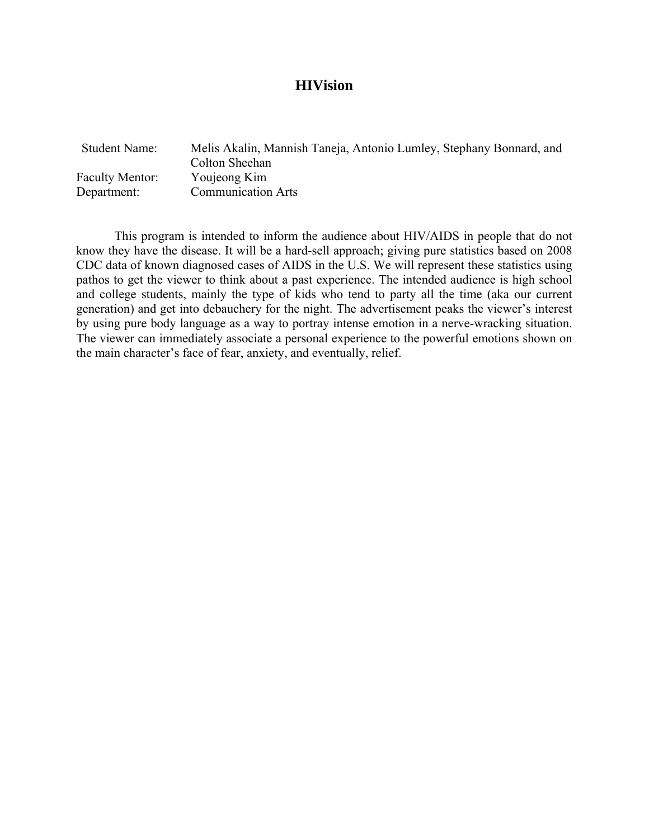#### **HIVision**

| <b>Student Name:</b>   | Melis Akalin, Mannish Taneja, Antonio Lumley, Stephany Bonnard, and |
|------------------------|---------------------------------------------------------------------|
| <b>Faculty Mentor:</b> | Colton Sheehan<br>Youjeong Kim                                      |
| Department:            | <b>Communication Arts</b>                                           |
|                        |                                                                     |

 This program is intended to inform the audience about HIV/AIDS in people that do not know they have the disease. It will be a hard-sell approach; giving pure statistics based on 2008 CDC data of known diagnosed cases of AIDS in the U.S. We will represent these statistics using pathos to get the viewer to think about a past experience. The intended audience is high school and college students, mainly the type of kids who tend to party all the time (aka our current generation) and get into debauchery for the night. The advertisement peaks the viewer's interest by using pure body language as a way to portray intense emotion in a nerve-wracking situation. The viewer can immediately associate a personal experience to the powerful emotions shown on the main character's face of fear, anxiety, and eventually, relief.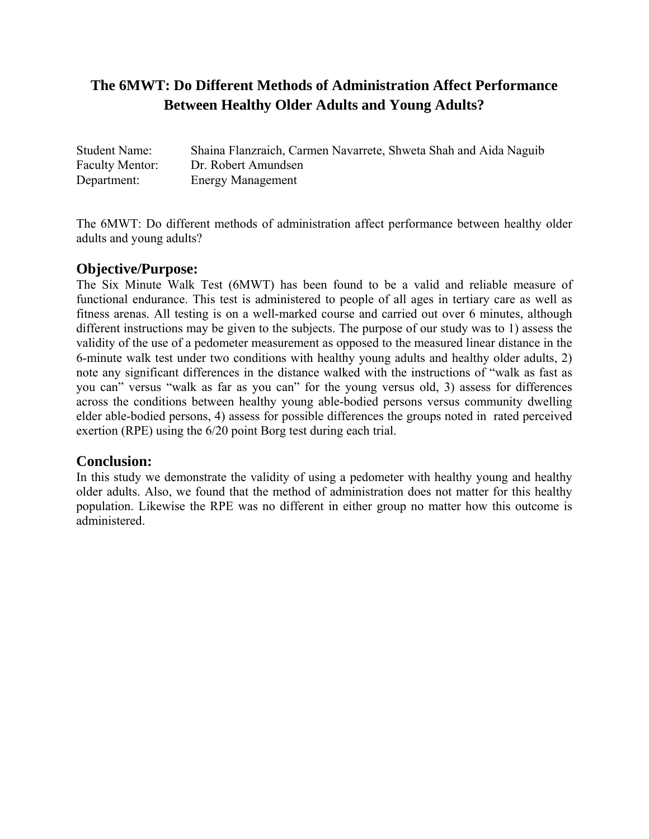# **The 6MWT: Do Different Methods of Administration Affect Performance Between Healthy Older Adults and Young Adults?**

| <b>Student Name:</b>   | Shaina Flanzraich, Carmen Navarrete, Shweta Shah and Aida Naguib |
|------------------------|------------------------------------------------------------------|
| <b>Faculty Mentor:</b> | Dr. Robert Amundsen                                              |
| Department:            | <b>Energy Management</b>                                         |

The 6MWT: Do different methods of administration affect performance between healthy older adults and young adults?

## **Objective/Purpose:**

The Six Minute Walk Test (6MWT) has been found to be a valid and reliable measure of functional endurance. This test is administered to people of all ages in tertiary care as well as fitness arenas. All testing is on a well-marked course and carried out over 6 minutes, although different instructions may be given to the subjects. The purpose of our study was to 1) assess the validity of the use of a pedometer measurement as opposed to the measured linear distance in the 6-minute walk test under two conditions with healthy young adults and healthy older adults, 2) note any significant differences in the distance walked with the instructions of "walk as fast as you can" versus "walk as far as you can" for the young versus old, 3) assess for differences across the conditions between healthy young able-bodied persons versus community dwelling elder able-bodied persons, 4) assess for possible differences the groups noted in rated perceived exertion (RPE) using the 6/20 point Borg test during each trial.

## **Conclusion:**

In this study we demonstrate the validity of using a pedometer with healthy young and healthy older adults. Also, we found that the method of administration does not matter for this healthy population. Likewise the RPE was no different in either group no matter how this outcome is administered.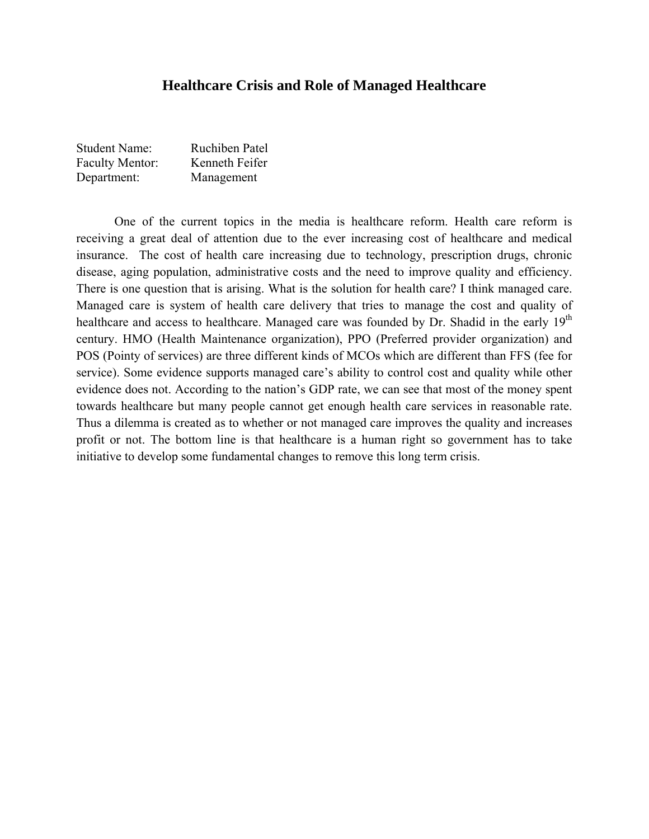#### **Healthcare Crisis and Role of Managed Healthcare**

| <b>Student Name:</b>   | Ruchiben Patel |
|------------------------|----------------|
| <b>Faculty Mentor:</b> | Kenneth Feifer |
| Department:            | Management     |

One of the current topics in the media is healthcare reform. Health care reform is receiving a great deal of attention due to the ever increasing cost of healthcare and medical insurance. The cost of health care increasing due to technology, prescription drugs, chronic disease, aging population, administrative costs and the need to improve quality and efficiency. There is one question that is arising. What is the solution for health care? I think managed care. Managed care is system of health care delivery that tries to manage the cost and quality of healthcare and access to healthcare. Managed care was founded by Dr. Shadid in the early 19<sup>th</sup> century. HMO (Health Maintenance organization), PPO (Preferred provider organization) and POS (Pointy of services) are three different kinds of MCOs which are different than FFS (fee for service). Some evidence supports managed care's ability to control cost and quality while other evidence does not. According to the nation's GDP rate, we can see that most of the money spent towards healthcare but many people cannot get enough health care services in reasonable rate. Thus a dilemma is created as to whether or not managed care improves the quality and increases profit or not. The bottom line is that healthcare is a human right so government has to take initiative to develop some fundamental changes to remove this long term crisis.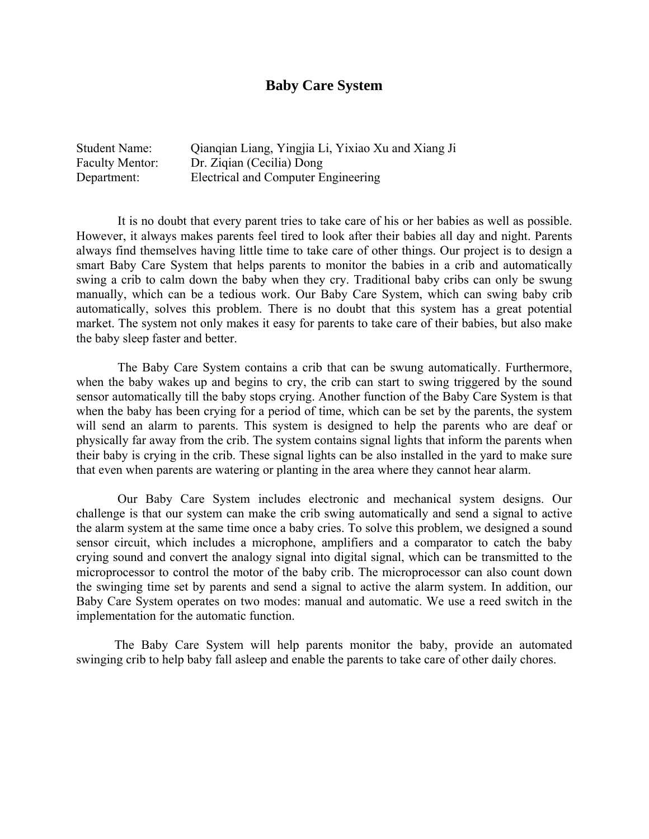## **Baby Care System**

| Student Name:          | Qianqian Liang, Yingjia Li, Yixiao Xu and Xiang Ji |
|------------------------|----------------------------------------------------|
| <b>Faculty Mentor:</b> | Dr. Ziqian (Cecilia) Dong                          |
| Department:            | Electrical and Computer Engineering                |

 It is no doubt that every parent tries to take care of his or her babies as well as possible. However, it always makes parents feel tired to look after their babies all day and night. Parents always find themselves having little time to take care of other things. Our project is to design a smart Baby Care System that helps parents to monitor the babies in a crib and automatically swing a crib to calm down the baby when they cry. Traditional baby cribs can only be swung manually, which can be a tedious work. Our Baby Care System, which can swing baby crib automatically, solves this problem. There is no doubt that this system has a great potential market. The system not only makes it easy for parents to take care of their babies, but also make the baby sleep faster and better.

 The Baby Care System contains a crib that can be swung automatically. Furthermore, when the baby wakes up and begins to cry, the crib can start to swing triggered by the sound sensor automatically till the baby stops crying. Another function of the Baby Care System is that when the baby has been crying for a period of time, which can be set by the parents, the system will send an alarm to parents. This system is designed to help the parents who are deaf or physically far away from the crib. The system contains signal lights that inform the parents when their baby is crying in the crib. These signal lights can be also installed in the yard to make sure that even when parents are watering or planting in the area where they cannot hear alarm.

 Our Baby Care System includes electronic and mechanical system designs. Our challenge is that our system can make the crib swing automatically and send a signal to active the alarm system at the same time once a baby cries. To solve this problem, we designed a sound sensor circuit, which includes a microphone, amplifiers and a comparator to catch the baby crying sound and convert the analogy signal into digital signal, which can be transmitted to the microprocessor to control the motor of the baby crib. The microprocessor can also count down the swinging time set by parents and send a signal to active the alarm system. In addition, our Baby Care System operates on two modes: manual and automatic. We use a reed switch in the implementation for the automatic function.

 The Baby Care System will help parents monitor the baby, provide an automated swinging crib to help baby fall asleep and enable the parents to take care of other daily chores.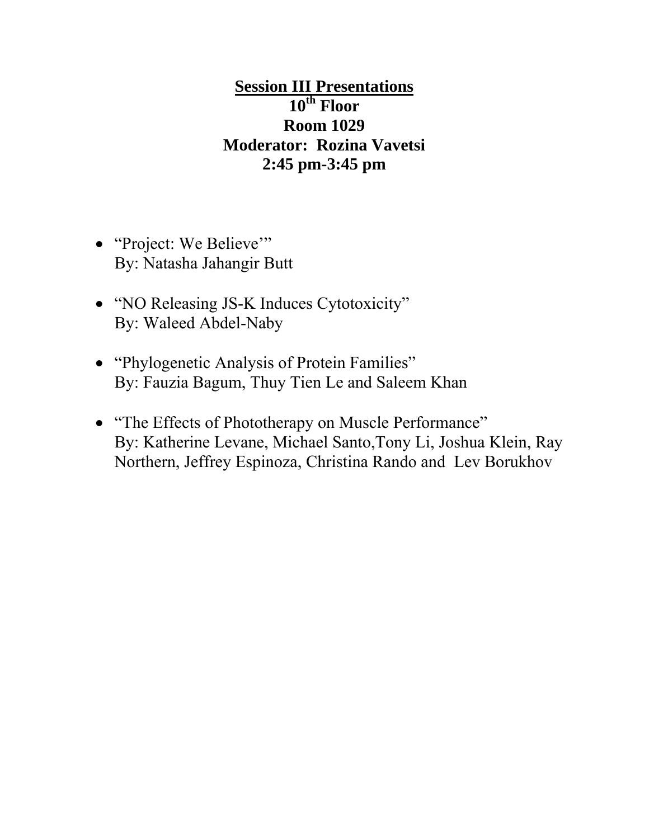**Session III Presentations 10th Floor Room 1029 Moderator: Rozina Vavetsi 2:45 pm-3:45 pm** 

- "Project: We Believe" By: Natasha Jahangir Butt
- "NO Releasing JS-K Induces Cytotoxicity" By: Waleed Abdel-Naby
- "Phylogenetic Analysis of Protein Families" By: Fauzia Bagum, Thuy Tien Le and Saleem Khan
- "The Effects of Phototherapy on Muscle Performance" By: Katherine Levane, Michael Santo,Tony Li, Joshua Klein, Ray Northern, Jeffrey Espinoza, Christina Rando and Lev Borukhov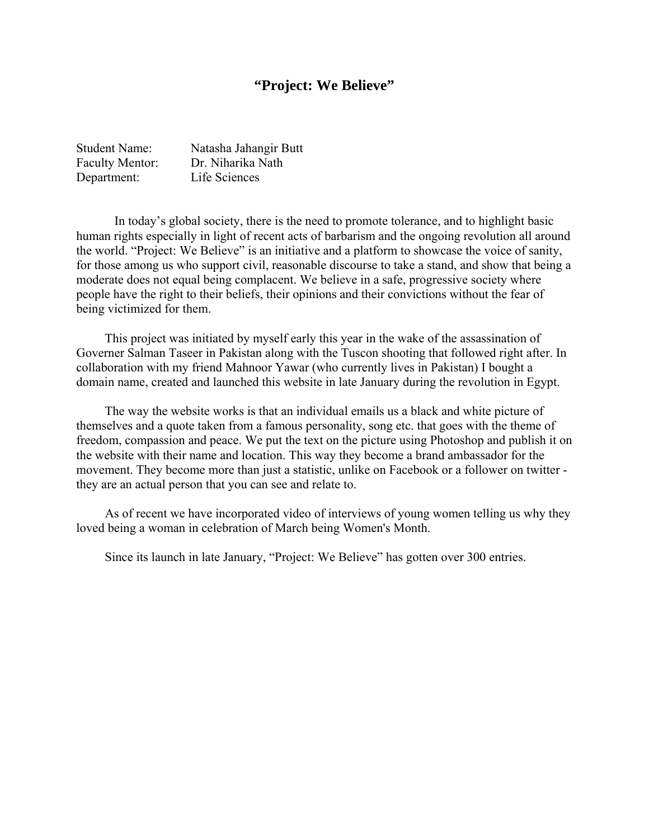## **"Project: We Believe"**

| <b>Student Name:</b>   | Natasha Jahangir Butt |
|------------------------|-----------------------|
| <b>Faculty Mentor:</b> | Dr. Niharika Nath     |
| Department:            | Life Sciences         |

In today's global society, there is the need to promote tolerance, and to highlight basic human rights especially in light of recent acts of barbarism and the ongoing revolution all around the world. "Project: We Believe" is an initiative and a platform to showcase the voice of sanity, for those among us who support civil, reasonable discourse to take a stand, and show that being a moderate does not equal being complacent. We believe in a safe, progressive society where people have the right to their beliefs, their opinions and their convictions without the fear of being victimized for them.

 This project was initiated by myself early this year in the wake of the assassination of Governer Salman Taseer in Pakistan along with the Tuscon shooting that followed right after. In collaboration with my friend Mahnoor Yawar (who currently lives in Pakistan) I bought a domain name, created and launched this website in late January during the revolution in Egypt.

 The way the website works is that an individual emails us a black and white picture of themselves and a quote taken from a famous personality, song etc. that goes with the theme of freedom, compassion and peace. We put the text on the picture using Photoshop and publish it on the website with their name and location. This way they become a brand ambassador for the movement. They become more than just a statistic, unlike on Facebook or a follower on twitter they are an actual person that you can see and relate to.

 As of recent we have incorporated video of interviews of young women telling us why they loved being a woman in celebration of March being Women's Month.

Since its launch in late January, "Project: We Believe" has gotten over 300 entries.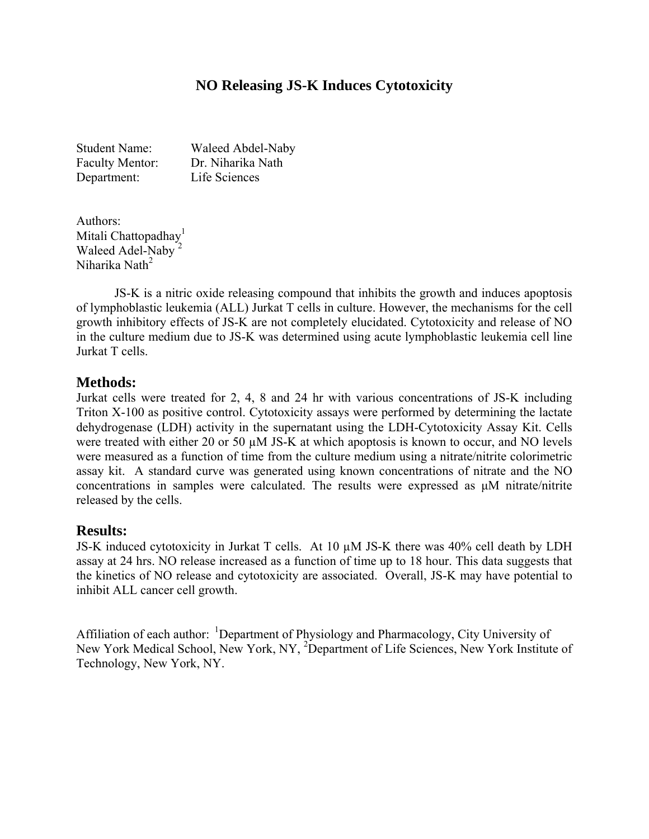## **NO Releasing JS-K Induces Cytotoxicity**

Student Name: Waleed Abdel-Naby Faculty Mentor: Dr. Niharika Nath Department: Life Sciences

Authors: Mitali Chattopadhay<sup>1</sup> Waleed Adel-Naby<sup>2</sup> Niharika Nath<sup>2</sup>

JS-K is a nitric oxide releasing compound that inhibits the growth and induces apoptosis of lymphoblastic leukemia (ALL) Jurkat T cells in culture. However, the mechanisms for the cell growth inhibitory effects of JS-K are not completely elucidated. Cytotoxicity and release of NO in the culture medium due to JS-K was determined using acute lymphoblastic leukemia cell line Jurkat T cells.

## **Methods:**

Jurkat cells were treated for 2, 4, 8 and 24 hr with various concentrations of JS-K including Triton X-100 as positive control. Cytotoxicity assays were performed by determining the lactate dehydrogenase (LDH) activity in the supernatant using the LDH-Cytotoxicity Assay Kit. Cells were treated with either 20 or 50  $\mu$ M JS-K at which apoptosis is known to occur, and NO levels were measured as a function of time from the culture medium using a nitrate/nitrite colorimetric assay kit. A standard curve was generated using known concentrations of nitrate and the NO concentrations in samples were calculated. The results were expressed as μM nitrate/nitrite released by the cells.

## **Results:**

JS-K induced cytotoxicity in Jurkat T cells. At 10 µM JS-K there was 40% cell death by LDH assay at 24 hrs. NO release increased as a function of time up to 18 hour. This data suggests that the kinetics of NO release and cytotoxicity are associated. Overall, JS-K may have potential to inhibit ALL cancer cell growth.

Affiliation of each author: <sup>1</sup>Department of Physiology and Pharmacology, City University of New York Medical School, New York, NY, <sup>2</sup>Department of Life Sciences, New York Institute of Technology, New York, NY.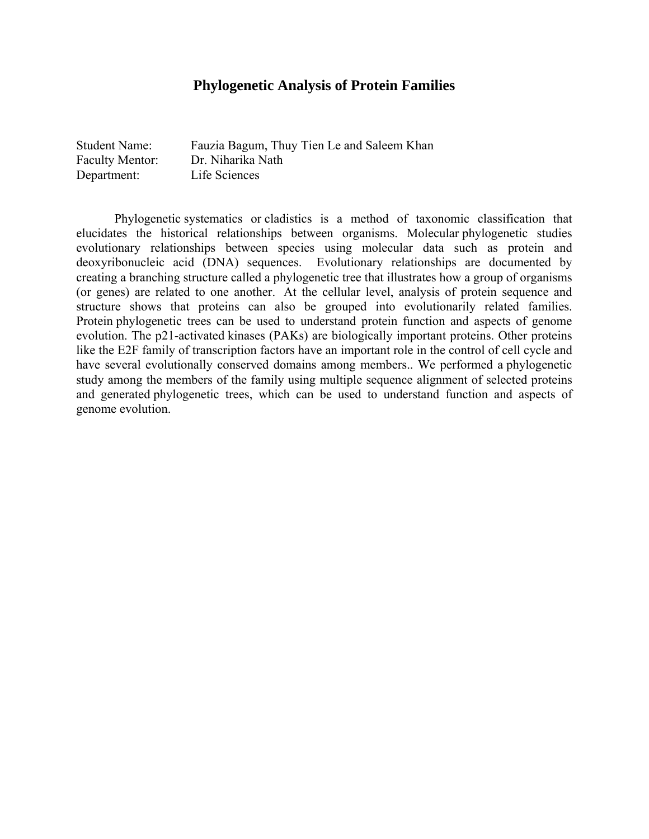## **Phylogenetic Analysis of Protein Families**

| <b>Student Name:</b>   | Fauzia Bagum, Thuy Tien Le and Saleem Khan |
|------------------------|--------------------------------------------|
| <b>Faculty Mentor:</b> | Dr. Niharika Nath                          |
| Department:            | Life Sciences                              |

Phylogenetic systematics or cladistics is a method of taxonomic classification that elucidates the historical relationships between organisms. Molecular phylogenetic studies evolutionary relationships between species using molecular data such as protein and deoxyribonucleic acid (DNA) sequences. Evolutionary relationships are documented by creating a branching structure called a phylogenetic tree that illustrates how a group of organisms (or genes) are related to one another. At the cellular level, analysis of protein sequence and structure shows that proteins can also be grouped into evolutionarily related families. Protein phylogenetic trees can be used to understand protein function and aspects of genome evolution. The p21-activated kinases (PAKs) are biologically important proteins. Other proteins like the E2F family of transcription factors have an important role in the control of cell cycle and have several evolutionally conserved domains among members.. We performed a phylogenetic study among the members of the family using multiple sequence alignment of selected proteins and generated phylogenetic trees, which can be used to understand function and aspects of genome evolution.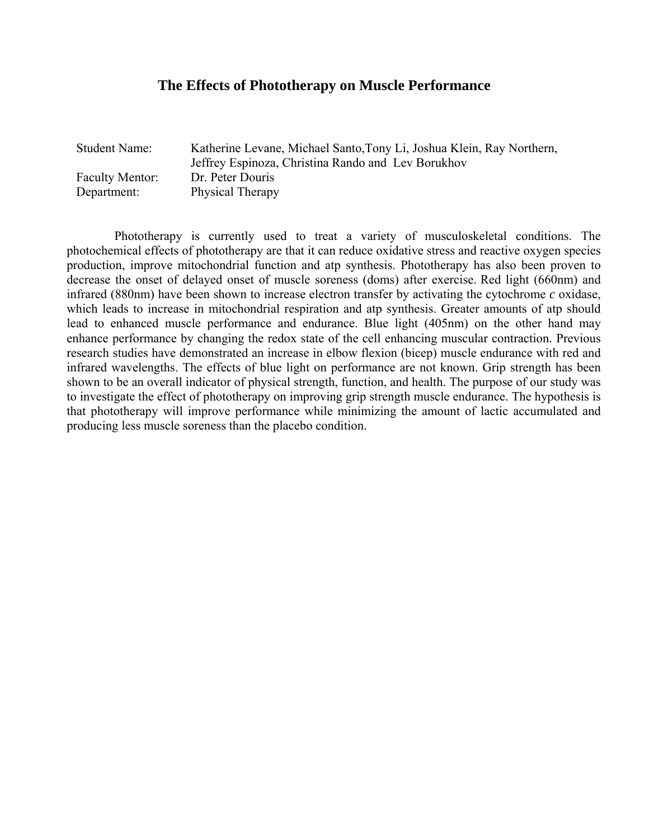## **The Effects of Phototherapy on Muscle Performance**

| <b>Student Name:</b>   | Katherine Levane, Michael Santo, Tony Li, Joshua Klein, Ray Northern, |
|------------------------|-----------------------------------------------------------------------|
|                        | Jeffrey Espinoza, Christina Rando and Lev Borukhov                    |
| <b>Faculty Mentor:</b> | Dr. Peter Douris                                                      |
| Department:            | <b>Physical Therapy</b>                                               |

 Phototherapy is currently used to treat a variety of musculoskeletal conditions. The photochemical effects of phototherapy are that it can reduce oxidative stress and reactive oxygen species production, improve mitochondrial function and atp synthesis. Phototherapy has also been proven to decrease the onset of delayed onset of muscle soreness (doms) after exercise. Red light (660nm) and infrared (880nm) have been shown to increase electron transfer by activating the cytochrome *c* oxidase, which leads to increase in mitochondrial respiration and atp synthesis. Greater amounts of atp should lead to enhanced muscle performance and endurance. Blue light (405nm) on the other hand may enhance performance by changing the redox state of the cell enhancing muscular contraction. Previous research studies have demonstrated an increase in elbow flexion (bicep) muscle endurance with red and infrared wavelengths. The effects of blue light on performance are not known. Grip strength has been shown to be an overall indicator of physical strength, function, and health. The purpose of our study was to investigate the effect of phototherapy on improving grip strength muscle endurance. The hypothesis is that phototherapy will improve performance while minimizing the amount of lactic accumulated and producing less muscle soreness than the placebo condition.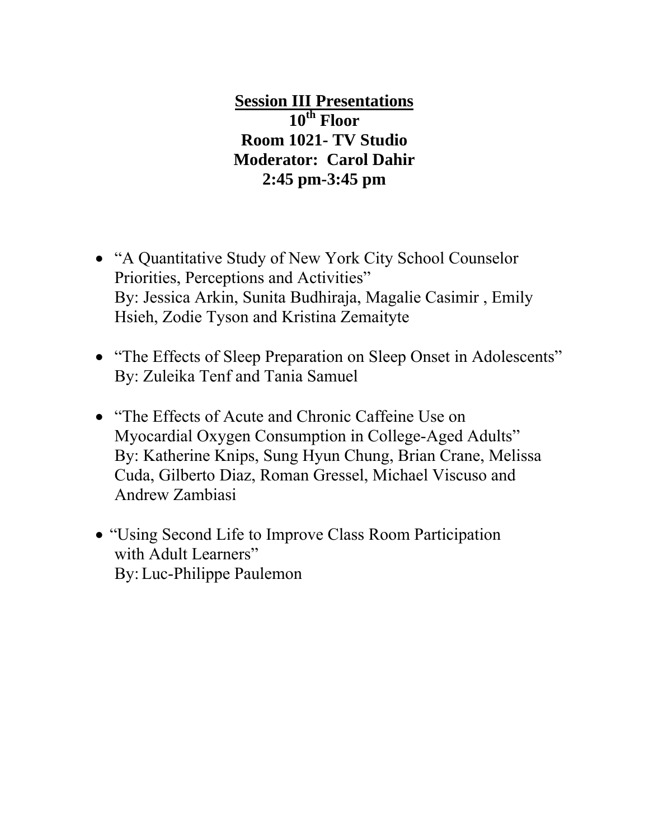**Session III Presentations 10th Floor Room 1021- TV Studio Moderator: Carol Dahir 2:45 pm-3:45 pm** 

- "A Quantitative Study of New York City School Counselor Priorities, Perceptions and Activities" By: Jessica Arkin, Sunita Budhiraja, Magalie Casimir , Emily Hsieh, Zodie Tyson and Kristina Zemaityte
- "The Effects of Sleep Preparation on Sleep Onset in Adolescents" By: Zuleika Tenf and Tania Samuel
- "The Effects of Acute and Chronic Caffeine Use on Myocardial Oxygen Consumption in College-Aged Adults" By: Katherine Knips, Sung Hyun Chung, Brian Crane, Melissa Cuda, Gilberto Diaz, Roman Gressel, Michael Viscuso and Andrew Zambiasi
- "Using Second Life to Improve Class Room Participation with Adult Learners" By:Luc-Philippe Paulemon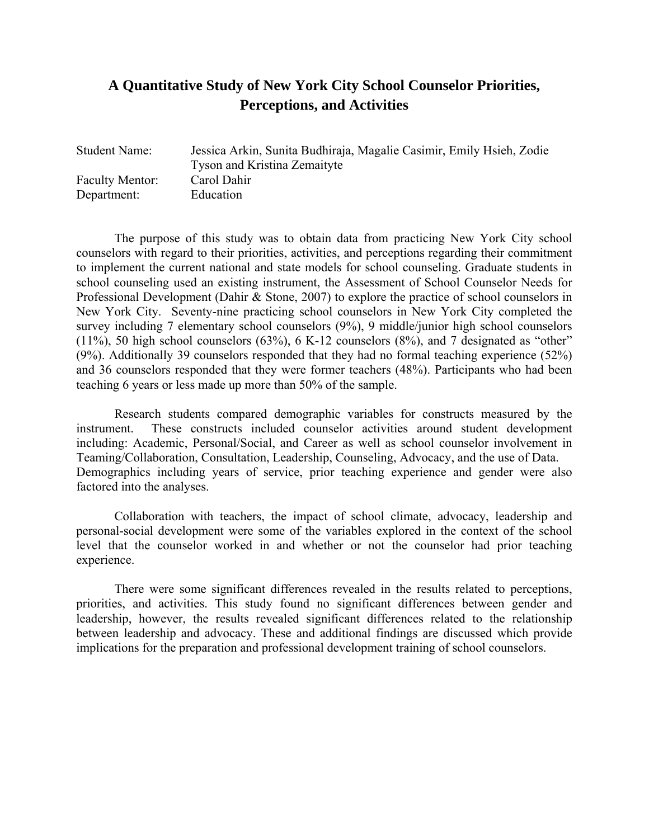## **A Quantitative Study of New York City School Counselor Priorities, Perceptions, and Activities**

| <b>Student Name:</b>   | Jessica Arkin, Sunita Budhiraja, Magalie Casimir, Emily Hsieh, Zodie |
|------------------------|----------------------------------------------------------------------|
|                        | <b>Tyson and Kristina Zemaityte</b>                                  |
| <b>Faculty Mentor:</b> | Carol Dahir                                                          |
| Department:            | Education                                                            |
|                        |                                                                      |

 The purpose of this study was to obtain data from practicing New York City school counselors with regard to their priorities, activities, and perceptions regarding their commitment to implement the current national and state models for school counseling. Graduate students in school counseling used an existing instrument, the Assessment of School Counselor Needs for Professional Development (Dahir & Stone, 2007) to explore the practice of school counselors in New York City. Seventy-nine practicing school counselors in New York City completed the survey including 7 elementary school counselors (9%), 9 middle/junior high school counselors  $(11\%)$ , 50 high school counselors  $(63\%)$ , 6 K-12 counselors  $(8\%)$ , and 7 designated as "other" (9%). Additionally 39 counselors responded that they had no formal teaching experience (52%) and 36 counselors responded that they were former teachers (48%). Participants who had been teaching 6 years or less made up more than 50% of the sample.

 Research students compared demographic variables for constructs measured by the instrument. These constructs included counselor activities around student development including: Academic, Personal/Social, and Career as well as school counselor involvement in Teaming/Collaboration, Consultation, Leadership, Counseling, Advocacy, and the use of Data. Demographics including years of service, prior teaching experience and gender were also factored into the analyses.

 Collaboration with teachers, the impact of school climate, advocacy, leadership and personal-social development were some of the variables explored in the context of the school level that the counselor worked in and whether or not the counselor had prior teaching experience.

 There were some significant differences revealed in the results related to perceptions, priorities, and activities. This study found no significant differences between gender and leadership, however, the results revealed significant differences related to the relationship between leadership and advocacy. These and additional findings are discussed which provide implications for the preparation and professional development training of school counselors.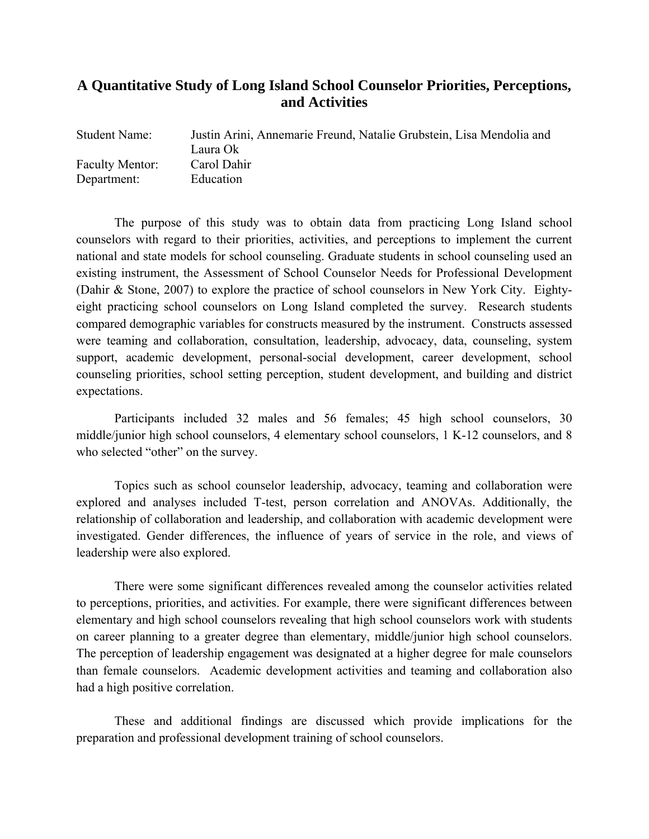## **A Quantitative Study of Long Island School Counselor Priorities, Perceptions, and Activities**

| <b>Student Name:</b>   | Justin Arini, Annemarie Freund, Natalie Grubstein, Lisa Mendolia and |
|------------------------|----------------------------------------------------------------------|
|                        | Laura Ok                                                             |
| <b>Faculty Mentor:</b> | Carol Dahir                                                          |
| Department:            | Education                                                            |

 The purpose of this study was to obtain data from practicing Long Island school counselors with regard to their priorities, activities, and perceptions to implement the current national and state models for school counseling. Graduate students in school counseling used an existing instrument, the Assessment of School Counselor Needs for Professional Development (Dahir & Stone, 2007) to explore the practice of school counselors in New York City. Eightyeight practicing school counselors on Long Island completed the survey. Research students compared demographic variables for constructs measured by the instrument. Constructs assessed were teaming and collaboration, consultation, leadership, advocacy, data, counseling, system support, academic development, personal-social development, career development, school counseling priorities, school setting perception, student development, and building and district expectations.

 Participants included 32 males and 56 females; 45 high school counselors, 30 middle/junior high school counselors, 4 elementary school counselors, 1 K-12 counselors, and 8 who selected "other" on the survey.

Topics such as school counselor leadership, advocacy, teaming and collaboration were explored and analyses included T-test, person correlation and ANOVAs. Additionally, the relationship of collaboration and leadership, and collaboration with academic development were investigated. Gender differences, the influence of years of service in the role, and views of leadership were also explored.

There were some significant differences revealed among the counselor activities related to perceptions, priorities, and activities. For example, there were significant differences between elementary and high school counselors revealing that high school counselors work with students on career planning to a greater degree than elementary, middle/junior high school counselors. The perception of leadership engagement was designated at a higher degree for male counselors than female counselors. Academic development activities and teaming and collaboration also had a high positive correlation.

These and additional findings are discussed which provide implications for the preparation and professional development training of school counselors.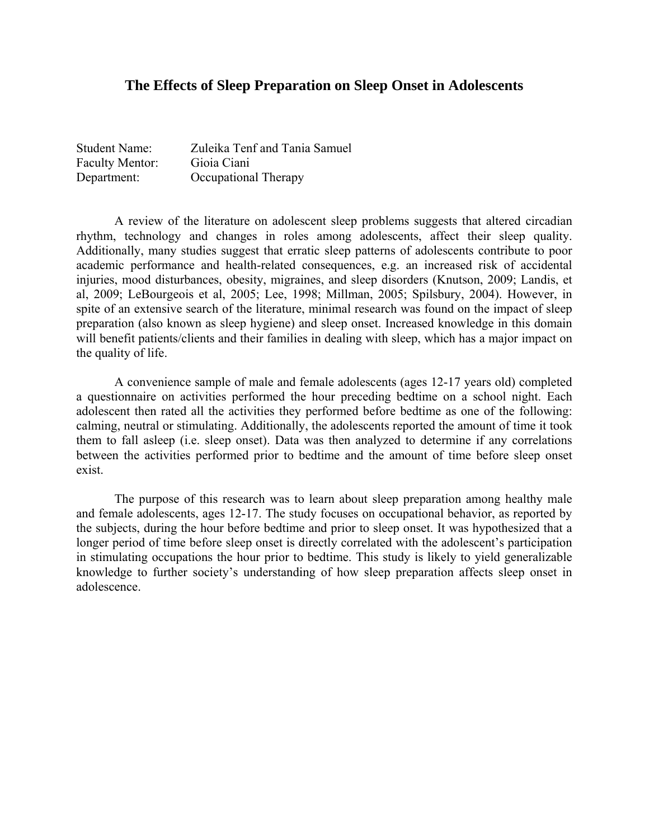#### **The Effects of Sleep Preparation on Sleep Onset in Adolescents**

| <b>Student Name:</b>   | Zuleika Tenf and Tania Samuel |
|------------------------|-------------------------------|
| <b>Faculty Mentor:</b> | Gioia Ciani                   |
| Department:            | Occupational Therapy          |

 A review of the literature on adolescent sleep problems suggests that altered circadian rhythm, technology and changes in roles among adolescents, affect their sleep quality. Additionally, many studies suggest that erratic sleep patterns of adolescents contribute to poor academic performance and health-related consequences, e.g. an increased risk of accidental injuries, mood disturbances, obesity, migraines, and sleep disorders (Knutson, 2009; Landis, et al, 2009; LeBourgeois et al, 2005; Lee, 1998; Millman, 2005; Spilsbury, 2004). However, in spite of an extensive search of the literature, minimal research was found on the impact of sleep preparation (also known as sleep hygiene) and sleep onset. Increased knowledge in this domain will benefit patients/clients and their families in dealing with sleep, which has a major impact on the quality of life.

 A convenience sample of male and female adolescents (ages 12-17 years old) completed a questionnaire on activities performed the hour preceding bedtime on a school night. Each adolescent then rated all the activities they performed before bedtime as one of the following: calming, neutral or stimulating. Additionally, the adolescents reported the amount of time it took them to fall asleep (i.e. sleep onset). Data was then analyzed to determine if any correlations between the activities performed prior to bedtime and the amount of time before sleep onset exist.

 The purpose of this research was to learn about sleep preparation among healthy male and female adolescents, ages 12-17. The study focuses on occupational behavior, as reported by the subjects, during the hour before bedtime and prior to sleep onset. It was hypothesized that a longer period of time before sleep onset is directly correlated with the adolescent's participation in stimulating occupations the hour prior to bedtime. This study is likely to yield generalizable knowledge to further society's understanding of how sleep preparation affects sleep onset in adolescence.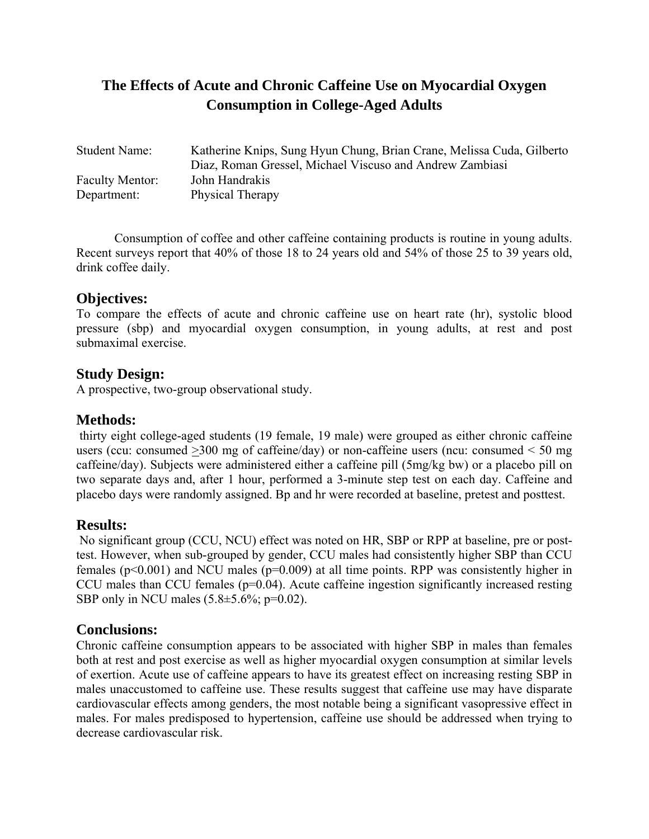# **The Effects of Acute and Chronic Caffeine Use on Myocardial Oxygen Consumption in College-Aged Adults**

| <b>Student Name:</b>   | Katherine Knips, Sung Hyun Chung, Brian Crane, Melissa Cuda, Gilberto |
|------------------------|-----------------------------------------------------------------------|
|                        | Diaz, Roman Gressel, Michael Viscuso and Andrew Zambiasi              |
| <b>Faculty Mentor:</b> | John Handrakis                                                        |
| Department:            | <b>Physical Therapy</b>                                               |

Consumption of coffee and other caffeine containing products is routine in young adults. Recent surveys report that 40% of those 18 to 24 years old and 54% of those 25 to 39 years old, drink coffee daily.

## **Objectives:**

To compare the effects of acute and chronic caffeine use on heart rate (hr), systolic blood pressure (sbp) and myocardial oxygen consumption, in young adults, at rest and post submaximal exercise.

## **Study Design:**

A prospective, two-group observational study.

## **Methods:**

 thirty eight college-aged students (19 female, 19 male) were grouped as either chronic caffeine users (ccu: consumed  $>300$  mg of caffeine/day) or non-caffeine users (ncu: consumed  $< 50$  mg caffeine/day). Subjects were administered either a caffeine pill (5mg/kg bw) or a placebo pill on two separate days and, after 1 hour, performed a 3-minute step test on each day. Caffeine and placebo days were randomly assigned. Bp and hr were recorded at baseline, pretest and posttest.

## **Results:**

 No significant group (CCU, NCU) effect was noted on HR, SBP or RPP at baseline, pre or posttest. However, when sub-grouped by gender, CCU males had consistently higher SBP than CCU females ( $p<0.001$ ) and NCU males ( $p=0.009$ ) at all time points. RPP was consistently higher in CCU males than CCU females ( $p=0.04$ ). Acute caffeine ingestion significantly increased resting SBP only in NCU males  $(5.8 \pm 5.6\%; p=0.02)$ .

## **Conclusions:**

Chronic caffeine consumption appears to be associated with higher SBP in males than females both at rest and post exercise as well as higher myocardial oxygen consumption at similar levels of exertion. Acute use of caffeine appears to have its greatest effect on increasing resting SBP in males unaccustomed to caffeine use. These results suggest that caffeine use may have disparate cardiovascular effects among genders, the most notable being a significant vasopressive effect in males. For males predisposed to hypertension, caffeine use should be addressed when trying to decrease cardiovascular risk.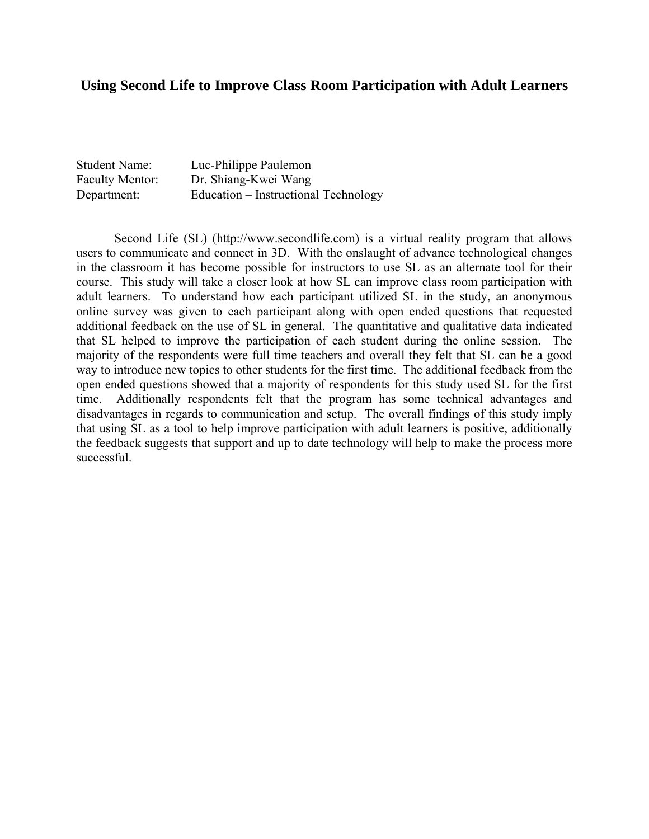## **Using Second Life to Improve Class Room Participation with Adult Learners**

| <b>Student Name:</b>   | Luc-Philippe Paulemon                |
|------------------------|--------------------------------------|
| <b>Faculty Mentor:</b> | Dr. Shiang-Kwei Wang                 |
| Department:            | Education – Instructional Technology |

 Second Life (SL) (http://www.secondlife.com) is a virtual reality program that allows users to communicate and connect in 3D. With the onslaught of advance technological changes in the classroom it has become possible for instructors to use SL as an alternate tool for their course. This study will take a closer look at how SL can improve class room participation with adult learners. To understand how each participant utilized SL in the study, an anonymous online survey was given to each participant along with open ended questions that requested additional feedback on the use of SL in general. The quantitative and qualitative data indicated that SL helped to improve the participation of each student during the online session. The majority of the respondents were full time teachers and overall they felt that SL can be a good way to introduce new topics to other students for the first time. The additional feedback from the open ended questions showed that a majority of respondents for this study used SL for the first time. Additionally respondents felt that the program has some technical advantages and disadvantages in regards to communication and setup. The overall findings of this study imply that using SL as a tool to help improve participation with adult learners is positive, additionally the feedback suggests that support and up to date technology will help to make the process more successful.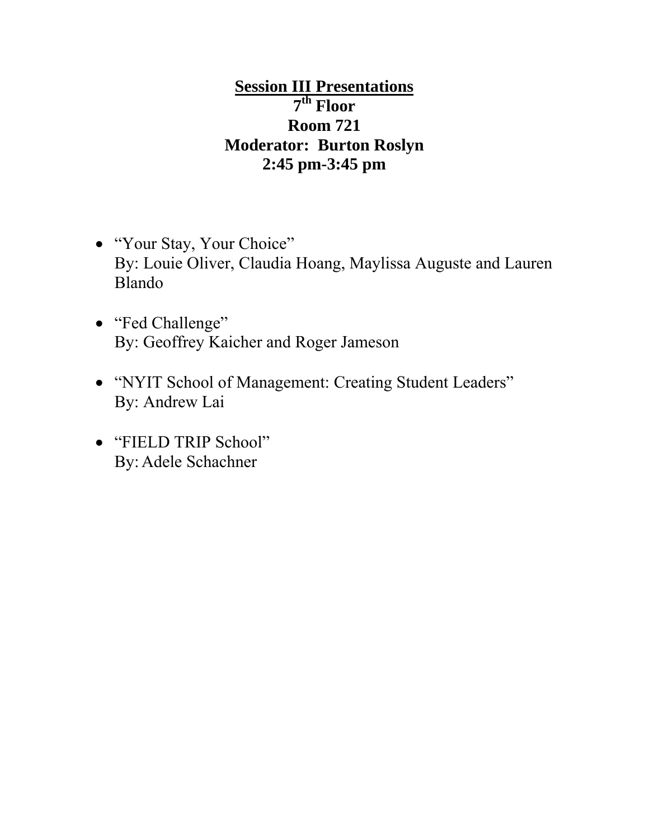# **Session III Presentations 7th Floor Room 721 Moderator: Burton Roslyn 2:45 pm-3:45 pm**

- "Your Stay, Your Choice" By: Louie Oliver, Claudia Hoang, Maylissa Auguste and Lauren Blando
- "Fed Challenge" By: Geoffrey Kaicher and Roger Jameson
- "NYIT School of Management: Creating Student Leaders" By: Andrew Lai
- "FIELD TRIP School" By: Adele Schachner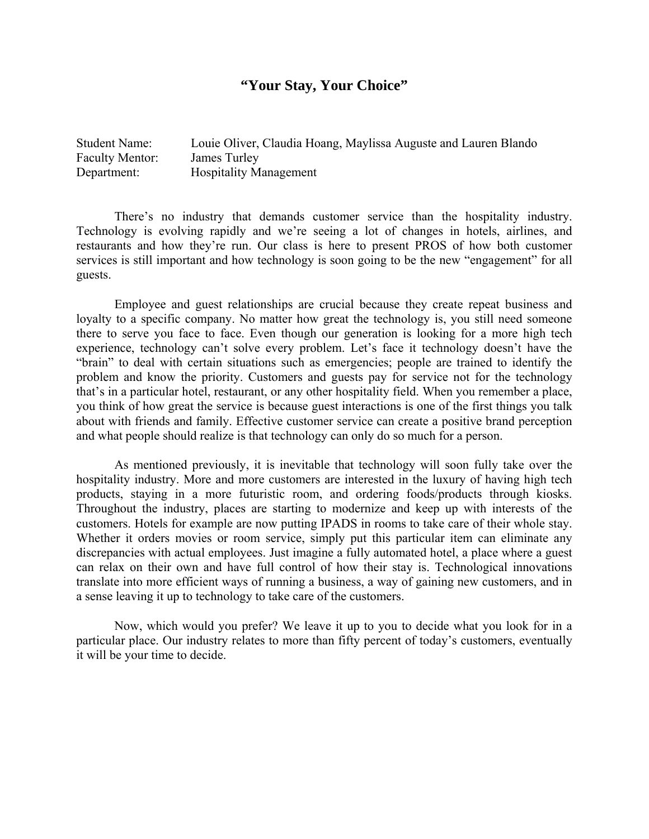## **"Your Stay, Your Choice"**

Student Name: Louie Oliver, Claudia Hoang, Maylissa Auguste and Lauren Blando Faculty Mentor: James Turley Department: Hospitality Management

There's no industry that demands customer service than the hospitality industry. Technology is evolving rapidly and we're seeing a lot of changes in hotels, airlines, and restaurants and how they're run. Our class is here to present PROS of how both customer services is still important and how technology is soon going to be the new "engagement" for all guests.

Employee and guest relationships are crucial because they create repeat business and loyalty to a specific company. No matter how great the technology is, you still need someone there to serve you face to face. Even though our generation is looking for a more high tech experience, technology can't solve every problem. Let's face it technology doesn't have the "brain" to deal with certain situations such as emergencies; people are trained to identify the problem and know the priority. Customers and guests pay for service not for the technology that's in a particular hotel, restaurant, or any other hospitality field. When you remember a place, you think of how great the service is because guest interactions is one of the first things you talk about with friends and family. Effective customer service can create a positive brand perception and what people should realize is that technology can only do so much for a person.

As mentioned previously, it is inevitable that technology will soon fully take over the hospitality industry. More and more customers are interested in the luxury of having high tech products, staying in a more futuristic room, and ordering foods/products through kiosks. Throughout the industry, places are starting to modernize and keep up with interests of the customers. Hotels for example are now putting IPADS in rooms to take care of their whole stay. Whether it orders movies or room service, simply put this particular item can eliminate any discrepancies with actual employees. Just imagine a fully automated hotel, a place where a guest can relax on their own and have full control of how their stay is. Technological innovations translate into more efficient ways of running a business, a way of gaining new customers, and in a sense leaving it up to technology to take care of the customers.

Now, which would you prefer? We leave it up to you to decide what you look for in a particular place. Our industry relates to more than fifty percent of today's customers, eventually it will be your time to decide.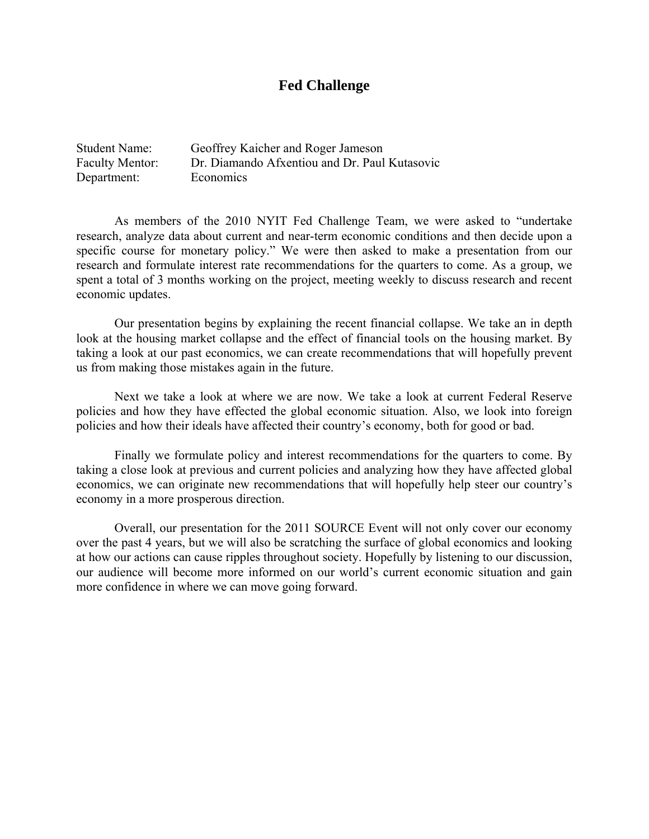## **Fed Challenge**

| <b>Student Name:</b>   | Geoffrey Kaicher and Roger Jameson            |
|------------------------|-----------------------------------------------|
| <b>Faculty Mentor:</b> | Dr. Diamando Afxentiou and Dr. Paul Kutasovic |
| Department:            | Economics                                     |

As members of the 2010 NYIT Fed Challenge Team, we were asked to "undertake research, analyze data about current and near-term economic conditions and then decide upon a specific course for monetary policy." We were then asked to make a presentation from our research and formulate interest rate recommendations for the quarters to come. As a group, we spent a total of 3 months working on the project, meeting weekly to discuss research and recent economic updates.

Our presentation begins by explaining the recent financial collapse. We take an in depth look at the housing market collapse and the effect of financial tools on the housing market. By taking a look at our past economics, we can create recommendations that will hopefully prevent us from making those mistakes again in the future.

Next we take a look at where we are now. We take a look at current Federal Reserve policies and how they have effected the global economic situation. Also, we look into foreign policies and how their ideals have affected their country's economy, both for good or bad.

Finally we formulate policy and interest recommendations for the quarters to come. By taking a close look at previous and current policies and analyzing how they have affected global economics, we can originate new recommendations that will hopefully help steer our country's economy in a more prosperous direction.

Overall, our presentation for the 2011 SOURCE Event will not only cover our economy over the past 4 years, but we will also be scratching the surface of global economics and looking at how our actions can cause ripples throughout society. Hopefully by listening to our discussion, our audience will become more informed on our world's current economic situation and gain more confidence in where we can move going forward.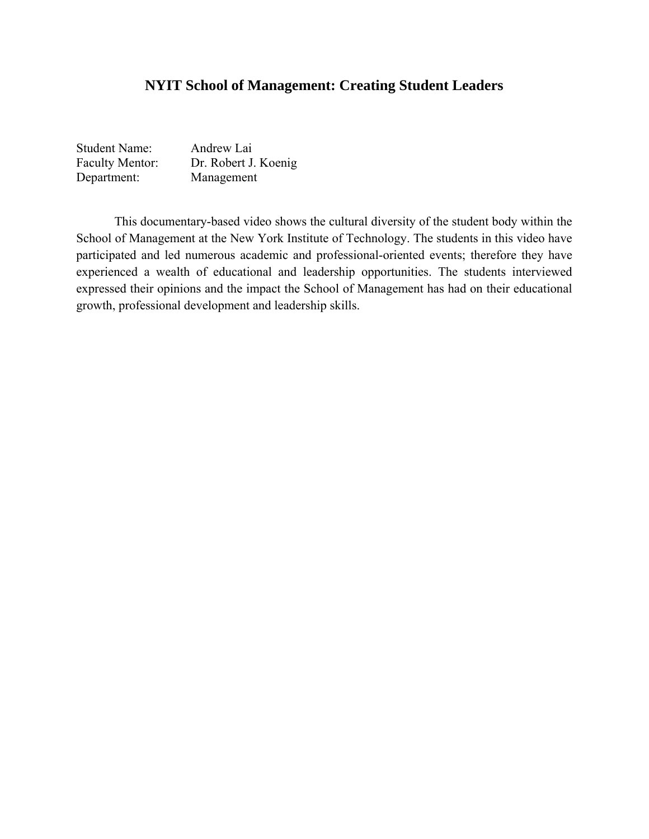## **NYIT School of Management: Creating Student Leaders**

| <b>Student Name:</b>   | Andrew Lai           |
|------------------------|----------------------|
| <b>Faculty Mentor:</b> | Dr. Robert J. Koenig |
| Department:            | Management           |

This documentary-based video shows the cultural diversity of the student body within the School of Management at the New York Institute of Technology. The students in this video have participated and led numerous academic and professional-oriented events; therefore they have experienced a wealth of educational and leadership opportunities. The students interviewed expressed their opinions and the impact the School of Management has had on their educational growth, professional development and leadership skills.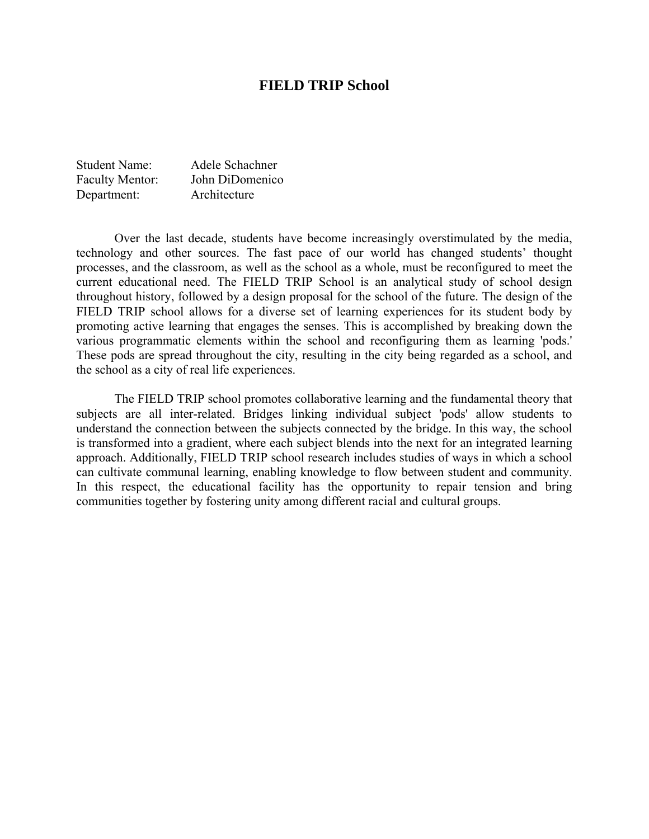#### **FIELD TRIP School**

| <b>Student Name:</b>   | Adele Schachner |
|------------------------|-----------------|
| <b>Faculty Mentor:</b> | John DiDomenico |
| Department:            | Architecture    |

 Over the last decade, students have become increasingly overstimulated by the media, technology and other sources. The fast pace of our world has changed students' thought processes, and the classroom, as well as the school as a whole, must be reconfigured to meet the current educational need. The FIELD TRIP School is an analytical study of school design throughout history, followed by a design proposal for the school of the future. The design of the FIELD TRIP school allows for a diverse set of learning experiences for its student body by promoting active learning that engages the senses. This is accomplished by breaking down the various programmatic elements within the school and reconfiguring them as learning 'pods.' These pods are spread throughout the city, resulting in the city being regarded as a school, and the school as a city of real life experiences.

 The FIELD TRIP school promotes collaborative learning and the fundamental theory that subjects are all inter-related. Bridges linking individual subject 'pods' allow students to understand the connection between the subjects connected by the bridge. In this way, the school is transformed into a gradient, where each subject blends into the next for an integrated learning approach. Additionally, FIELD TRIP school research includes studies of ways in which a school can cultivate communal learning, enabling knowledge to flow between student and community. In this respect, the educational facility has the opportunity to repair tension and bring communities together by fostering unity among different racial and cultural groups.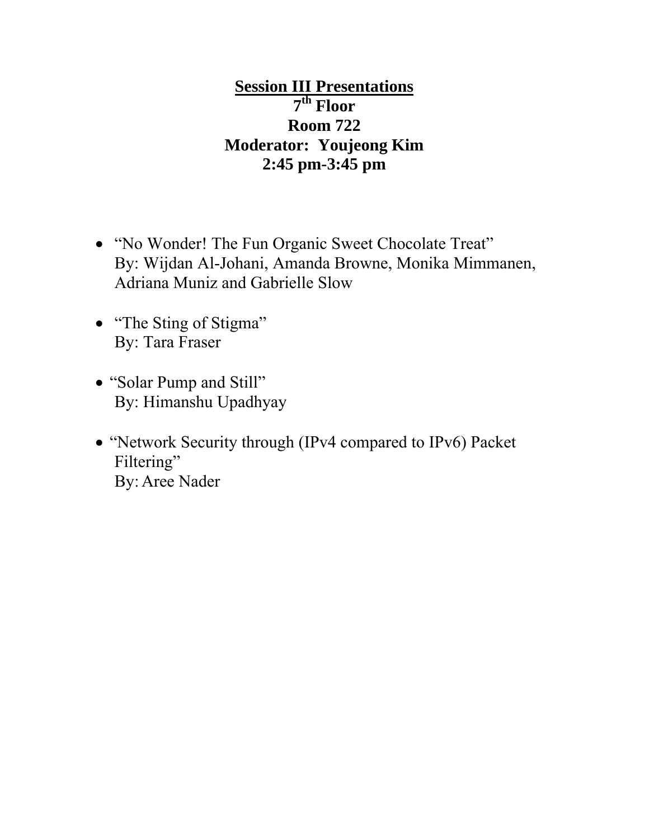**Session III Presentations 7th Floor Room 722 Moderator: Youjeong Kim 2:45 pm-3:45 pm** 

- "No Wonder! The Fun Organic Sweet Chocolate Treat" By: Wijdan Al-Johani, Amanda Browne, Monika Mimmanen, Adriana Muniz and Gabrielle Slow
- "The Sting of Stigma" By: Tara Fraser
- "Solar Pump and Still" By: Himanshu Upadhyay
- "Network Security through (IPv4 compared to IPv6) Packet Filtering" By: Aree Nader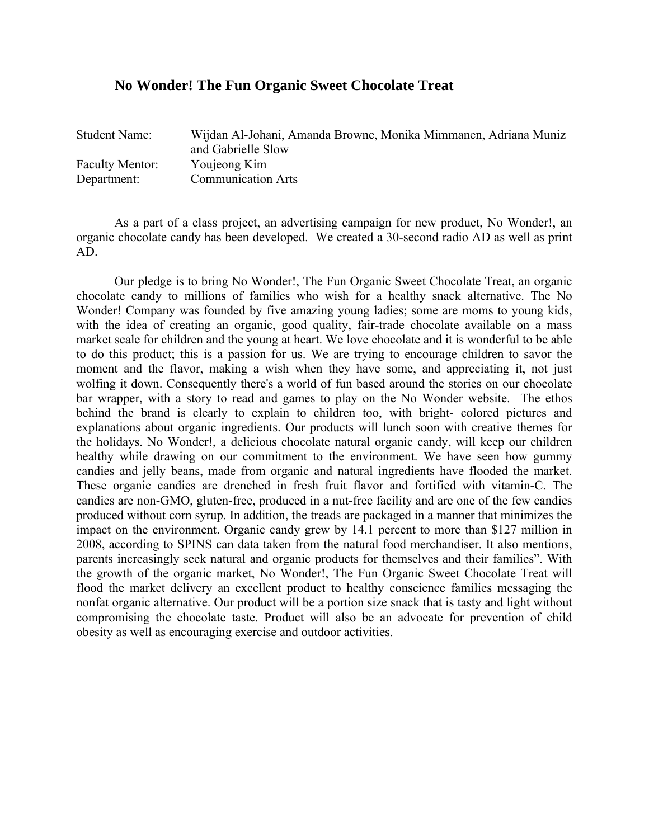#### **No Wonder! The Fun Organic Sweet Chocolate Treat**

| <b>Student Name:</b>   | Wijdan Al-Johani, Amanda Browne, Monika Mimmanen, Adriana Muniz |
|------------------------|-----------------------------------------------------------------|
|                        | and Gabrielle Slow                                              |
| <b>Faculty Mentor:</b> | Youjeong Kim                                                    |
| Department:            | <b>Communication Arts</b>                                       |

As a part of a class project, an advertising campaign for new product, No Wonder!, an organic chocolate candy has been developed. We created a 30-second radio AD as well as print AD.

Our pledge is to bring No Wonder!, The Fun Organic Sweet Chocolate Treat, an organic chocolate candy to millions of families who wish for a healthy snack alternative. The No Wonder! Company was founded by five amazing young ladies; some are moms to young kids, with the idea of creating an organic, good quality, fair-trade chocolate available on a mass market scale for children and the young at heart. We love chocolate and it is wonderful to be able to do this product; this is a passion for us. We are trying to encourage children to savor the moment and the flavor, making a wish when they have some, and appreciating it, not just wolfing it down. Consequently there's a world of fun based around the stories on our chocolate bar wrapper, with a story to read and games to play on the No Wonder website. The ethos behind the brand is clearly to explain to children too, with bright- colored pictures and explanations about organic ingredients. Our products will lunch soon with creative themes for the holidays. No Wonder!, a delicious chocolate natural organic candy, will keep our children healthy while drawing on our commitment to the environment. We have seen how gummy candies and jelly beans, made from organic and natural ingredients have flooded the market. These organic candies are drenched in fresh fruit flavor and fortified with vitamin-C. The candies are non-GMO, gluten-free, produced in a nut-free facility and are one of the few candies produced without corn syrup. In addition, the treads are packaged in a manner that minimizes the impact on the environment. Organic candy grew by 14.1 percent to more than \$127 million in 2008, according to SPINS can data taken from the natural food merchandiser. It also mentions, parents increasingly seek natural and organic products for themselves and their families". With the growth of the organic market, No Wonder!, The Fun Organic Sweet Chocolate Treat will flood the market delivery an excellent product to healthy conscience families messaging the nonfat organic alternative. Our product will be a portion size snack that is tasty and light without compromising the chocolate taste. Product will also be an advocate for prevention of child obesity as well as encouraging exercise and outdoor activities.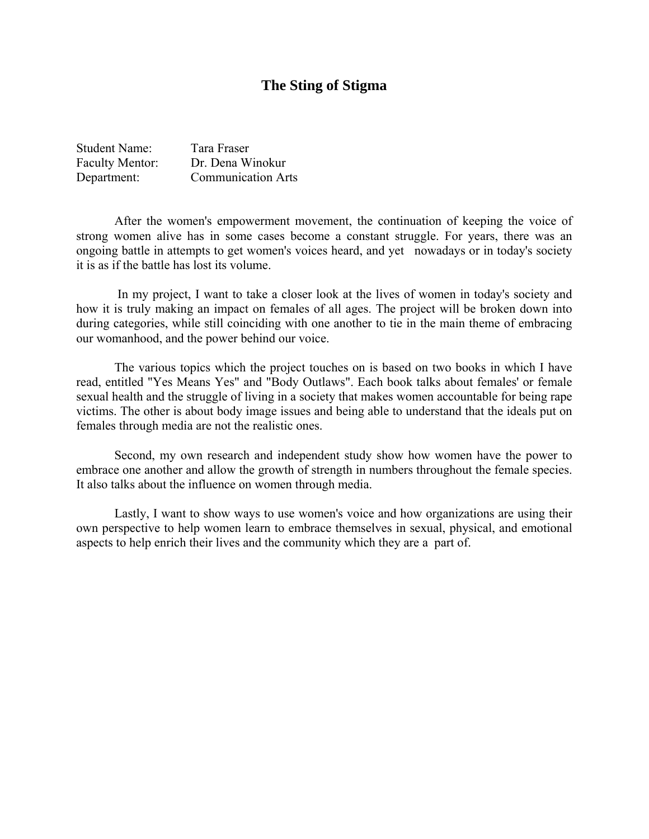#### **The Sting of Stigma**

| <b>Student Name:</b>   | Tara Fraser               |
|------------------------|---------------------------|
| <b>Faculty Mentor:</b> | Dr. Dena Winokur          |
| Department:            | <b>Communication Arts</b> |

After the women's empowerment movement, the continuation of keeping the voice of strong women alive has in some cases become a constant struggle. For years, there was an ongoing battle in attempts to get women's voices heard, and yet nowadays or in today's society it is as if the battle has lost its volume.

 In my project, I want to take a closer look at the lives of women in today's society and how it is truly making an impact on females of all ages. The project will be broken down into during categories, while still coinciding with one another to tie in the main theme of embracing our womanhood, and the power behind our voice.

The various topics which the project touches on is based on two books in which I have read, entitled "Yes Means Yes" and "Body Outlaws". Each book talks about females' or female sexual health and the struggle of living in a society that makes women accountable for being rape victims. The other is about body image issues and being able to understand that the ideals put on females through media are not the realistic ones.

Second, my own research and independent study show how women have the power to embrace one another and allow the growth of strength in numbers throughout the female species. It also talks about the influence on women through media.

Lastly, I want to show ways to use women's voice and how organizations are using their own perspective to help women learn to embrace themselves in sexual, physical, and emotional aspects to help enrich their lives and the community which they are a part of.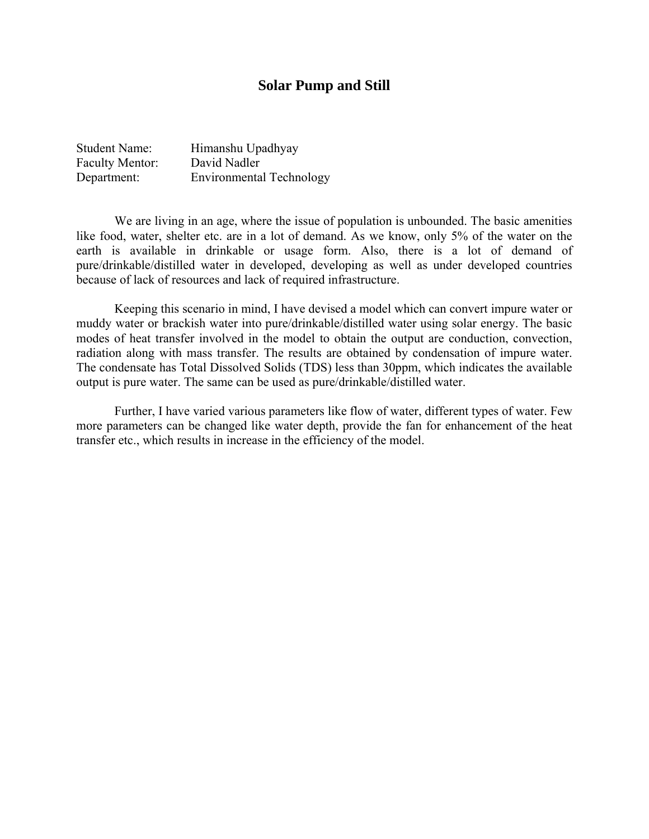#### **Solar Pump and Still**

| <b>Student Name:</b>   | Himanshu Upadhyay               |
|------------------------|---------------------------------|
| <b>Faculty Mentor:</b> | David Nadler                    |
| Department:            | <b>Environmental Technology</b> |

 We are living in an age, where the issue of population is unbounded. The basic amenities like food, water, shelter etc. are in a lot of demand. As we know, only 5% of the water on the earth is available in drinkable or usage form. Also, there is a lot of demand of pure/drinkable/distilled water in developed, developing as well as under developed countries because of lack of resources and lack of required infrastructure.

 Keeping this scenario in mind, I have devised a model which can convert impure water or muddy water or brackish water into pure/drinkable/distilled water using solar energy. The basic modes of heat transfer involved in the model to obtain the output are conduction, convection, radiation along with mass transfer. The results are obtained by condensation of impure water. The condensate has Total Dissolved Solids (TDS) less than 30ppm, which indicates the available output is pure water. The same can be used as pure/drinkable/distilled water.

 Further, I have varied various parameters like flow of water, different types of water. Few more parameters can be changed like water depth, provide the fan for enhancement of the heat transfer etc., which results in increase in the efficiency of the model.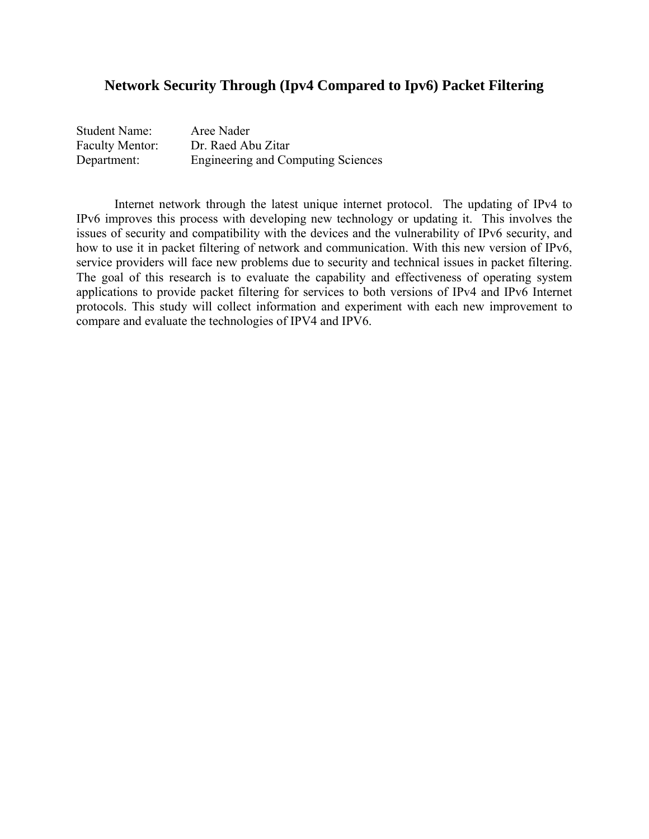#### **Network Security Through (Ipv4 Compared to Ipv6) Packet Filtering**

| <b>Student Name:</b>   | Aree Nader                                |
|------------------------|-------------------------------------------|
| <b>Faculty Mentor:</b> | Dr. Raed Abu Zitar                        |
| Department:            | <b>Engineering and Computing Sciences</b> |

Internet network through the latest unique internet protocol. The updating of IPv4 to IPv6 improves this process with developing new technology or updating it. This involves the issues of security and compatibility with the devices and the vulnerability of IPv6 security, and how to use it in packet filtering of network and communication. With this new version of IPv6, service providers will face new problems due to security and technical issues in packet filtering. The goal of this research is to evaluate the capability and effectiveness of operating system applications to provide packet filtering for services to both versions of IPv4 and IPv6 Internet protocols. This study will collect information and experiment with each new improvement to compare and evaluate the technologies of IPV4 and IPV6.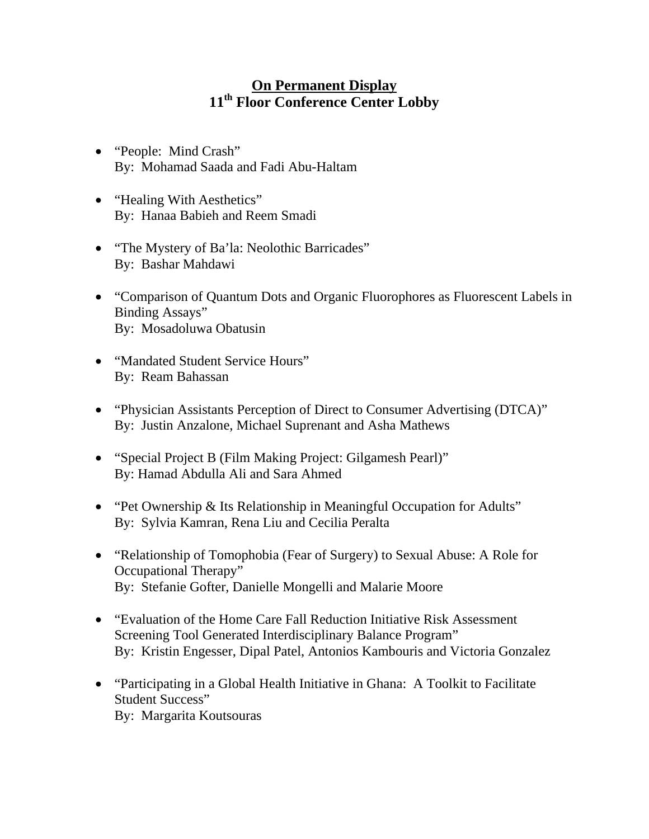# **On Permanent Display 11th Floor Conference Center Lobby**

- "People: Mind Crash" By: Mohamad Saada and Fadi Abu-Haltam
- "Healing With Aesthetics" By: Hanaa Babieh and Reem Smadi
- "The Mystery of Ba'la: Neolothic Barricades" By: Bashar Mahdawi
- "Comparison of Quantum Dots and Organic Fluorophores as Fluorescent Labels in Binding Assays" By: Mosadoluwa Obatusin
- "Mandated Student Service Hours" By: Ream Bahassan
- "Physician Assistants Perception of Direct to Consumer Advertising (DTCA)" By: Justin Anzalone, Michael Suprenant and Asha Mathews
- "Special Project B (Film Making Project: Gilgamesh Pearl)" By: Hamad Abdulla Ali and Sara Ahmed
- "Pet Ownership & Its Relationship in Meaningful Occupation for Adults" By: Sylvia Kamran, Rena Liu and Cecilia Peralta
- "Relationship of Tomophobia (Fear of Surgery) to Sexual Abuse: A Role for Occupational Therapy" By: Stefanie Gofter, Danielle Mongelli and Malarie Moore
- "Evaluation of the Home Care Fall Reduction Initiative Risk Assessment Screening Tool Generated Interdisciplinary Balance Program" By: Kristin Engesser, Dipal Patel, Antonios Kambouris and Victoria Gonzalez
- "Participating in a Global Health Initiative in Ghana: A Toolkit to Facilitate Student Success" By: Margarita Koutsouras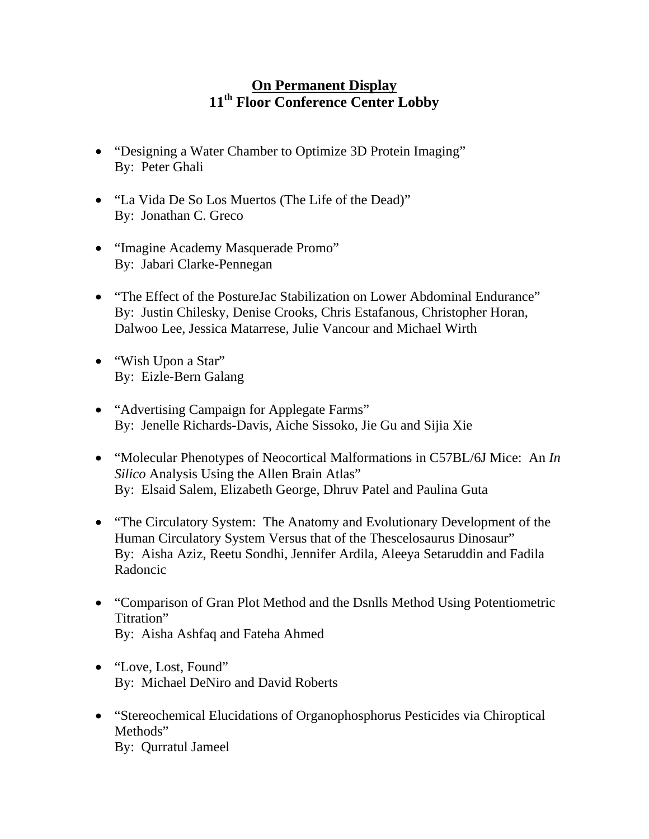# **On Permanent Display 11th Floor Conference Center Lobby**

- "Designing a Water Chamber to Optimize 3D Protein Imaging" By: Peter Ghali
- "La Vida De So Los Muertos (The Life of the Dead)" By: Jonathan C. Greco
- "Imagine Academy Masquerade Promo" By: Jabari Clarke-Pennegan
- "The Effect of the PostureJac Stabilization on Lower Abdominal Endurance" By: Justin Chilesky, Denise Crooks, Chris Estafanous, Christopher Horan, Dalwoo Lee, Jessica Matarrese, Julie Vancour and Michael Wirth
- "Wish Upon a Star" By: Eizle-Bern Galang
- "Advertising Campaign for Applegate Farms" By: Jenelle Richards-Davis, Aiche Sissoko, Jie Gu and Sijia Xie
- "Molecular Phenotypes of Neocortical Malformations in C57BL/6J Mice: An *In Silico* Analysis Using the Allen Brain Atlas" By: Elsaid Salem, Elizabeth George, Dhruv Patel and Paulina Guta
- "The Circulatory System: The Anatomy and Evolutionary Development of the Human Circulatory System Versus that of the Thescelosaurus Dinosaur" By: Aisha Aziz, Reetu Sondhi, Jennifer Ardila, Aleeya Setaruddin and Fadila Radoncic
- "Comparison of Gran Plot Method and the Dsnlls Method Using Potentiometric Titration" By: Aisha Ashfaq and Fateha Ahmed
- "Love, Lost, Found" By: Michael DeNiro and David Roberts
- "Stereochemical Elucidations of Organophosphorus Pesticides via Chiroptical Methods" By: Qurratul Jameel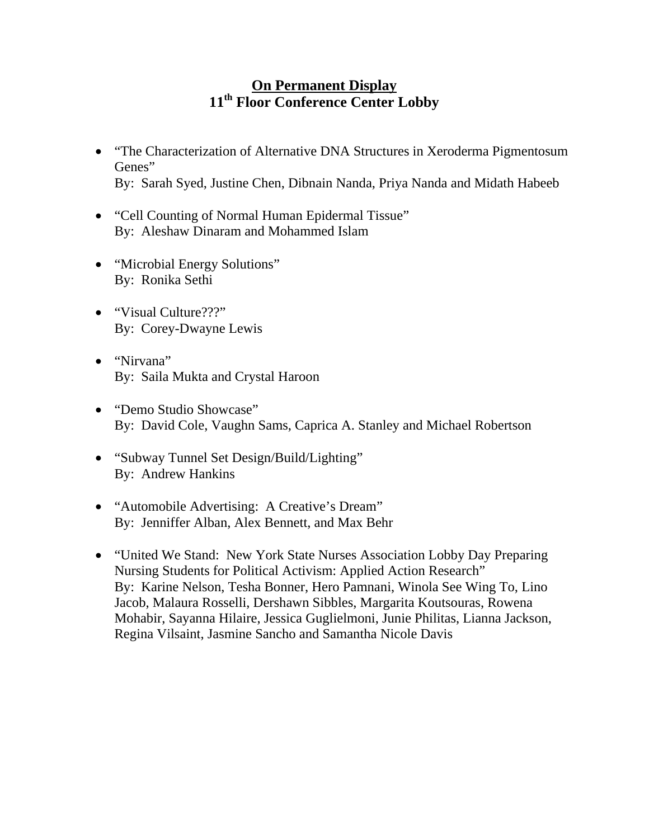# **On Permanent Display 11th Floor Conference Center Lobby**

- "The Characterization of Alternative DNA Structures in Xeroderma Pigmentosum Genes" By: Sarah Syed, Justine Chen, Dibnain Nanda, Priya Nanda and Midath Habeeb
- "Cell Counting of Normal Human Epidermal Tissue" By: Aleshaw Dinaram and Mohammed Islam
- "Microbial Energy Solutions" By: Ronika Sethi
- "Visual Culture???" By: Corey-Dwayne Lewis
- "Nirvana" By: Saila Mukta and Crystal Haroon
- "Demo Studio Showcase" By: David Cole, Vaughn Sams, Caprica A. Stanley and Michael Robertson
- "Subway Tunnel Set Design/Build/Lighting" By: Andrew Hankins
- "Automobile Advertising: A Creative's Dream" By: Jenniffer Alban, Alex Bennett, and Max Behr
- "United We Stand: New York State Nurses Association Lobby Day Preparing Nursing Students for Political Activism: Applied Action Research" By: Karine Nelson, Tesha Bonner, Hero Pamnani, Winola See Wing To, Lino Jacob, Malaura Rosselli, Dershawn Sibbles, Margarita Koutsouras, Rowena Mohabir, Sayanna Hilaire, Jessica Guglielmoni, Junie Philitas, Lianna Jackson, Regina Vilsaint, Jasmine Sancho and Samantha Nicole Davis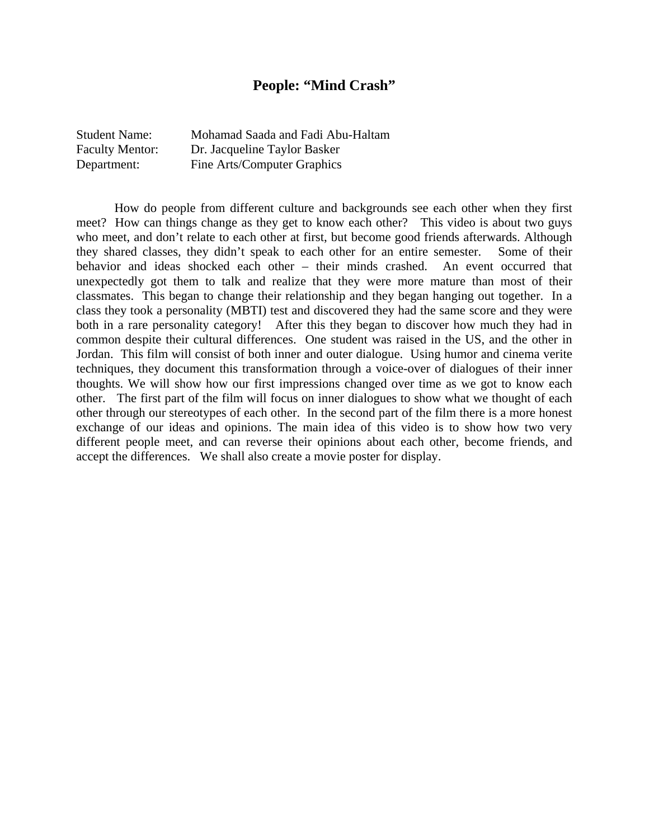#### **People: "Mind Crash"**

| <b>Student Name:</b>   | Mohamad Saada and Fadi Abu-Haltam |
|------------------------|-----------------------------------|
| <b>Faculty Mentor:</b> | Dr. Jacqueline Taylor Basker      |
| Department:            | Fine Arts/Computer Graphics       |

 How do people from different culture and backgrounds see each other when they first meet? How can things change as they get to know each other? This video is about two guys who meet, and don't relate to each other at first, but become good friends afterwards. Although they shared classes, they didn't speak to each other for an entire semester. Some of their behavior and ideas shocked each other – their minds crashed. An event occurred that unexpectedly got them to talk and realize that they were more mature than most of their classmates. This began to change their relationship and they began hanging out together. In a class they took a personality (MBTI) test and discovered they had the same score and they were both in a rare personality category! After this they began to discover how much they had in common despite their cultural differences. One student was raised in the US, and the other in Jordan. This film will consist of both inner and outer dialogue. Using humor and cinema verite techniques, they document this transformation through a voice-over of dialogues of their inner thoughts. We will show how our first impressions changed over time as we got to know each other. The first part of the film will focus on inner dialogues to show what we thought of each other through our stereotypes of each other. In the second part of the film there is a more honest exchange of our ideas and opinions. The main idea of this video is to show how two very different people meet, and can reverse their opinions about each other, become friends, and accept the differences. We shall also create a movie poster for display.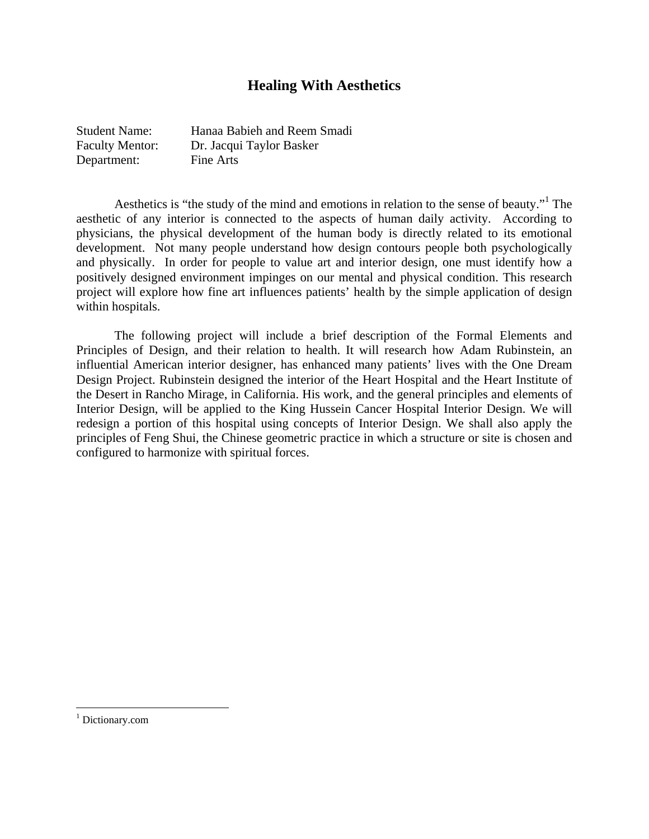## **Healing With Aesthetics**

| <b>Student Name:</b>   | Hanaa Babieh and Reem Smadi |
|------------------------|-----------------------------|
| <b>Faculty Mentor:</b> | Dr. Jacqui Taylor Basker    |
| Department:            | Fine Arts                   |

Aesthetics is "the study of the mind and emotions in relation to the sense of beauty."<sup>1</sup> The aesthetic of any interior is connected to the aspects of human daily activity. According to physicians, the physical development of the human body is directly related to its emotional development. Not many people understand how design contours people both psychologically and physically. In order for people to value art and interior design, one must identify how a positively designed environment impinges on our mental and physical condition. This research project will explore how fine art influences patients' health by the simple application of design within hospitals.

The following project will include a brief description of the Formal Elements and Principles of Design, and their relation to health. It will research how Adam Rubinstein, an influential American interior designer, has enhanced many patients' lives with the One Dream Design Project. Rubinstein designed the interior of the Heart Hospital and the Heart Institute of the Desert in Rancho Mirage, in California. His work, and the general principles and elements of Interior Design, will be applied to the King Hussein Cancer Hospital Interior Design. We will redesign a portion of this hospital using concepts of Interior Design. We shall also apply the principles of Feng Shui, the Chinese geometric practice in which a structure or site is chosen and configured to harmonize with spiritual forces.

<sup>&</sup>lt;sup>1</sup> Dictionary.com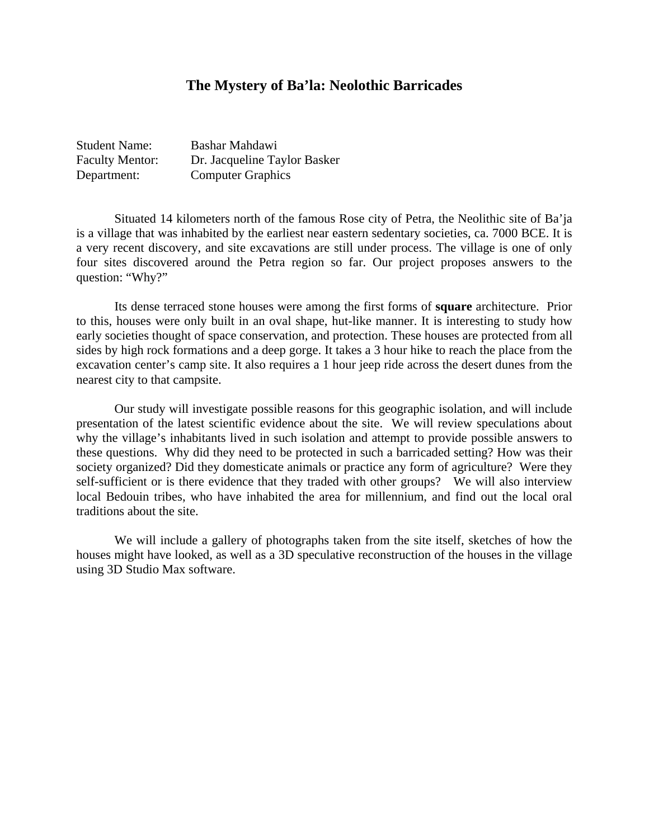#### **The Mystery of Ba'la: Neolothic Barricades**

| <b>Student Name:</b>   | Bashar Mahdawi               |
|------------------------|------------------------------|
| <b>Faculty Mentor:</b> | Dr. Jacqueline Taylor Basker |
| Department:            | <b>Computer Graphics</b>     |

 Situated 14 kilometers north of the famous Rose city of Petra, the Neolithic site of Ba'ja is a village that was inhabited by the earliest near eastern sedentary societies, ca. 7000 BCE. It is a very recent discovery, and site excavations are still under process. The village is one of only four sites discovered around the Petra region so far. Our project proposes answers to the question: "Why?"

 Its dense terraced stone houses were among the first forms of **square** architecture. Prior to this, houses were only built in an oval shape, hut-like manner. It is interesting to study how early societies thought of space conservation, and protection. These houses are protected from all sides by high rock formations and a deep gorge. It takes a 3 hour hike to reach the place from the excavation center's camp site. It also requires a 1 hour jeep ride across the desert dunes from the nearest city to that campsite.

 Our study will investigate possible reasons for this geographic isolation, and will include presentation of the latest scientific evidence about the site. We will review speculations about why the village's inhabitants lived in such isolation and attempt to provide possible answers to these questions. Why did they need to be protected in such a barricaded setting? How was their society organized? Did they domesticate animals or practice any form of agriculture? Were they self-sufficient or is there evidence that they traded with other groups? We will also interview local Bedouin tribes, who have inhabited the area for millennium, and find out the local oral traditions about the site.

 We will include a gallery of photographs taken from the site itself, sketches of how the houses might have looked, as well as a 3D speculative reconstruction of the houses in the village using 3D Studio Max software.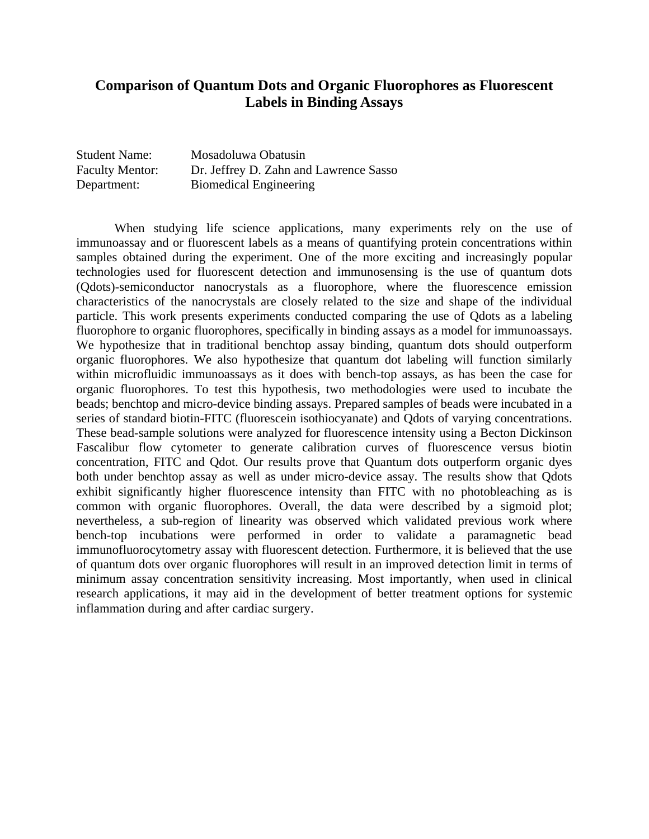## **Comparison of Quantum Dots and Organic Fluorophores as Fluorescent Labels in Binding Assays**

| <b>Student Name:</b>   | Mosadoluwa Obatusin                    |
|------------------------|----------------------------------------|
| <b>Faculty Mentor:</b> | Dr. Jeffrey D. Zahn and Lawrence Sasso |
| Department:            | <b>Biomedical Engineering</b>          |

When studying life science applications, many experiments rely on the use of immunoassay and or fluorescent labels as a means of quantifying protein concentrations within samples obtained during the experiment. One of the more exciting and increasingly popular technologies used for fluorescent detection and immunosensing is the use of quantum dots (Qdots)-semiconductor nanocrystals as a fluorophore, where the fluorescence emission characteristics of the nanocrystals are closely related to the size and shape of the individual particle. This work presents experiments conducted comparing the use of Qdots as a labeling fluorophore to organic fluorophores, specifically in binding assays as a model for immunoassays. We hypothesize that in traditional benchtop assay binding, quantum dots should outperform organic fluorophores. We also hypothesize that quantum dot labeling will function similarly within microfluidic immunoassays as it does with bench-top assays, as has been the case for organic fluorophores. To test this hypothesis, two methodologies were used to incubate the beads; benchtop and micro-device binding assays. Prepared samples of beads were incubated in a series of standard biotin-FITC (fluorescein isothiocyanate) and Qdots of varying concentrations. These bead-sample solutions were analyzed for fluorescence intensity using a Becton Dickinson Fascalibur flow cytometer to generate calibration curves of fluorescence versus biotin concentration, FITC and Qdot. Our results prove that Quantum dots outperform organic dyes both under benchtop assay as well as under micro-device assay. The results show that Qdots exhibit significantly higher fluorescence intensity than FITC with no photobleaching as is common with organic fluorophores. Overall, the data were described by a sigmoid plot; nevertheless, a sub-region of linearity was observed which validated previous work where bench-top incubations were performed in order to validate a paramagnetic bead immunofluorocytometry assay with fluorescent detection. Furthermore, it is believed that the use of quantum dots over organic fluorophores will result in an improved detection limit in terms of minimum assay concentration sensitivity increasing. Most importantly, when used in clinical research applications, it may aid in the development of better treatment options for systemic inflammation during and after cardiac surgery.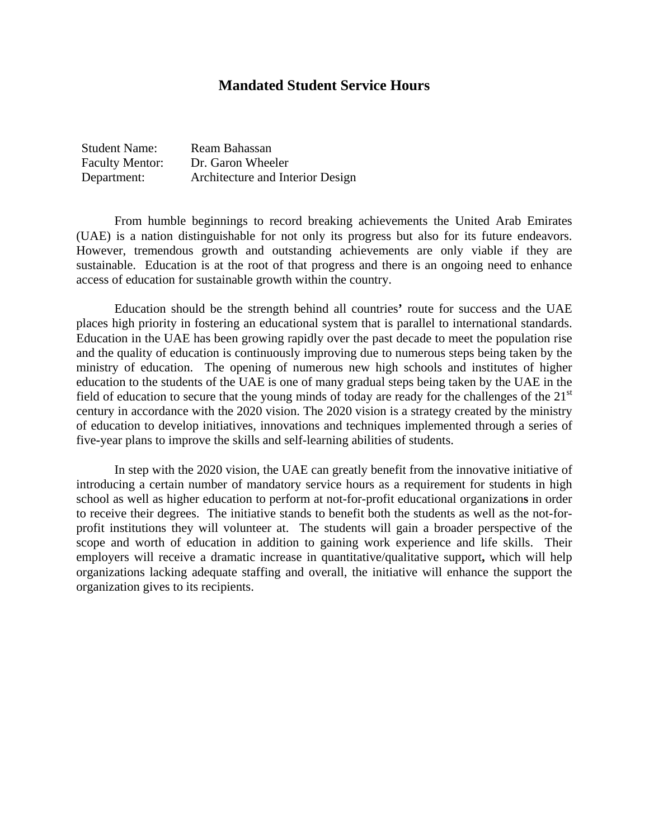#### **Mandated Student Service Hours**

| <b>Student Name:</b>   | Ream Bahassan                    |
|------------------------|----------------------------------|
| <b>Faculty Mentor:</b> | Dr. Garon Wheeler                |
| Department:            | Architecture and Interior Design |

From humble beginnings to record breaking achievements the United Arab Emirates (UAE) is a nation distinguishable for not only its progress but also for its future endeavors. However, tremendous growth and outstanding achievements are only viable if they are sustainable. Education is at the root of that progress and there is an ongoing need to enhance access of education for sustainable growth within the country.

Education should be the strength behind all countries**'** route for success and the UAE places high priority in fostering an educational system that is parallel to international standards. Education in the UAE has been growing rapidly over the past decade to meet the population rise and the quality of education is continuously improving due to numerous steps being taken by the ministry of education. The opening of numerous new high schools and institutes of higher education to the students of the UAE is one of many gradual steps being taken by the UAE in the field of education to secure that the young minds of today are ready for the challenges of the 21<sup>st</sup> century in accordance with the 2020 vision. The 2020 vision is a strategy created by the ministry of education to develop initiatives, innovations and techniques implemented through a series of five**-**year plans to improve the skills and self-learning abilities of students.

In step with the 2020 vision, the UAE can greatly benefit from the innovative initiative of introducing a certain number of mandatory service hours as a requirement for students in high school as well as higher education to perform at not-for-profit educational organization**s** in order to receive their degrees. The initiative stands to benefit both the students as well as the not-forprofit institutions they will volunteer at. The students will gain a broader perspective of the scope and worth of education in addition to gaining work experience and life skills. Their employers will receive a dramatic increase in quantitative/qualitative support**,** which will help organizations lacking adequate staffing and overall, the initiative will enhance the support the organization gives to its recipients.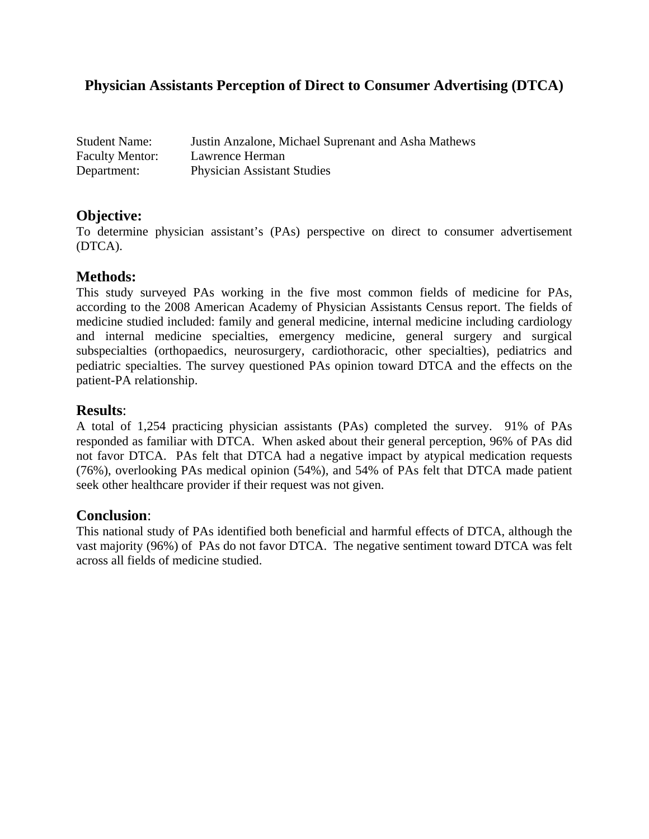## **Physician Assistants Perception of Direct to Consumer Advertising (DTCA)**

| <b>Student Name:</b>   | Justin Anzalone, Michael Suprenant and Asha Mathews |
|------------------------|-----------------------------------------------------|
| <b>Faculty Mentor:</b> | Lawrence Herman                                     |
| Department:            | <b>Physician Assistant Studies</b>                  |

## **Objective:**

To determine physician assistant's (PAs) perspective on direct to consumer advertisement (DTCA).

## **Methods:**

This study surveyed PAs working in the five most common fields of medicine for PAs, according to the 2008 American Academy of Physician Assistants Census report. The fields of medicine studied included: family and general medicine, internal medicine including cardiology and internal medicine specialties, emergency medicine, general surgery and surgical subspecialties (orthopaedics, neurosurgery, cardiothoracic, other specialties), pediatrics and pediatric specialties. The survey questioned PAs opinion toward DTCA and the effects on the patient-PA relationship.

## **Results**:

A total of 1,254 practicing physician assistants (PAs) completed the survey. 91% of PAs responded as familiar with DTCA. When asked about their general perception, 96% of PAs did not favor DTCA. PAs felt that DTCA had a negative impact by atypical medication requests (76%), overlooking PAs medical opinion (54%), and 54% of PAs felt that DTCA made patient seek other healthcare provider if their request was not given.

## **Conclusion**:

This national study of PAs identified both beneficial and harmful effects of DTCA, although the vast majority (96%) of PAs do not favor DTCA. The negative sentiment toward DTCA was felt across all fields of medicine studied.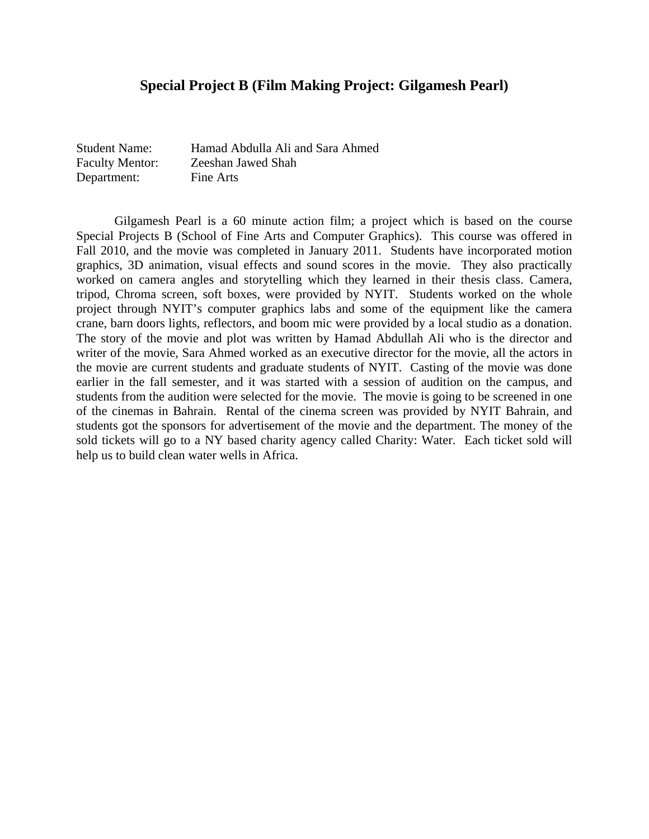#### **Special Project B (Film Making Project: Gilgamesh Pearl)**

| <b>Student Name:</b>   | Hamad Abdulla Ali and Sara Ahmed |
|------------------------|----------------------------------|
| <b>Faculty Mentor:</b> | Zeeshan Jawed Shah               |
| Department:            | Fine Arts                        |

Gilgamesh Pearl is a 60 minute action film; a project which is based on the course Special Projects B (School of Fine Arts and Computer Graphics). This course was offered in Fall 2010, and the movie was completed in January 2011. Students have incorporated motion graphics, 3D animation, visual effects and sound scores in the movie. They also practically worked on camera angles and storytelling which they learned in their thesis class. Camera, tripod, Chroma screen, soft boxes, were provided by NYIT. Students worked on the whole project through NYIT's computer graphics labs and some of the equipment like the camera crane, barn doors lights, reflectors, and boom mic were provided by a local studio as a donation. The story of the movie and plot was written by Hamad Abdullah Ali who is the director and writer of the movie, Sara Ahmed worked as an executive director for the movie, all the actors in the movie are current students and graduate students of NYIT. Casting of the movie was done earlier in the fall semester, and it was started with a session of audition on the campus, and students from the audition were selected for the movie. The movie is going to be screened in one of the cinemas in Bahrain. Rental of the cinema screen was provided by NYIT Bahrain, and students got the sponsors for advertisement of the movie and the department. The money of the sold tickets will go to a NY based charity agency called Charity: Water. Each ticket sold will help us to build clean water wells in Africa.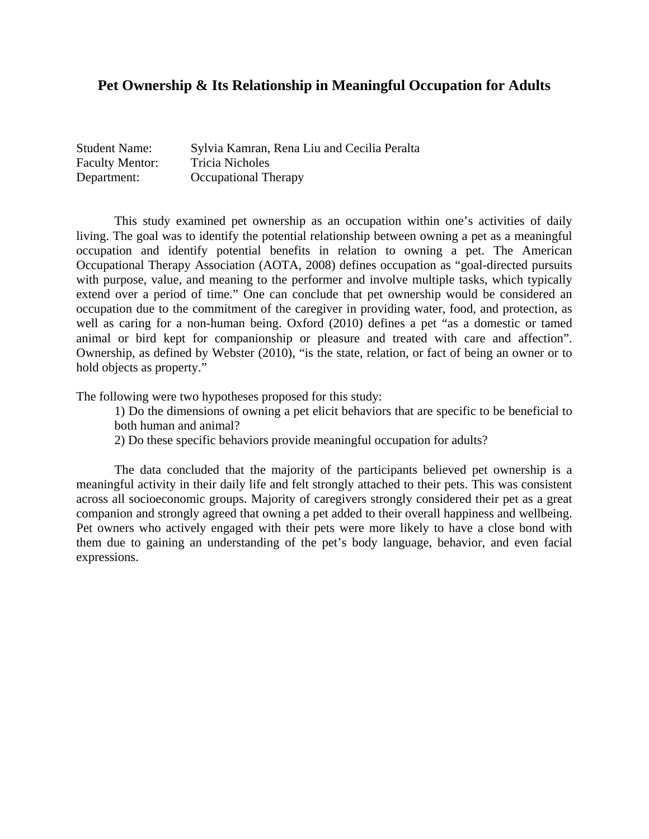## **Pet Ownership & Its Relationship in Meaningful Occupation for Adults**

| <b>Student Name:</b>   | Sylvia Kamran, Rena Liu and Cecilia Peralta |
|------------------------|---------------------------------------------|
| <b>Faculty Mentor:</b> | <b>Tricia Nicholes</b>                      |
| Department:            | <b>Occupational Therapy</b>                 |

This study examined pet ownership as an occupation within one's activities of daily living. The goal was to identify the potential relationship between owning a pet as a meaningful occupation and identify potential benefits in relation to owning a pet. The American Occupational Therapy Association (AOTA, 2008) defines occupation as "goal-directed pursuits with purpose, value, and meaning to the performer and involve multiple tasks, which typically extend over a period of time." One can conclude that pet ownership would be considered an occupation due to the commitment of the caregiver in providing water, food, and protection, as well as caring for a non-human being. Oxford (2010) defines a pet "as a domestic or tamed animal or bird kept for companionship or pleasure and treated with care and affection". Ownership, as defined by Webster (2010), "is the state, relation, or fact of being an owner or to hold objects as property."

The following were two hypotheses proposed for this study:

1) Do the dimensions of owning a pet elicit behaviors that are specific to be beneficial to both human and animal?

2) Do these specific behaviors provide meaningful occupation for adults?

The data concluded that the majority of the participants believed pet ownership is a meaningful activity in their daily life and felt strongly attached to their pets. This was consistent across all socioeconomic groups. Majority of caregivers strongly considered their pet as a great companion and strongly agreed that owning a pet added to their overall happiness and wellbeing. Pet owners who actively engaged with their pets were more likely to have a close bond with them due to gaining an understanding of the pet's body language, behavior, and even facial expressions.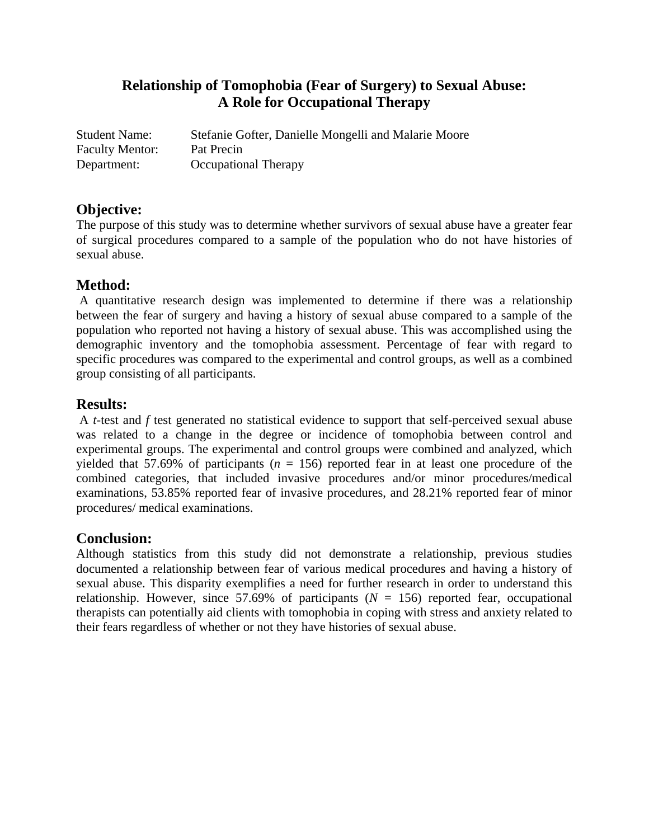# **Relationship of Tomophobia (Fear of Surgery) to Sexual Abuse: A Role for Occupational Therapy**

| <b>Student Name:</b>   | Stefanie Gofter, Danielle Mongelli and Malarie Moore |
|------------------------|------------------------------------------------------|
| <b>Faculty Mentor:</b> | Pat Precin                                           |
| Department:            | <b>Occupational Therapy</b>                          |

## **Objective:**

The purpose of this study was to determine whether survivors of sexual abuse have a greater fear of surgical procedures compared to a sample of the population who do not have histories of sexual abuse.

## **Method:**

 A quantitative research design was implemented to determine if there was a relationship between the fear of surgery and having a history of sexual abuse compared to a sample of the population who reported not having a history of sexual abuse. This was accomplished using the demographic inventory and the tomophobia assessment. Percentage of fear with regard to specific procedures was compared to the experimental and control groups, as well as a combined group consisting of all participants.

## **Results:**

 A *t*-test and *f* test generated no statistical evidence to support that self-perceived sexual abuse was related to a change in the degree or incidence of tomophobia between control and experimental groups. The experimental and control groups were combined and analyzed, which yielded that 57.69% of participants ( $n = 156$ ) reported fear in at least one procedure of the combined categories, that included invasive procedures and/or minor procedures/medical examinations, 53.85% reported fear of invasive procedures, and 28.21% reported fear of minor procedures/ medical examinations.

## **Conclusion:**

Although statistics from this study did not demonstrate a relationship, previous studies documented a relationship between fear of various medical procedures and having a history of sexual abuse. This disparity exemplifies a need for further research in order to understand this relationship. However, since 57.69% of participants  $(N = 156)$  reported fear, occupational therapists can potentially aid clients with tomophobia in coping with stress and anxiety related to their fears regardless of whether or not they have histories of sexual abuse.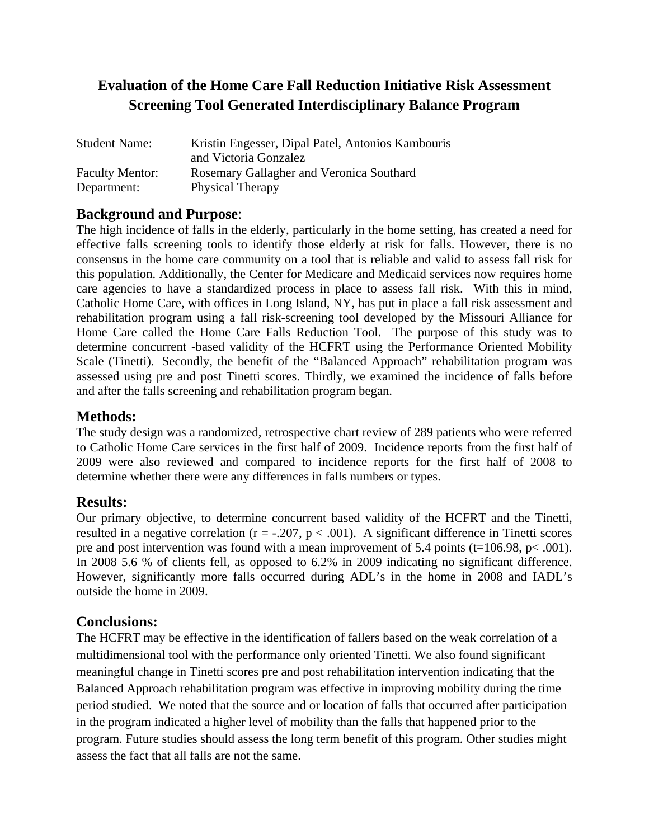# **Evaluation of the Home Care Fall Reduction Initiative Risk Assessment Screening Tool Generated Interdisciplinary Balance Program**

| <b>Student Name:</b>   | Kristin Engesser, Dipal Patel, Antonios Kambouris |
|------------------------|---------------------------------------------------|
|                        | and Victoria Gonzalez                             |
| <b>Faculty Mentor:</b> | Rosemary Gallagher and Veronica Southard          |
| Department:            | Physical Therapy                                  |

## **Background and Purpose**:

The high incidence of falls in the elderly, particularly in the home setting, has created a need for effective falls screening tools to identify those elderly at risk for falls. However, there is no consensus in the home care community on a tool that is reliable and valid to assess fall risk for this population. Additionally, the Center for Medicare and Medicaid services now requires home care agencies to have a standardized process in place to assess fall risk. With this in mind, Catholic Home Care, with offices in Long Island, NY, has put in place a fall risk assessment and rehabilitation program using a fall risk-screening tool developed by the Missouri Alliance for Home Care called the Home Care Falls Reduction Tool. The purpose of this study was to determine concurrent -based validity of the HCFRT using the Performance Oriented Mobility Scale (Tinetti). Secondly, the benefit of the "Balanced Approach" rehabilitation program was assessed using pre and post Tinetti scores. Thirdly, we examined the incidence of falls before and after the falls screening and rehabilitation program began.

#### **Methods:**

The study design was a randomized, retrospective chart review of 289 patients who were referred to Catholic Home Care services in the first half of 2009. Incidence reports from the first half of 2009 were also reviewed and compared to incidence reports for the first half of 2008 to determine whether there were any differences in falls numbers or types.

## **Results:**

Our primary objective, to determine concurrent based validity of the HCFRT and the Tinetti, resulted in a negative correlation ( $r = -.207$ ,  $p < .001$ ). A significant difference in Tinetti scores pre and post intervention was found with a mean improvement of 5.4 points (t=106.98, p< .001). In 2008 5.6 % of clients fell, as opposed to 6.2% in 2009 indicating no significant difference. However, significantly more falls occurred during ADL's in the home in 2008 and IADL's outside the home in 2009.

## **Conclusions:**

The HCFRT may be effective in the identification of fallers based on the weak correlation of a multidimensional tool with the performance only oriented Tinetti. We also found significant meaningful change in Tinetti scores pre and post rehabilitation intervention indicating that the Balanced Approach rehabilitation program was effective in improving mobility during the time period studied. We noted that the source and or location of falls that occurred after participation in the program indicated a higher level of mobility than the falls that happened prior to the program. Future studies should assess the long term benefit of this program. Other studies might assess the fact that all falls are not the same.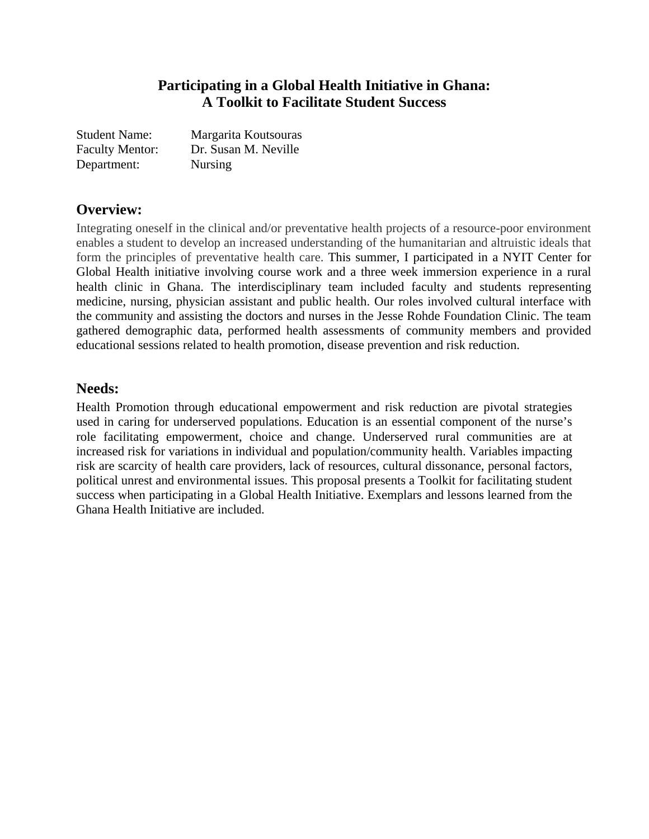## **Participating in a Global Health Initiative in Ghana: A Toolkit to Facilitate Student Success**

| <b>Student Name:</b>   | Margarita Koutsouras |
|------------------------|----------------------|
| <b>Faculty Mentor:</b> | Dr. Susan M. Neville |
| Department:            | <b>Nursing</b>       |

## **Overview:**

Integrating oneself in the clinical and/or preventative health projects of a resource-poor environment enables a student to develop an increased understanding of the humanitarian and altruistic ideals that form the principles of preventative health care. This summer, I participated in a NYIT Center for Global Health initiative involving course work and a three week immersion experience in a rural health clinic in Ghana. The interdisciplinary team included faculty and students representing medicine, nursing, physician assistant and public health. Our roles involved cultural interface with the community and assisting the doctors and nurses in the Jesse Rohde Foundation Clinic. The team gathered demographic data, performed health assessments of community members and provided educational sessions related to health promotion, disease prevention and risk reduction.

## **Needs:**

Health Promotion through educational empowerment and risk reduction are pivotal strategies used in caring for underserved populations. Education is an essential component of the nurse's role facilitating empowerment, choice and change. Underserved rural communities are at increased risk for variations in individual and population/community health. Variables impacting risk are scarcity of health care providers, lack of resources, cultural dissonance, personal factors, political unrest and environmental issues. This proposal presents a Toolkit for facilitating student success when participating in a Global Health Initiative. Exemplars and lessons learned from the Ghana Health Initiative are included.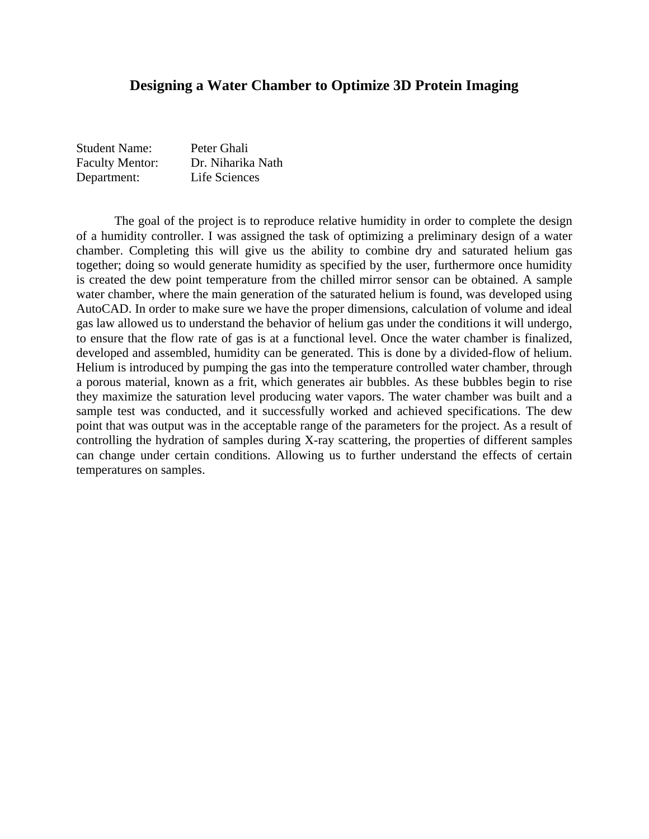#### **Designing a Water Chamber to Optimize 3D Protein Imaging**

| <b>Student Name:</b>   | Peter Ghali       |
|------------------------|-------------------|
| <b>Faculty Mentor:</b> | Dr. Niharika Nath |
| Department:            | Life Sciences     |

The goal of the project is to reproduce relative humidity in order to complete the design of a humidity controller. I was assigned the task of optimizing a preliminary design of a water chamber. Completing this will give us the ability to combine dry and saturated helium gas together; doing so would generate humidity as specified by the user, furthermore once humidity is created the dew point temperature from the chilled mirror sensor can be obtained. A sample water chamber, where the main generation of the saturated helium is found, was developed using AutoCAD. In order to make sure we have the proper dimensions, calculation of volume and ideal gas law allowed us to understand the behavior of helium gas under the conditions it will undergo, to ensure that the flow rate of gas is at a functional level. Once the water chamber is finalized, developed and assembled, humidity can be generated. This is done by a divided-flow of helium. Helium is introduced by pumping the gas into the temperature controlled water chamber, through a porous material, known as a frit, which generates air bubbles. As these bubbles begin to rise they maximize the saturation level producing water vapors. The water chamber was built and a sample test was conducted, and it successfully worked and achieved specifications. The dew point that was output was in the acceptable range of the parameters for the project. As a result of controlling the hydration of samples during X-ray scattering, the properties of different samples can change under certain conditions. Allowing us to further understand the effects of certain temperatures on samples.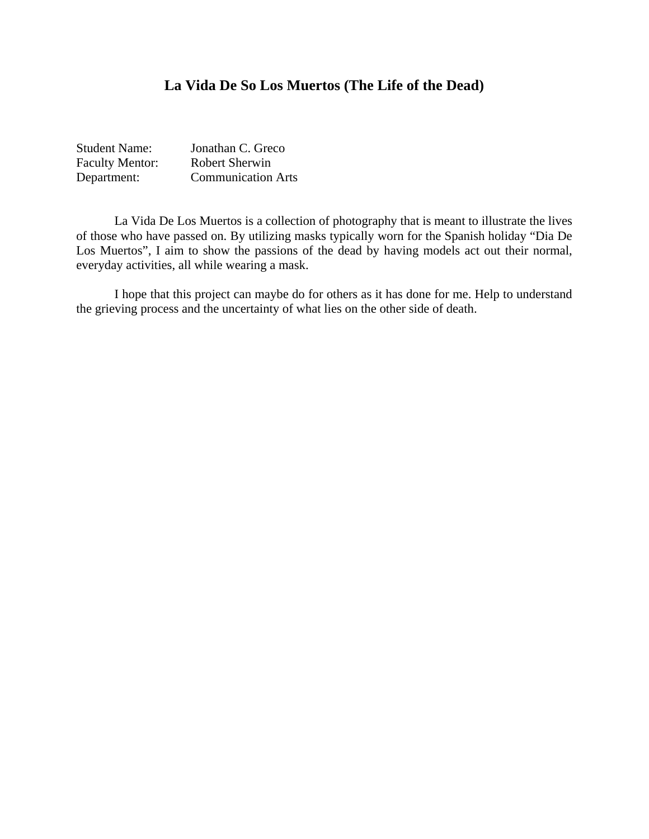## **La Vida De So Los Muertos (The Life of the Dead)**

| <b>Student Name:</b>   | Jonathan C. Greco         |
|------------------------|---------------------------|
| <b>Faculty Mentor:</b> | Robert Sherwin            |
| Department:            | <b>Communication Arts</b> |

 La Vida De Los Muertos is a collection of photography that is meant to illustrate the lives of those who have passed on. By utilizing masks typically worn for the Spanish holiday "Dia De Los Muertos", I aim to show the passions of the dead by having models act out their normal, everyday activities, all while wearing a mask.

 I hope that this project can maybe do for others as it has done for me. Help to understand the grieving process and the uncertainty of what lies on the other side of death.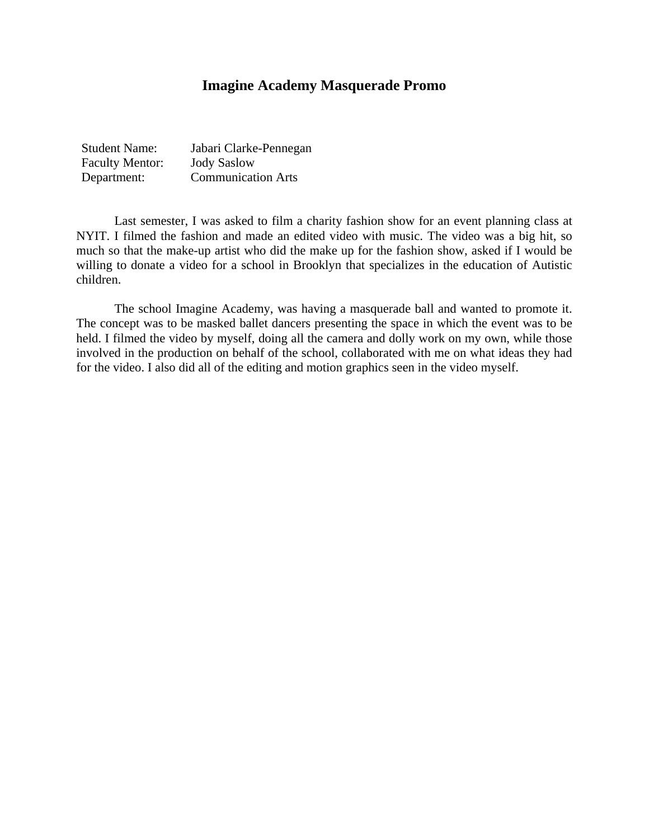## **Imagine Academy Masquerade Promo**

| <b>Student Name:</b>   | Jabari Clarke-Pennegan    |
|------------------------|---------------------------|
| <b>Faculty Mentor:</b> | <b>Jody Saslow</b>        |
| Department:            | <b>Communication Arts</b> |

Last semester, I was asked to film a charity fashion show for an event planning class at NYIT. I filmed the fashion and made an edited video with music. The video was a big hit, so much so that the make-up artist who did the make up for the fashion show, asked if I would be willing to donate a video for a school in Brooklyn that specializes in the education of Autistic children.

The school Imagine Academy, was having a masquerade ball and wanted to promote it. The concept was to be masked ballet dancers presenting the space in which the event was to be held. I filmed the video by myself, doing all the camera and dolly work on my own, while those involved in the production on behalf of the school, collaborated with me on what ideas they had for the video. I also did all of the editing and motion graphics seen in the video myself.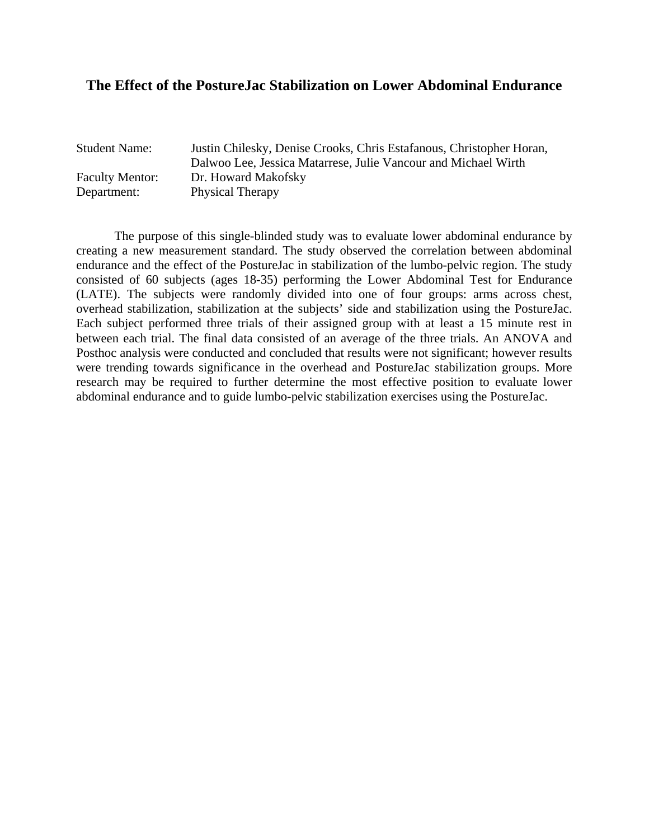#### **The Effect of the PostureJac Stabilization on Lower Abdominal Endurance**

| <b>Student Name:</b>   | Justin Chilesky, Denise Crooks, Chris Estafanous, Christopher Horan,<br>Dalwoo Lee, Jessica Matarrese, Julie Vancour and Michael Wirth |
|------------------------|----------------------------------------------------------------------------------------------------------------------------------------|
| <b>Faculty Mentor:</b> | Dr. Howard Makofsky                                                                                                                    |
| Department:            | <b>Physical Therapy</b>                                                                                                                |

The purpose of this single-blinded study was to evaluate lower abdominal endurance by creating a new measurement standard. The study observed the correlation between abdominal endurance and the effect of the PostureJac in stabilization of the lumbo-pelvic region. The study consisted of 60 subjects (ages 18-35) performing the Lower Abdominal Test for Endurance (LATE). The subjects were randomly divided into one of four groups: arms across chest, overhead stabilization, stabilization at the subjects' side and stabilization using the PostureJac. Each subject performed three trials of their assigned group with at least a 15 minute rest in between each trial. The final data consisted of an average of the three trials. An ANOVA and Posthoc analysis were conducted and concluded that results were not significant; however results were trending towards significance in the overhead and PostureJac stabilization groups. More research may be required to further determine the most effective position to evaluate lower abdominal endurance and to guide lumbo-pelvic stabilization exercises using the PostureJac.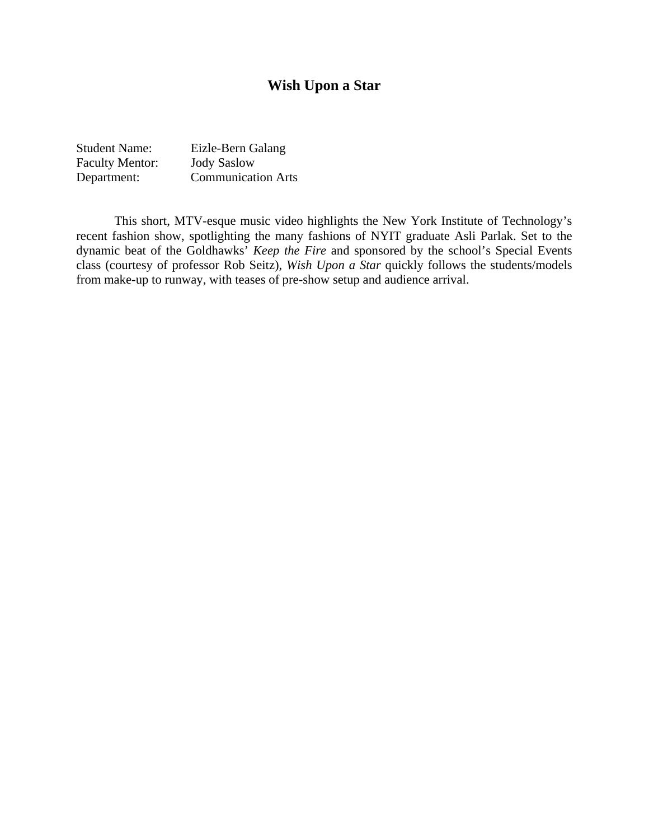## **Wish Upon a Star**

| <b>Student Name:</b>   | Eizle-Bern Galang         |
|------------------------|---------------------------|
| <b>Faculty Mentor:</b> | <b>Jody Saslow</b>        |
| Department:            | <b>Communication Arts</b> |

This short, MTV-esque music video highlights the New York Institute of Technology's recent fashion show, spotlighting the many fashions of NYIT graduate Asli Parlak. Set to the dynamic beat of the Goldhawks' *Keep the Fire* and sponsored by the school's Special Events class (courtesy of professor Rob Seitz), *Wish Upon a Star* quickly follows the students/models from make-up to runway, with teases of pre-show setup and audience arrival.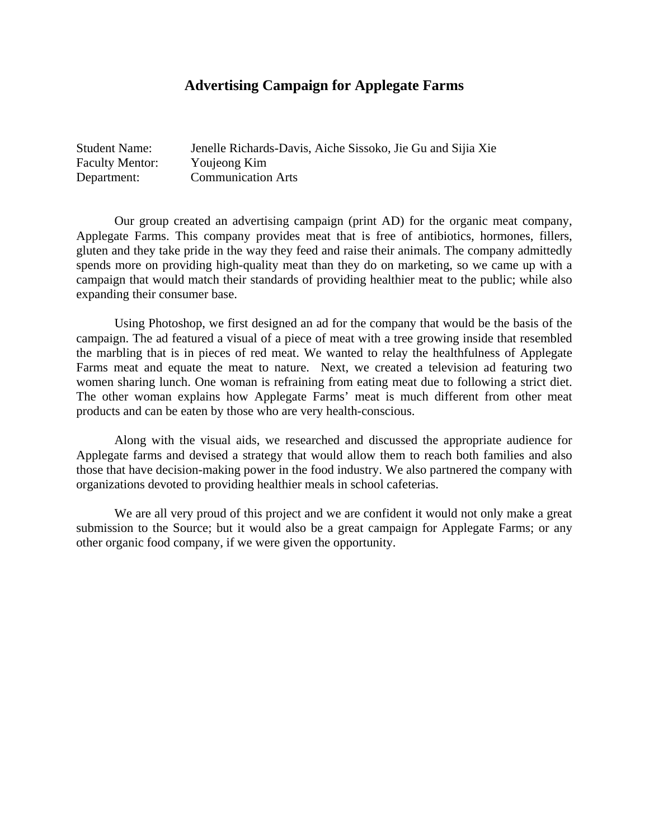## **Advertising Campaign for Applegate Farms**

| <b>Student Name:</b>   | Jenelle Richards-Davis, Aiche Sissoko, Jie Gu and Sijia Xie |
|------------------------|-------------------------------------------------------------|
| <b>Faculty Mentor:</b> | Youjeong Kim                                                |
| Department:            | <b>Communication Arts</b>                                   |

Our group created an advertising campaign (print AD) for the organic meat company, Applegate Farms. This company provides meat that is free of antibiotics, hormones, fillers, gluten and they take pride in the way they feed and raise their animals. The company admittedly spends more on providing high-quality meat than they do on marketing, so we came up with a campaign that would match their standards of providing healthier meat to the public; while also expanding their consumer base.

Using Photoshop, we first designed an ad for the company that would be the basis of the campaign. The ad featured a visual of a piece of meat with a tree growing inside that resembled the marbling that is in pieces of red meat. We wanted to relay the healthfulness of Applegate Farms meat and equate the meat to nature. Next, we created a television ad featuring two women sharing lunch. One woman is refraining from eating meat due to following a strict diet. The other woman explains how Applegate Farms' meat is much different from other meat products and can be eaten by those who are very health-conscious.

Along with the visual aids, we researched and discussed the appropriate audience for Applegate farms and devised a strategy that would allow them to reach both families and also those that have decision-making power in the food industry. We also partnered the company with organizations devoted to providing healthier meals in school cafeterias.

We are all very proud of this project and we are confident it would not only make a great submission to the Source; but it would also be a great campaign for Applegate Farms; or any other organic food company, if we were given the opportunity.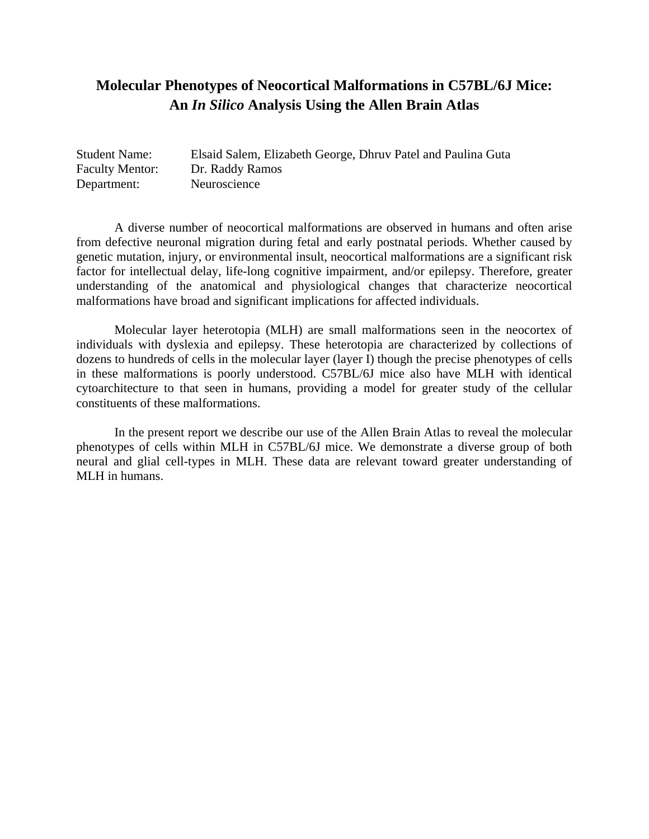# **Molecular Phenotypes of Neocortical Malformations in C57BL/6J Mice: An** *In Silico* **Analysis Using the Allen Brain Atlas**

| <b>Student Name:</b>   | Elsaid Salem, Elizabeth George, Dhruv Patel and Paulina Guta |
|------------------------|--------------------------------------------------------------|
| <b>Faculty Mentor:</b> | Dr. Raddy Ramos                                              |
| Department:            | Neuroscience                                                 |

 A diverse number of neocortical malformations are observed in humans and often arise from defective neuronal migration during fetal and early postnatal periods. Whether caused by genetic mutation, injury, or environmental insult, neocortical malformations are a significant risk factor for intellectual delay, life-long cognitive impairment, and/or epilepsy. Therefore, greater understanding of the anatomical and physiological changes that characterize neocortical malformations have broad and significant implications for affected individuals.

Molecular layer heterotopia (MLH) are small malformations seen in the neocortex of individuals with dyslexia and epilepsy. These heterotopia are characterized by collections of dozens to hundreds of cells in the molecular layer (layer I) though the precise phenotypes of cells in these malformations is poorly understood. C57BL/6J mice also have MLH with identical cytoarchitecture to that seen in humans, providing a model for greater study of the cellular constituents of these malformations.

In the present report we describe our use of the Allen Brain Atlas to reveal the molecular phenotypes of cells within MLH in C57BL/6J mice. We demonstrate a diverse group of both neural and glial cell-types in MLH. These data are relevant toward greater understanding of MLH in humans.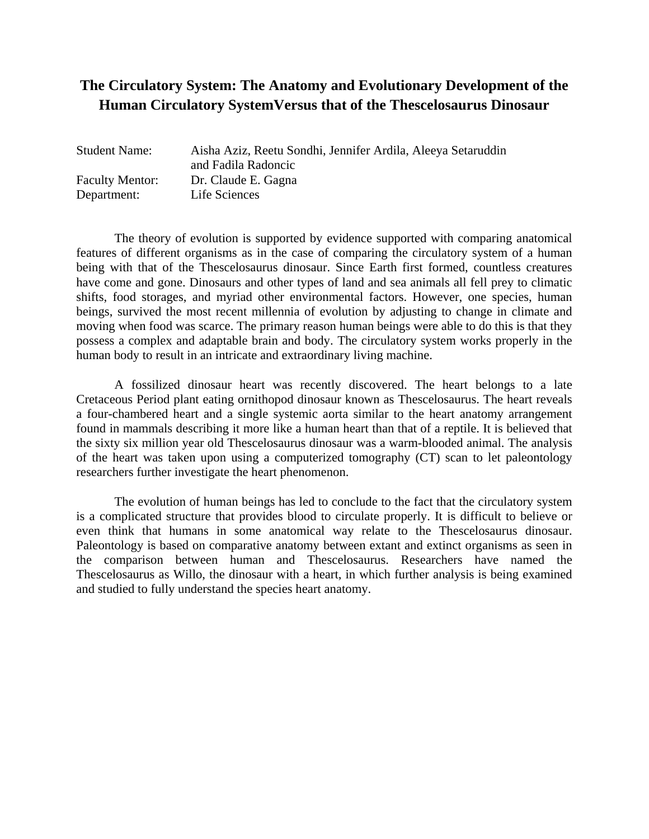# **The Circulatory System: The Anatomy and Evolutionary Development of the Human Circulatory SystemVersus that of the Thescelosaurus Dinosaur**

| <b>Student Name:</b>   | Aisha Aziz, Reetu Sondhi, Jennifer Ardila, Aleeya Setaruddin<br>and Fadila Radoncic |
|------------------------|-------------------------------------------------------------------------------------|
| <b>Faculty Mentor:</b> | Dr. Claude E. Gagna                                                                 |
| Department:            | Life Sciences                                                                       |

The theory of evolution is supported by evidence supported with comparing anatomical features of different organisms as in the case of comparing the circulatory system of a human being with that of the Thescelosaurus dinosaur. Since Earth first formed, countless creatures have come and gone. Dinosaurs and other types of land and sea animals all fell prey to climatic shifts, food storages, and myriad other environmental factors. However, one species, human beings, survived the most recent millennia of evolution by adjusting to change in climate and moving when food was scarce. The primary reason human beings were able to do this is that they possess a complex and adaptable brain and body. The circulatory system works properly in the human body to result in an intricate and extraordinary living machine.

 A fossilized dinosaur heart was recently discovered. The heart belongs to a late Cretaceous Period plant eating ornithopod dinosaur known as Thescelosaurus. The heart reveals a four-chambered heart and a single systemic aorta similar to the heart anatomy arrangement found in mammals describing it more like a human heart than that of a reptile. It is believed that the sixty six million year old Thescelosaurus dinosaur was a warm-blooded animal. The analysis of the heart was taken upon using a computerized tomography (CT) scan to let paleontology researchers further investigate the heart phenomenon.

The evolution of human beings has led to conclude to the fact that the circulatory system is a complicated structure that provides blood to circulate properly. It is difficult to believe or even think that humans in some anatomical way relate to the Thescelosaurus dinosaur. Paleontology is based on comparative anatomy between extant and extinct organisms as seen in the comparison between human and Thescelosaurus. Researchers have named the Thescelosaurus as Willo, the dinosaur with a heart, in which further analysis is being examined and studied to fully understand the species heart anatomy.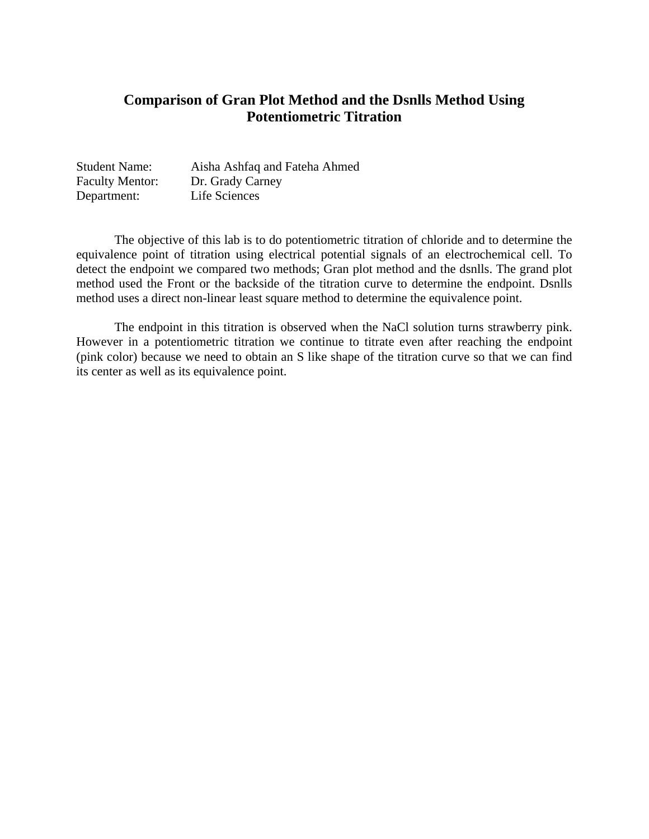## **Comparison of Gran Plot Method and the Dsnlls Method Using Potentiometric Titration**

| <b>Student Name:</b>   | Aisha Ashfaq and Fateha Ahmed |
|------------------------|-------------------------------|
| <b>Faculty Mentor:</b> | Dr. Grady Carney              |
| Department:            | Life Sciences                 |

The objective of this lab is to do potentiometric titration of chloride and to determine the equivalence point of titration using electrical potential signals of an electrochemical cell. To detect the endpoint we compared two methods; Gran plot method and the dsnlls. The grand plot method used the Front or the backside of the titration curve to determine the endpoint. Dsnlls method uses a direct non-linear least square method to determine the equivalence point.

The endpoint in this titration is observed when the NaCl solution turns strawberry pink. However in a potentiometric titration we continue to titrate even after reaching the endpoint (pink color) because we need to obtain an S like shape of the titration curve so that we can find its center as well as its equivalence point.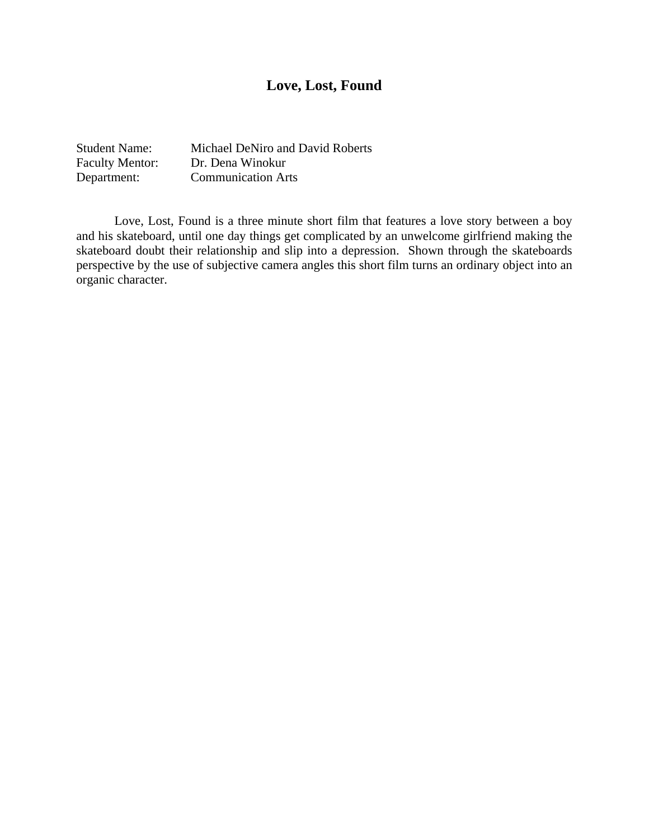# **Love, Lost, Found**

Student Name: Michael DeNiro and David Roberts Faculty Mentor: Dr. Dena Winokur<br>
Department: Communication Ar Communication Arts

Love, Lost, Found is a three minute short film that features a love story between a boy and his skateboard, until one day things get complicated by an unwelcome girlfriend making the skateboard doubt their relationship and slip into a depression. Shown through the skateboards perspective by the use of subjective camera angles this short film turns an ordinary object into an organic character.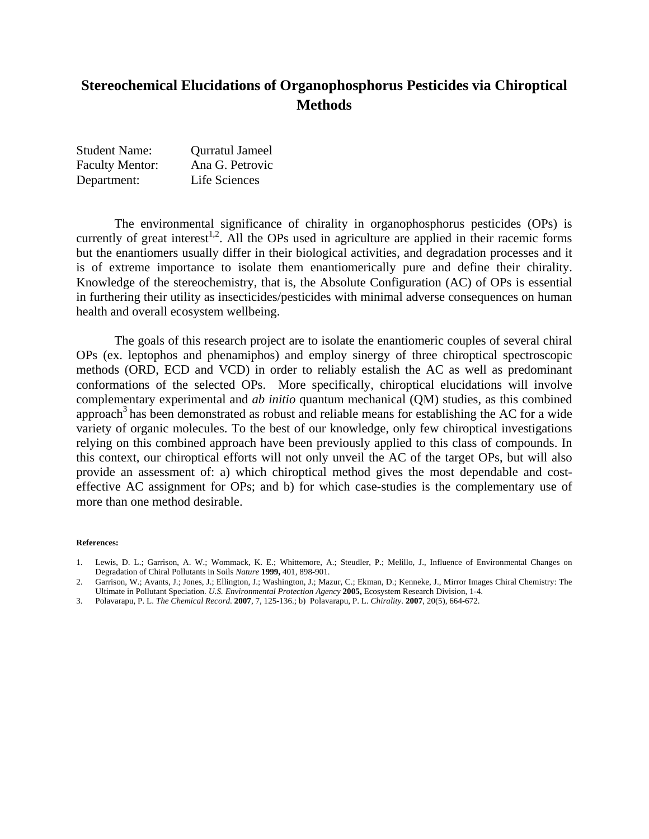# **Stereochemical Elucidations of Organophosphorus Pesticides via Chiroptical Methods**

| <b>Student Name:</b>   | <b>Qurratul Jameel</b> |
|------------------------|------------------------|
| <b>Faculty Mentor:</b> | Ana G. Petrovic        |
| Department:            | Life Sciences          |

The environmental significance of chirality in organophosphorus pesticides (OPs) is currently of great interest<sup>1,2</sup>. All the OPs used in agriculture are applied in their racemic forms but the enantiomers usually differ in their biological activities, and degradation processes and it is of extreme importance to isolate them enantiomerically pure and define their chirality. Knowledge of the stereochemistry, that is, the Absolute Configuration (AC) of OPs is essential in furthering their utility as insecticides/pesticides with minimal adverse consequences on human health and overall ecosystem wellbeing.

The goals of this research project are to isolate the enantiomeric couples of several chiral OPs (ex. leptophos and phenamiphos) and employ sinergy of three chiroptical spectroscopic methods (ORD, ECD and VCD) in order to reliably estalish the AC as well as predominant conformations of the selected OPs. More specifically, chiroptical elucidations will involve complementary experimental and *ab initio* quantum mechanical (QM) studies, as this combined approach<sup>3</sup> has been demonstrated as robust and reliable means for establishing the AC for a wide variety of organic molecules. To the best of our knowledge, only few chiroptical investigations relying on this combined approach have been previously applied to this class of compounds. In this context, our chiroptical efforts will not only unveil the AC of the target OPs, but will also provide an assessment of: a) which chiroptical method gives the most dependable and costeffective AC assignment for OPs; and b) for which case-studies is the complementary use of more than one method desirable.

#### **References:**

- 2. Garrison, W.; Avants, J.; Jones, J.; Ellington, J.; Washington, J.; Mazur, C.; Ekman, D.; Kenneke, J., Mirror Images Chiral Chemistry: The Ultimate in Pollutant Speciation. *U.S. Environmental Protection Agency* **2005,** Ecosystem Research Division, 1-4.
- 3. Polavarapu, P. L. *The Chemical Record*. **2007**, 7, 125-136.; b) Polavarapu, P. L. *Chirality*. **2007**, 20(5), 664-672.

<sup>1.</sup> Lewis, D. L.; Garrison, A. W.; Wommack, K. E.; Whittemore, A.; Steudler, P.; Melillo, J., Influence of Environmental Changes on Degradation of Chiral Pollutants in Soils *Nature* **1999,** 401, 898-901.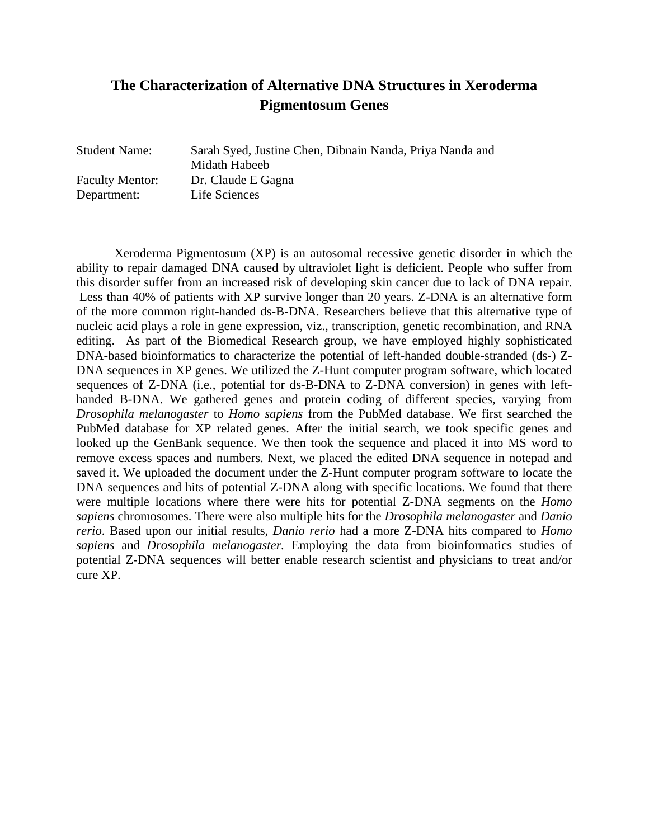# **The Characterization of Alternative DNA Structures in Xeroderma Pigmentosum Genes**

Department: Life Sciences

Student Name: Sarah Syed, Justine Chen, Dibnain Nanda, Priya Nanda and Midath Habeeb Faculty Mentor: Dr. Claude E Gagna

 Xeroderma Pigmentosum (XP) is an autosomal recessive genetic disorder in which the ability to repair damaged DNA caused by ultraviolet light is deficient. People who suffer from this disorder suffer from an increased risk of developing skin cancer due to lack of DNA repair. Less than 40% of patients with XP survive longer than 20 years. Z-DNA is an alternative form of the more common right-handed ds-B-DNA. Researchers believe that this alternative type of nucleic acid plays a role in gene expression, viz., transcription, genetic recombination, and RNA editing. As part of the Biomedical Research group, we have employed highly sophisticated DNA-based bioinformatics to characterize the potential of left-handed double-stranded (ds-) Z-DNA sequences in XP genes. We utilized the Z-Hunt computer program software, which located sequences of Z-DNA (i.e., potential for ds-B-DNA to Z-DNA conversion) in genes with lefthanded B-DNA. We gathered genes and protein coding of different species, varying from *Drosophila melanogaster* to *Homo sapiens* from the PubMed database. We first searched the PubMed database for XP related genes. After the initial search, we took specific genes and looked up the GenBank sequence. We then took the sequence and placed it into MS word to remove excess spaces and numbers. Next, we placed the edited DNA sequence in notepad and saved it. We uploaded the document under the Z-Hunt computer program software to locate the DNA sequences and hits of potential Z-DNA along with specific locations. We found that there were multiple locations where there were hits for potential Z-DNA segments on the *Homo sapiens* chromosomes. There were also multiple hits for the *Drosophila melanogaster* and *Danio rerio*. Based upon our initial results, *Danio rerio* had a more Z-DNA hits compared to *Homo sapiens* and *Drosophila melanogaster.* Employing the data from bioinformatics studies of potential Z-DNA sequences will better enable research scientist and physicians to treat and/or cure XP.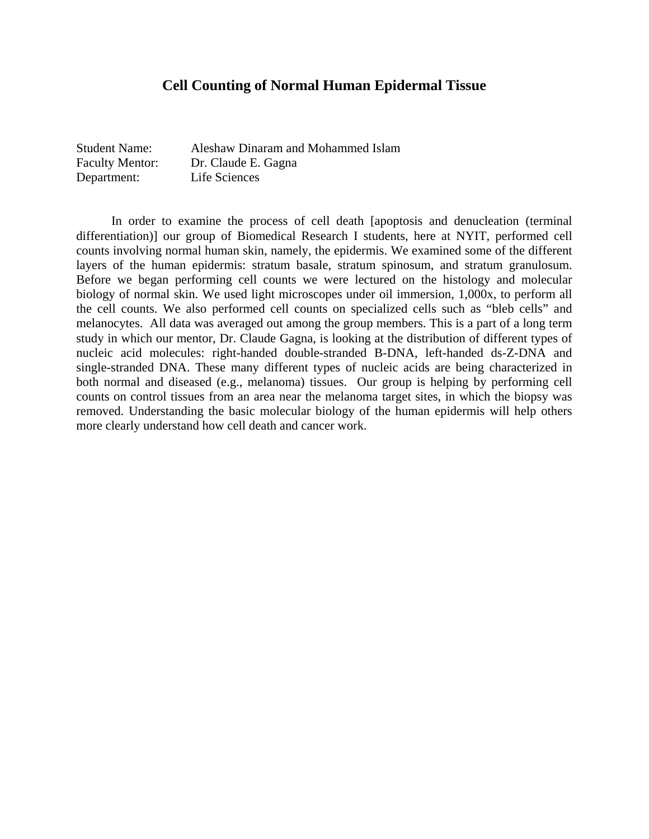#### **Cell Counting of Normal Human Epidermal Tissue**

| <b>Student Name:</b>   | Aleshaw Dinaram and Mohammed Islam |
|------------------------|------------------------------------|
| <b>Faculty Mentor:</b> | Dr. Claude E. Gagna                |
| Department:            | Life Sciences                      |

 In order to examine the process of cell death [apoptosis and denucleation (terminal differentiation)] our group of Biomedical Research I students, here at NYIT, performed cell counts involving normal human skin, namely, the epidermis. We examined some of the different layers of the human epidermis: stratum basale, stratum spinosum, and stratum granulosum. Before we began performing cell counts we were lectured on the histology and molecular biology of normal skin. We used light microscopes under oil immersion, 1,000x, to perform all the cell counts. We also performed cell counts on specialized cells such as "bleb cells" and melanocytes. All data was averaged out among the group members. This is a part of a long term study in which our mentor, Dr. Claude Gagna, is looking at the distribution of different types of nucleic acid molecules: right-handed double-stranded B-DNA, left-handed ds-Z-DNA and single-stranded DNA. These many different types of nucleic acids are being characterized in both normal and diseased (e.g., melanoma) tissues. Our group is helping by performing cell counts on control tissues from an area near the melanoma target sites, in which the biopsy was removed. Understanding the basic molecular biology of the human epidermis will help others more clearly understand how cell death and cancer work.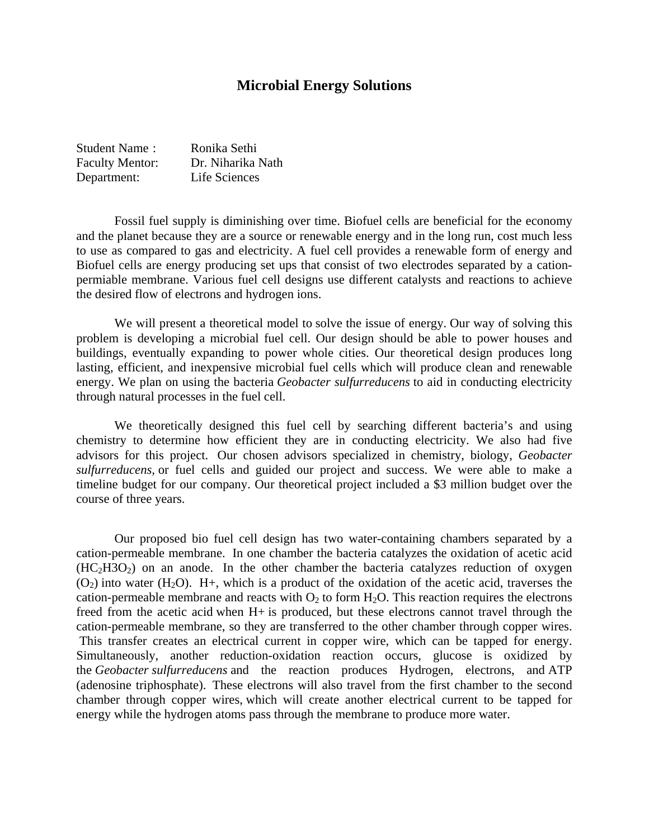#### **Microbial Energy Solutions**

| <b>Student Name:</b>   | Ronika Sethi      |
|------------------------|-------------------|
| <b>Faculty Mentor:</b> | Dr. Niharika Nath |
| Department:            | Life Sciences     |

 Fossil fuel supply is diminishing over time. Biofuel cells are beneficial for the economy and the planet because they are a source or renewable energy and in the long run, cost much less to use as compared to gas and electricity. A fuel cell provides a renewable form of energy and Biofuel cells are energy producing set ups that consist of two electrodes separated by a cationpermiable membrane. Various fuel cell designs use different catalysts and reactions to achieve the desired flow of electrons and hydrogen ions.

 We will present a theoretical model to solve the issue of energy. Our way of solving this problem is developing a microbial fuel cell. Our design should be able to power houses and buildings, eventually expanding to power whole cities. Our theoretical design produces long lasting, efficient, and inexpensive microbial fuel cells which will produce clean and renewable energy. We plan on using the bacteria *Geobacter sulfurreducens* to aid in conducting electricity through natural processes in the fuel cell.

 We theoretically designed this fuel cell by searching different bacteria's and using chemistry to determine how efficient they are in conducting electricity. We also had five advisors for this project. Our chosen advisors specialized in chemistry, biology, *Geobacter sulfurreducens,* or fuel cells and guided our project and success. We were able to make a timeline budget for our company. Our theoretical project included a \$3 million budget over the course of three years.

 Our proposed bio fuel cell design has two water-containing chambers separated by a cation-permeable membrane. In one chamber the bacteria catalyzes the oxidation of acetic acid  $(HC<sub>2</sub>H3O<sub>2</sub>)$  on an anode. In the other chamber the bacteria catalyzes reduction of oxygen  $(O_2)$  into water  $(H_2O)$ . H+, which is a product of the oxidation of the acetic acid, traverses the cation-permeable membrane and reacts with  $O_2$  to form  $H_2O$ . This reaction requires the electrons freed from the acetic acid when H+ is produced, but these electrons cannot travel through the cation-permeable membrane, so they are transferred to the other chamber through copper wires. This transfer creates an electrical current in copper wire, which can be tapped for energy. Simultaneously, another reduction-oxidation reaction occurs, glucose is oxidized by the *Geobacter sulfurreducens* and the reaction produces Hydrogen, electrons, and ATP (adenosine triphosphate). These electrons will also travel from the first chamber to the second chamber through copper wires, which will create another electrical current to be tapped for energy while the hydrogen atoms pass through the membrane to produce more water.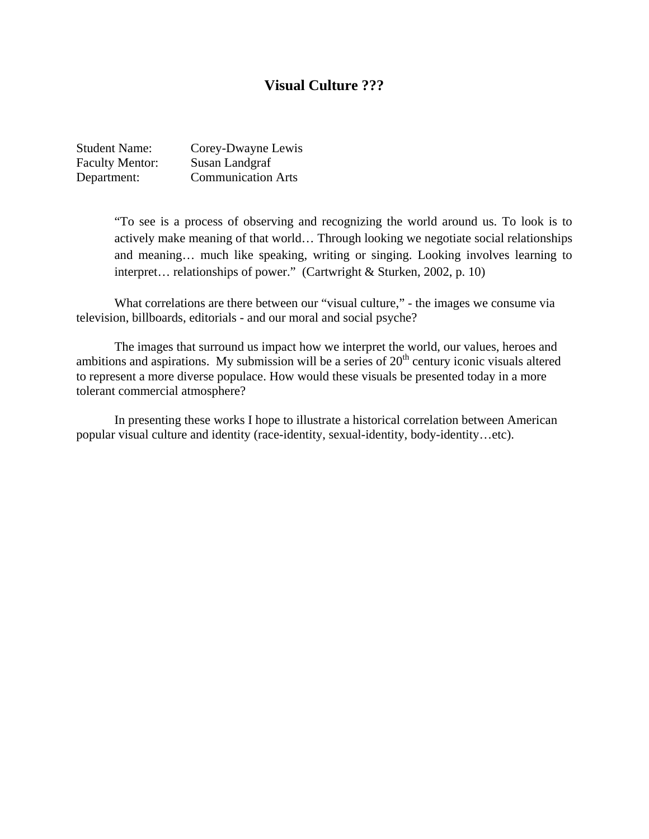#### **Visual Culture ???**

| <b>Student Name:</b>   | Corey-Dwayne Lewis        |
|------------------------|---------------------------|
| <b>Faculty Mentor:</b> | Susan Landgraf            |
| Department:            | <b>Communication Arts</b> |

"To see is a process of observing and recognizing the world around us. To look is to actively make meaning of that world… Through looking we negotiate social relationships and meaning… much like speaking, writing or singing. Looking involves learning to interpret… relationships of power." (Cartwright & Sturken, 2002, p. 10)

What correlations are there between our "visual culture," - the images we consume via television, billboards, editorials - and our moral and social psyche?

 The images that surround us impact how we interpret the world, our values, heroes and ambitions and aspirations. My submission will be a series of  $20<sup>th</sup>$  century iconic visuals altered to represent a more diverse populace. How would these visuals be presented today in a more tolerant commercial atmosphere?

In presenting these works I hope to illustrate a historical correlation between American popular visual culture and identity (race-identity, sexual-identity, body-identity…etc).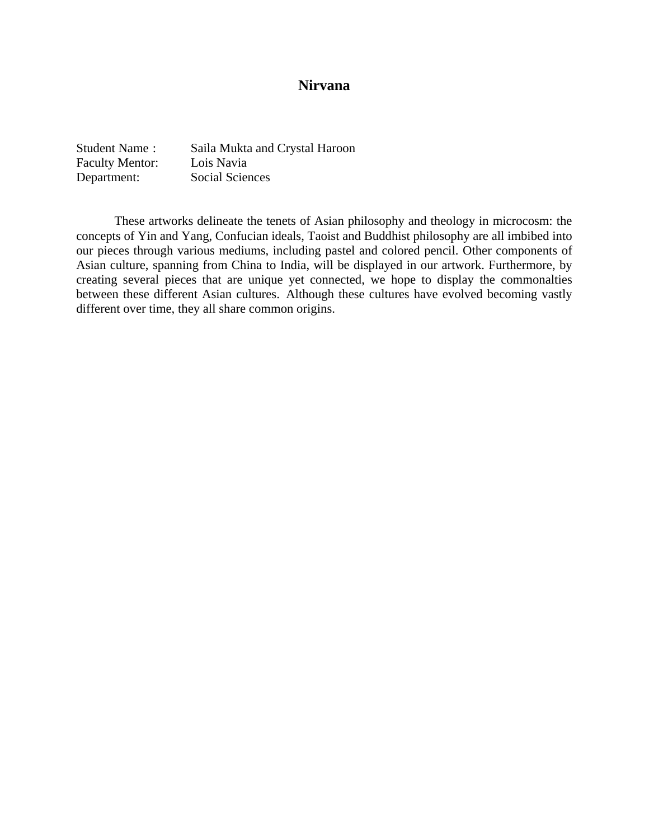### **Nirvana**

| <b>Student Name:</b>   | Saila Mukta and Crystal Haroon |
|------------------------|--------------------------------|
| <b>Faculty Mentor:</b> | Lois Navia                     |
| Department:            | Social Sciences                |

 These artworks delineate the tenets of Asian philosophy and theology in microcosm: the concepts of Yin and Yang, Confucian ideals, Taoist and Buddhist philosophy are all imbibed into our pieces through various mediums, including pastel and colored pencil. Other components of Asian culture, spanning from China to India, will be displayed in our artwork. Furthermore, by creating several pieces that are unique yet connected, we hope to display the commonalties between these different Asian cultures. Although these cultures have evolved becoming vastly different over time, they all share common origins.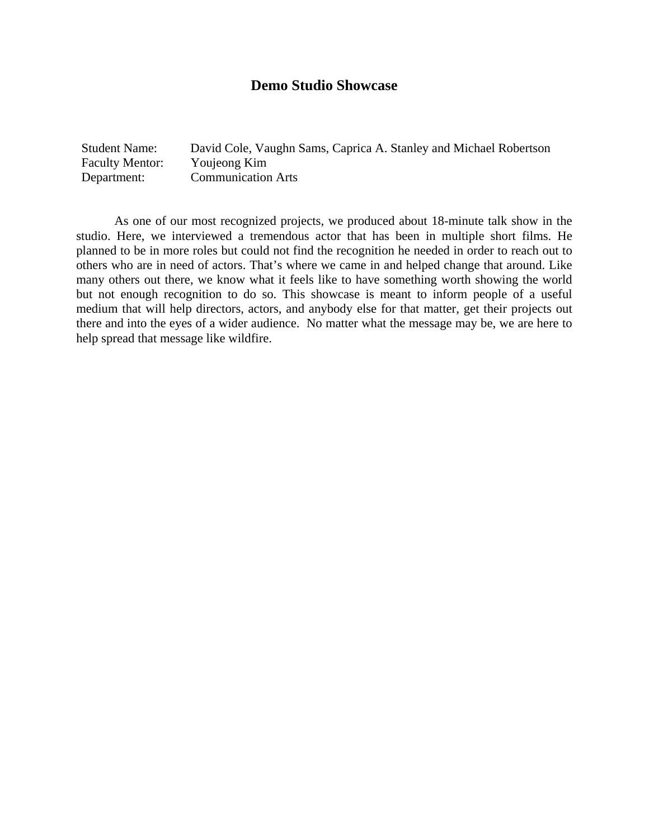### **Demo Studio Showcase**

Student Name: David Cole, Vaughn Sams, Caprica A. Stanley and Michael Robertson Faculty Mentor: Youjeong Kim Department: Communication Arts

As one of our most recognized projects, we produced about 18-minute talk show in the studio. Here, we interviewed a tremendous actor that has been in multiple short films. He planned to be in more roles but could not find the recognition he needed in order to reach out to others who are in need of actors. That's where we came in and helped change that around. Like many others out there, we know what it feels like to have something worth showing the world but not enough recognition to do so. This showcase is meant to inform people of a useful medium that will help directors, actors, and anybody else for that matter, get their projects out there and into the eyes of a wider audience. No matter what the message may be, we are here to help spread that message like wildfire.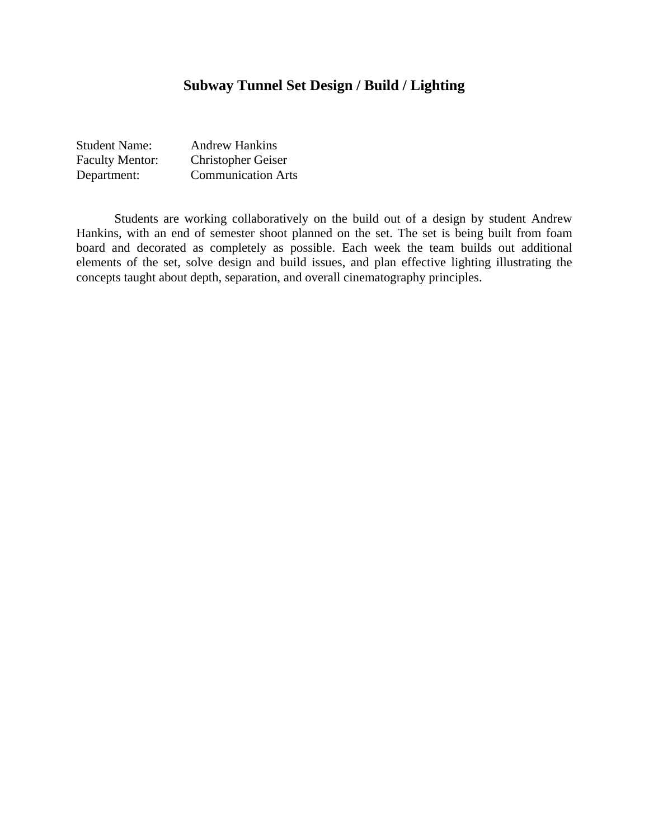# **Subway Tunnel Set Design / Build / Lighting**

| <b>Student Name:</b>   | <b>Andrew Hankins</b>     |
|------------------------|---------------------------|
| <b>Faculty Mentor:</b> | <b>Christopher Geiser</b> |
| Department:            | <b>Communication Arts</b> |

 Students are working collaboratively on the build out of a design by student Andrew Hankins, with an end of semester shoot planned on the set. The set is being built from foam board and decorated as completely as possible. Each week the team builds out additional elements of the set, solve design and build issues, and plan effective lighting illustrating the concepts taught about depth, separation, and overall cinematography principles.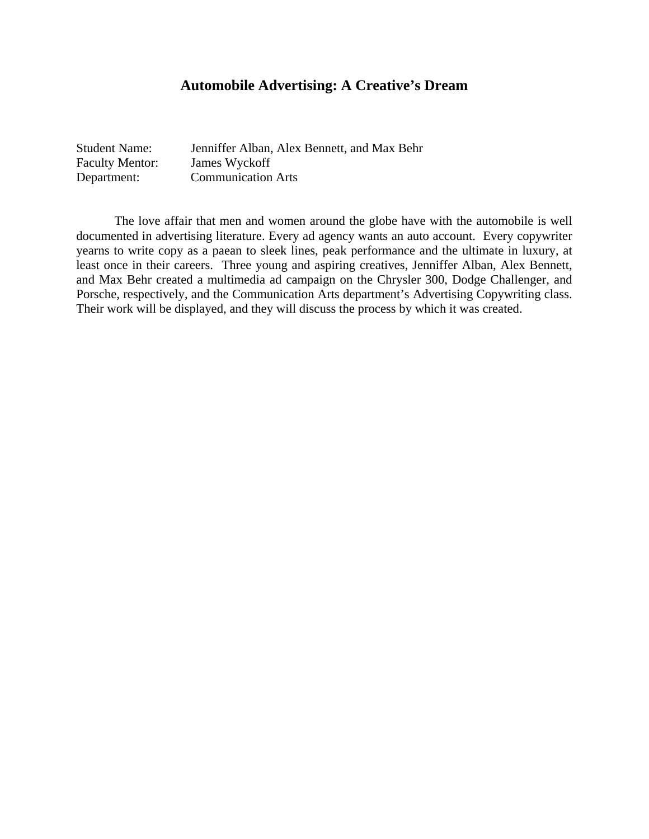### **Automobile Advertising: A Creative's Dream**

| <b>Student Name:</b>   | Jenniffer Alban, Alex Bennett, and Max Behr |
|------------------------|---------------------------------------------|
| <b>Faculty Mentor:</b> | James Wyckoff                               |
| Department:            | <b>Communication Arts</b>                   |

 The love affair that men and women around the globe have with the automobile is well documented in advertising literature. Every ad agency wants an auto account. Every copywriter yearns to write copy as a paean to sleek lines, peak performance and the ultimate in luxury, at least once in their careers. Three young and aspiring creatives, Jenniffer Alban, Alex Bennett, and Max Behr created a multimedia ad campaign on the Chrysler 300, Dodge Challenger, and Porsche, respectively, and the Communication Arts department's Advertising Copywriting class. Their work will be displayed, and they will discuss the process by which it was created.